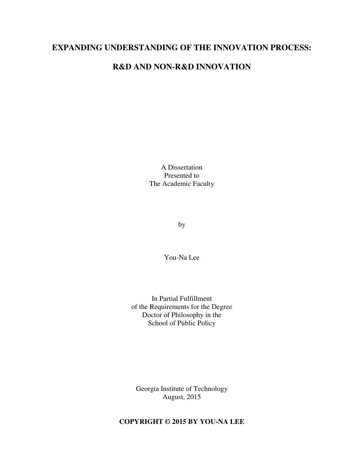## **EXPANDING UNDERSTANDING OF THE INNOVATION PROCESS:**

## **R&D AND NON-R&D INNOVATION**

A Dissertation Presented to The Academic Faculty

by

You-Na Lee

In Partial Fulfillment of the Requirements for the Degree Doctor of Philosophy in the School of Public Policy

Georgia Institute of Technology August, 2015

### **COPYRIGHT © 2015 BY YOU-NA LEE**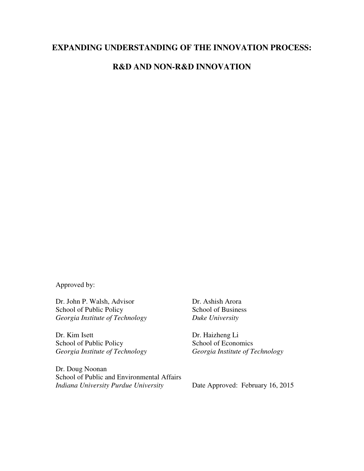## **EXPANDING UNDERSTANDING OF THE INNOVATION PROCESS:**

## **R&D AND NON-R&D INNOVATION**

Approved by:

Dr. John P. Walsh, Advisor School of Public Policy *Georgia Institute of Technology* 

Dr. Kim Isett School of Public Policy *Georgia Institute of Technology* 

Dr. Doug Noonan School of Public and Environmental Affairs *Indiana University Purdue University*

 Dr. Ashish Arora School of Business *Duke University*

 Dr. Haizheng Li School of Economics *Georgia Institute of Technology*

Date Approved: February 16, 2015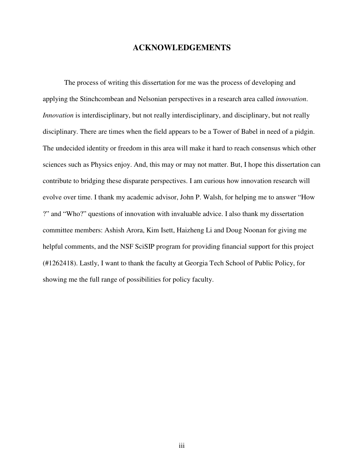### **ACKNOWLEDGEMENTS**

 The process of writing this dissertation for me was the process of developing and applying the Stinchcombean and Nelsonian perspectives in a research area called *innovation*. *Innovation* is interdisciplinary, but not really interdisciplinary, and disciplinary, but not really disciplinary. There are times when the field appears to be a Tower of Babel in need of a pidgin. The undecided identity or freedom in this area will make it hard to reach consensus which other sciences such as Physics enjoy. And, this may or may not matter. But, I hope this dissertation can contribute to bridging these disparate perspectives. I am curious how innovation research will evolve over time. I thank my academic advisor, John P. Walsh, for helping me to answer "How ?" and "Who?" questions of innovation with invaluable advice. I also thank my dissertation committee members: Ashish Arora, Kim Isett, Haizheng Li and Doug Noonan for giving me helpful comments, and the NSF SciSIP program for providing financial support for this project (#1262418). Lastly, I want to thank the faculty at Georgia Tech School of Public Policy, for showing me the full range of possibilities for policy faculty.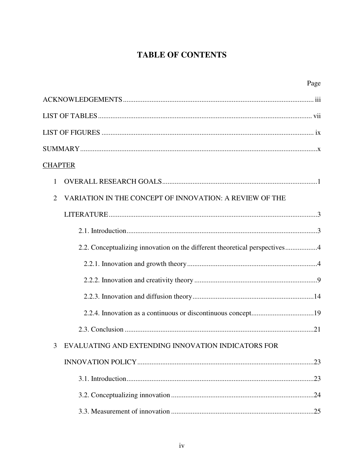# **TABLE OF CONTENTS**

| Page                                                                       |
|----------------------------------------------------------------------------|
|                                                                            |
|                                                                            |
|                                                                            |
|                                                                            |
| <b>CHAPTER</b>                                                             |
| $\mathbf{1}$                                                               |
| VARIATION IN THE CONCEPT OF INNOVATION: A REVIEW OF THE<br>$\overline{2}$  |
|                                                                            |
|                                                                            |
| 2.2. Conceptualizing innovation on the different theoretical perspectives4 |
|                                                                            |
|                                                                            |
|                                                                            |
|                                                                            |
|                                                                            |
| 3 EVALUATING AND EXTENDING INNOVATION INDICATORS FOR                       |
|                                                                            |
|                                                                            |
|                                                                            |
|                                                                            |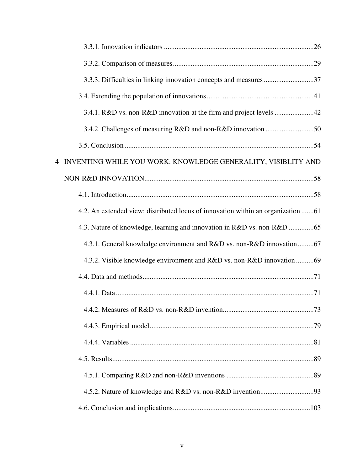| 3.3.3. Difficulties in linking innovation concepts and measures 37               |
|----------------------------------------------------------------------------------|
|                                                                                  |
| 3.4.1. R&D vs. non-R&D innovation at the firm and project levels 42              |
|                                                                                  |
|                                                                                  |
| INVENTING WHILE YOU WORK: KNOWLEDGE GENERALITY, VISIBLITY AND                    |
|                                                                                  |
|                                                                                  |
| 4.2. An extended view: distributed locus of innovation within an organization 61 |
| 4.3. Nature of knowledge, learning and innovation in R&D vs. non-R&D 65          |
| 4.3.1. General knowledge environment and R&D vs. non-R&D innovation67            |
| 4.3.2. Visible knowledge environment and R&D vs. non-R&D innovation 69           |
|                                                                                  |
|                                                                                  |
|                                                                                  |
|                                                                                  |
|                                                                                  |
|                                                                                  |
|                                                                                  |
|                                                                                  |
|                                                                                  |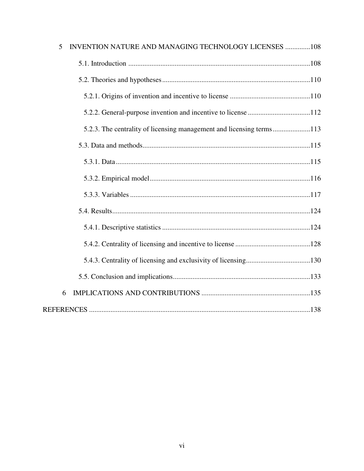| INVENTION NATURE AND MANAGING TECHNOLOGY LICENSES 108<br>5 |  |
|------------------------------------------------------------|--|
|                                                            |  |
|                                                            |  |
|                                                            |  |
|                                                            |  |
|                                                            |  |
|                                                            |  |
|                                                            |  |
|                                                            |  |
|                                                            |  |
|                                                            |  |
|                                                            |  |
|                                                            |  |
|                                                            |  |
|                                                            |  |
| 6                                                          |  |
|                                                            |  |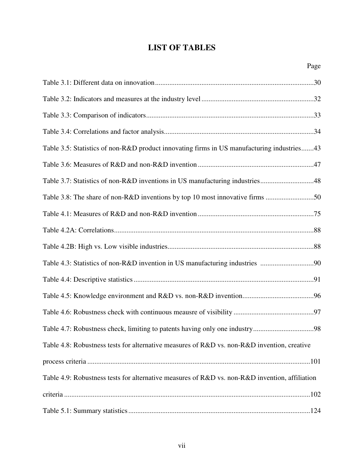## **LIST OF TABLES**

| Table 3.5: Statistics of non-R&D product innovating firms in US manufacturing industries43     |
|------------------------------------------------------------------------------------------------|
|                                                                                                |
| Table 3.7: Statistics of non-R&D inventions in US manufacturing industries48                   |
| Table 3.8: The share of non-R&D inventions by top 10 most innovative firms 50                  |
|                                                                                                |
|                                                                                                |
|                                                                                                |
|                                                                                                |
|                                                                                                |
|                                                                                                |
|                                                                                                |
|                                                                                                |
| Table 4.8: Robustness tests for alternative measures of R&D vs. non-R&D invention, creative    |
|                                                                                                |
| Table 4.9: Robustness tests for alternative measures of R&D vs. non-R&D invention, affiliation |
|                                                                                                |
|                                                                                                |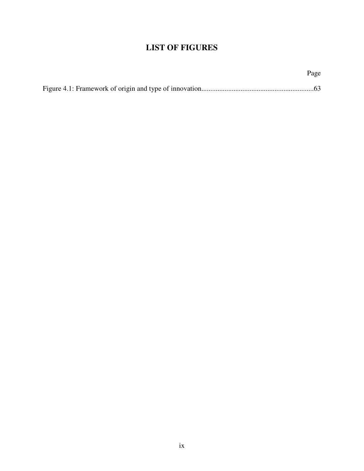# **LIST OF FIGURES**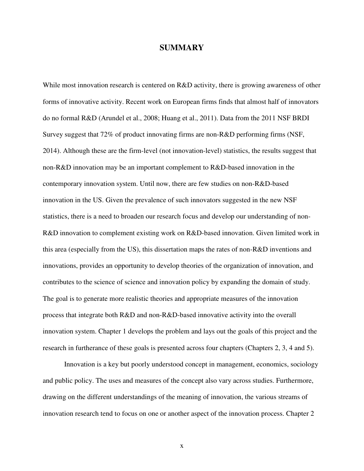### **SUMMARY**

While most innovation research is centered on R&D activity, there is growing awareness of other forms of innovative activity. Recent work on European firms finds that almost half of innovators do no formal R&D (Arundel et al., 2008; Huang et al., 2011). Data from the 2011 NSF BRDI Survey suggest that 72% of product innovating firms are non-R&D performing firms (NSF, 2014). Although these are the firm-level (not innovation-level) statistics, the results suggest that non-R&D innovation may be an important complement to R&D-based innovation in the contemporary innovation system. Until now, there are few studies on non-R&D-based innovation in the US. Given the prevalence of such innovators suggested in the new NSF statistics, there is a need to broaden our research focus and develop our understanding of non-R&D innovation to complement existing work on R&D-based innovation. Given limited work in this area (especially from the US), this dissertation maps the rates of non-R&D inventions and innovations, provides an opportunity to develop theories of the organization of innovation, and contributes to the science of science and innovation policy by expanding the domain of study. The goal is to generate more realistic theories and appropriate measures of the innovation process that integrate both R&D and non-R&D-based innovative activity into the overall innovation system. Chapter 1 develops the problem and lays out the goals of this project and the research in furtherance of these goals is presented across four chapters (Chapters 2, 3, 4 and 5).

Innovation is a key but poorly understood concept in management, economics, sociology and public policy. The uses and measures of the concept also vary across studies. Furthermore, drawing on the different understandings of the meaning of innovation, the various streams of innovation research tend to focus on one or another aspect of the innovation process. Chapter 2

x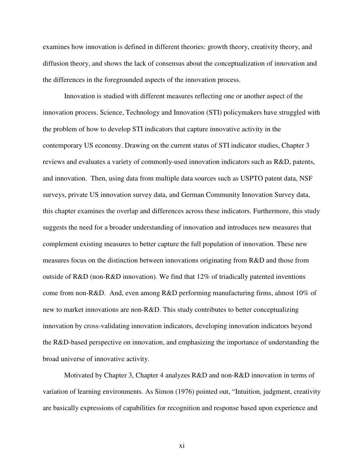examines how innovation is defined in different theories: growth theory, creativity theory, and diffusion theory, and shows the lack of consensus about the conceptualization of innovation and the differences in the foregrounded aspects of the innovation process.

Innovation is studied with different measures reflecting one or another aspect of the innovation process. Science, Technology and Innovation (STI) policymakers have struggled with the problem of how to develop STI indicators that capture innovative activity in the contemporary US economy. Drawing on the current status of STI indicator studies, Chapter 3 reviews and evaluates a variety of commonly-used innovation indicators such as R&D, patents, and innovation. Then, using data from multiple data sources such as USPTO patent data, NSF surveys, private US innovation survey data, and German Community Innovation Survey data, this chapter examines the overlap and differences across these indicators. Furthermore, this study suggests the need for a broader understanding of innovation and introduces new measures that complement existing measures to better capture the full population of innovation. These new measures focus on the distinction between innovations originating from R&D and those from outside of R&D (non-R&D innovation). We find that 12% of triadically patented inventions come from non-R&D. And, even among R&D performing manufacturing firms, almost 10% of new to market innovations are non-R&D. This study contributes to better conceptualizing innovation by cross-validating innovation indicators, developing innovation indicators beyond the R&D-based perspective on innovation, and emphasizing the importance of understanding the broad universe of innovative activity.

Motivated by Chapter 3, Chapter 4 analyzes R&D and non-R&D innovation in terms of variation of learning environments. As Simon (1976) pointed out, "Intuition, judgment, creativity are basically expressions of capabilities for recognition and response based upon experience and

xi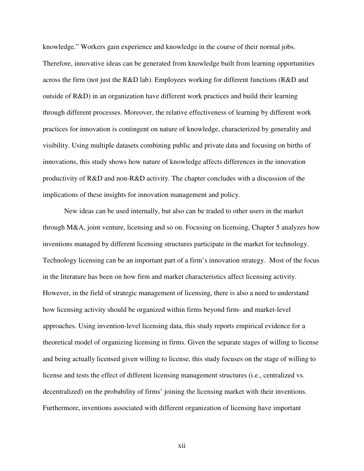knowledge." Workers gain experience and knowledge in the course of their normal jobs. Therefore, innovative ideas can be generated from knowledge built from learning opportunities across the firm (not just the R&D lab). Employees working for different functions (R&D and outside of R&D) in an organization have different work practices and build their learning through different processes. Moreover, the relative effectiveness of learning by different work practices for innovation is contingent on nature of knowledge, characterized by generality and visibility. Using multiple datasets combining public and private data and focusing on births of innovations, this study shows how nature of knowledge affects differences in the innovation productivity of R&D and non-R&D activity. The chapter concludes with a discussion of the implications of these insights for innovation management and policy.

New ideas can be used internally, but also can be traded to other users in the market through M&A, joint venture, licensing and so on. Focusing on licensing, Chapter 5 analyzes how inventions managed by different licensing structures participate in the market for technology. Technology licensing can be an important part of a firm's innovation strategy. Most of the focus in the literature has been on how firm and market characteristics affect licensing activity. However, in the field of strategic management of licensing, there is also a need to understand how licensing activity should be organized within firms beyond firm- and market-level approaches. Using invention-level licensing data, this study reports empirical evidence for a theoretical model of organizing licensing in firms. Given the separate stages of willing to license and being actually licensed given willing to license, this study focuses on the stage of willing to license and tests the effect of different licensing management structures (i.e., centralized vs. decentralized) on the probability of firms' joining the licensing market with their inventions. Furthermore, inventions associated with different organization of licensing have important

xii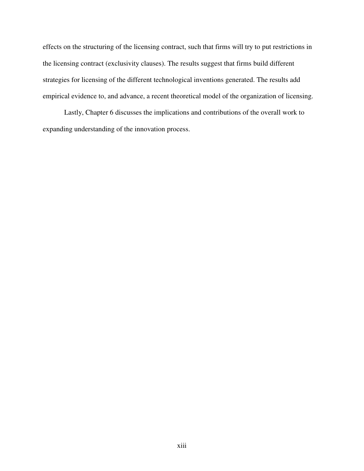effects on the structuring of the licensing contract, such that firms will try to put restrictions in the licensing contract (exclusivity clauses). The results suggest that firms build different strategies for licensing of the different technological inventions generated. The results add empirical evidence to, and advance, a recent theoretical model of the organization of licensing.

Lastly, Chapter 6 discusses the implications and contributions of the overall work to expanding understanding of the innovation process.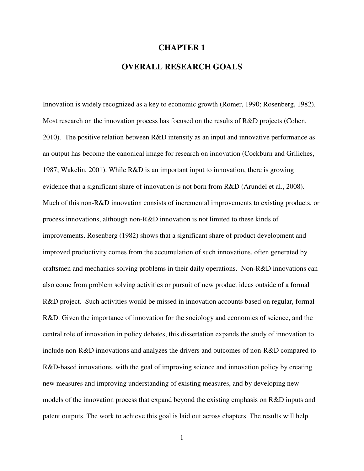### **CHAPTER 1**

## **OVERALL RESEARCH GOALS**

Innovation is widely recognized as a key to economic growth (Romer, 1990; Rosenberg, 1982). Most research on the innovation process has focused on the results of R&D projects (Cohen, 2010). The positive relation between R&D intensity as an input and innovative performance as an output has become the canonical image for research on innovation (Cockburn and Griliches, 1987; Wakelin, 2001). While R&D is an important input to innovation, there is growing evidence that a significant share of innovation is not born from R&D (Arundel et al., 2008). Much of this non-R&D innovation consists of incremental improvements to existing products, or process innovations, although non-R&D innovation is not limited to these kinds of improvements. Rosenberg (1982) shows that a significant share of product development and improved productivity comes from the accumulation of such innovations, often generated by craftsmen and mechanics solving problems in their daily operations. Non-R&D innovations can also come from problem solving activities or pursuit of new product ideas outside of a formal R&D project. Such activities would be missed in innovation accounts based on regular, formal R&D. Given the importance of innovation for the sociology and economics of science, and the central role of innovation in policy debates, this dissertation expands the study of innovation to include non-R&D innovations and analyzes the drivers and outcomes of non-R&D compared to R&D-based innovations, with the goal of improving science and innovation policy by creating new measures and improving understanding of existing measures, and by developing new models of the innovation process that expand beyond the existing emphasis on R&D inputs and patent outputs. The work to achieve this goal is laid out across chapters. The results will help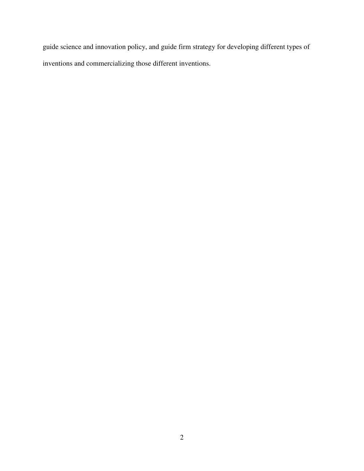guide science and innovation policy, and guide firm strategy for developing different types of inventions and commercializing those different inventions.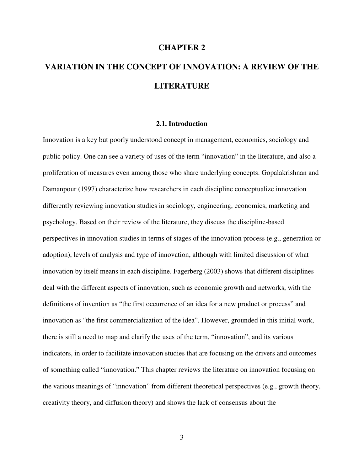### **CHAPTER 2**

# **VARIATION IN THE CONCEPT OF INNOVATION: A REVIEW OF THE LITERATURE**

### **2.1. Introduction**

Innovation is a key but poorly understood concept in management, economics, sociology and public policy. One can see a variety of uses of the term "innovation" in the literature, and also a proliferation of measures even among those who share underlying concepts. Gopalakrishnan and Damanpour (1997) characterize how researchers in each discipline conceptualize innovation differently reviewing innovation studies in sociology, engineering, economics, marketing and psychology. Based on their review of the literature, they discuss the discipline-based perspectives in innovation studies in terms of stages of the innovation process (e.g., generation or adoption), levels of analysis and type of innovation, although with limited discussion of what innovation by itself means in each discipline. Fagerberg (2003) shows that different disciplines deal with the different aspects of innovation, such as economic growth and networks, with the definitions of invention as "the first occurrence of an idea for a new product or process" and innovation as "the first commercialization of the idea". However, grounded in this initial work, there is still a need to map and clarify the uses of the term, "innovation", and its various indicators, in order to facilitate innovation studies that are focusing on the drivers and outcomes of something called "innovation." This chapter reviews the literature on innovation focusing on the various meanings of "innovation" from different theoretical perspectives (e.g., growth theory, creativity theory, and diffusion theory) and shows the lack of consensus about the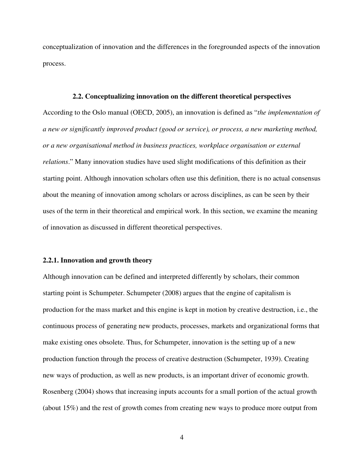conceptualization of innovation and the differences in the foregrounded aspects of the innovation process.

#### **2.2. Conceptualizing innovation on the different theoretical perspectives**

According to the Oslo manual (OECD, 2005), an innovation is defined as "*the implementation of a new or significantly improved product (good or service), or process, a new marketing method, or a new organisational method in business practices, workplace organisation or external relations*." Many innovation studies have used slight modifications of this definition as their starting point. Although innovation scholars often use this definition, there is no actual consensus about the meaning of innovation among scholars or across disciplines, as can be seen by their uses of the term in their theoretical and empirical work. In this section, we examine the meaning of innovation as discussed in different theoretical perspectives.

#### **2.2.1. Innovation and growth theory**

Although innovation can be defined and interpreted differently by scholars, their common starting point is Schumpeter. Schumpeter (2008) argues that the engine of capitalism is production for the mass market and this engine is kept in motion by creative destruction, i.e., the continuous process of generating new products, processes, markets and organizational forms that make existing ones obsolete. Thus, for Schumpeter, innovation is the setting up of a new production function through the process of creative destruction (Schumpeter, 1939). Creating new ways of production, as well as new products, is an important driver of economic growth. Rosenberg (2004) shows that increasing inputs accounts for a small portion of the actual growth (about 15%) and the rest of growth comes from creating new ways to produce more output from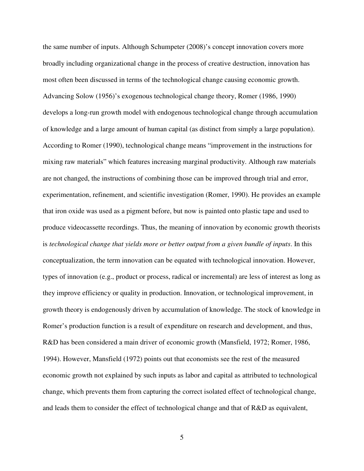the same number of inputs. Although Schumpeter (2008)'s concept innovation covers more broadly including organizational change in the process of creative destruction, innovation has most often been discussed in terms of the technological change causing economic growth. Advancing Solow (1956)'s exogenous technological change theory, Romer (1986, 1990) develops a long-run growth model with endogenous technological change through accumulation of knowledge and a large amount of human capital (as distinct from simply a large population). According to Romer (1990), technological change means "improvement in the instructions for mixing raw materials" which features increasing marginal productivity. Although raw materials are not changed, the instructions of combining those can be improved through trial and error, experimentation, refinement, and scientific investigation (Romer, 1990). He provides an example that iron oxide was used as a pigment before, but now is painted onto plastic tape and used to produce videocassette recordings. Thus, the meaning of innovation by economic growth theorists is *technological change that yields more or better output from a given bundle of inputs*. In this conceptualization, the term innovation can be equated with technological innovation. However, types of innovation (e.g., product or process, radical or incremental) are less of interest as long as they improve efficiency or quality in production. Innovation, or technological improvement, in growth theory is endogenously driven by accumulation of knowledge. The stock of knowledge in Romer's production function is a result of expenditure on research and development, and thus, R&D has been considered a main driver of economic growth (Mansfield, 1972; Romer, 1986, 1994). However, Mansfield (1972) points out that economists see the rest of the measured economic growth not explained by such inputs as labor and capital as attributed to technological change, which prevents them from capturing the correct isolated effect of technological change, and leads them to consider the effect of technological change and that of R&D as equivalent,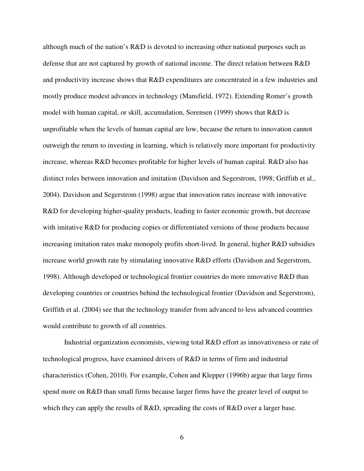although much of the nation's R&D is devoted to increasing other national purposes such as defense that are not captured by growth of national income. The direct relation between R&D and productivity increase shows that R&D expenditures are concentrated in a few industries and mostly produce modest advances in technology (Mansfield, 1972). Extending Romer's growth model with human capital, or skill, accumulation, Sorensen (1999) shows that R&D is unprofitable when the levels of human capital are low, because the return to innovation cannot outweigh the return to investing in learning, which is relatively more important for productivity increase, whereas R&D becomes profitable for higher levels of human capital. R&D also has distinct roles between innovation and imitation (Davidson and Segerstrom, 1998; Griffith et al., 2004). Davidson and Segerstrom (1998) argue that innovation rates increase with innovative R&D for developing higher-quality products, leading to faster economic growth, but decrease with imitative R&D for producing copies or differentiated versions of those products because increasing imitation rates make monopoly profits short-lived. In general, higher R&D subsidies increase world growth rate by stimulating innovative R&D efforts (Davidson and Segerstrom, 1998). Although developed or technological frontier countries do more innovative R&D than developing countries or countries behind the technological frontier (Davidson and Segerstrom), Griffith et al. (2004) see that the technology transfer from advanced to less advanced countries would contribute to growth of all countries.

Industrial organization economists, viewing total R&D effort as innovativeness or rate of technological progress, have examined drivers of R&D in terms of firm and industrial characteristics (Cohen, 2010). For example, Cohen and Klepper (1996b) argue that large firms spend more on R&D than small firms because larger firms have the greater level of output to which they can apply the results of R&D, spreading the costs of R&D over a larger base.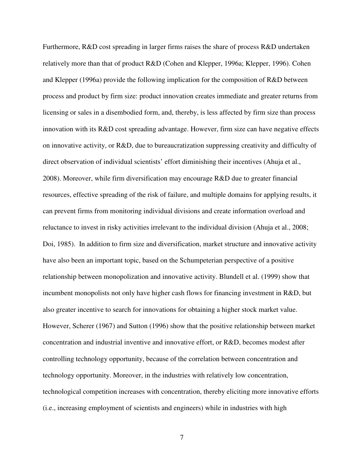Furthermore, R&D cost spreading in larger firms raises the share of process R&D undertaken relatively more than that of product R&D (Cohen and Klepper, 1996a; Klepper, 1996). Cohen and Klepper (1996a) provide the following implication for the composition of R&D between process and product by firm size: product innovation creates immediate and greater returns from licensing or sales in a disembodied form, and, thereby, is less affected by firm size than process innovation with its R&D cost spreading advantage. However, firm size can have negative effects on innovative activity, or R&D, due to bureaucratization suppressing creativity and difficulty of direct observation of individual scientists' effort diminishing their incentives (Ahuja et al., 2008). Moreover, while firm diversification may encourage R&D due to greater financial resources, effective spreading of the risk of failure, and multiple domains for applying results, it can prevent firms from monitoring individual divisions and create information overload and reluctance to invest in risky activities irrelevant to the individual division (Ahuja et al., 2008; Doi, 1985). In addition to firm size and diversification, market structure and innovative activity have also been an important topic, based on the Schumpeterian perspective of a positive relationship between monopolization and innovative activity. Blundell et al. (1999) show that incumbent monopolists not only have higher cash flows for financing investment in R&D, but also greater incentive to search for innovations for obtaining a higher stock market value. However, Scherer (1967) and Sutton (1996) show that the positive relationship between market concentration and industrial inventive and innovative effort, or R&D, becomes modest after controlling technology opportunity, because of the correlation between concentration and technology opportunity. Moreover, in the industries with relatively low concentration, technological competition increases with concentration, thereby eliciting more innovative efforts (i.e., increasing employment of scientists and engineers) while in industries with high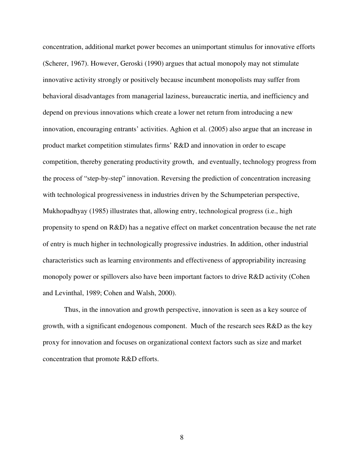concentration, additional market power becomes an unimportant stimulus for innovative efforts (Scherer, 1967). However, Geroski (1990) argues that actual monopoly may not stimulate innovative activity strongly or positively because incumbent monopolists may suffer from behavioral disadvantages from managerial laziness, bureaucratic inertia, and inefficiency and depend on previous innovations which create a lower net return from introducing a new innovation, encouraging entrants' activities. Aghion et al. (2005) also argue that an increase in product market competition stimulates firms' R&D and innovation in order to escape competition, thereby generating productivity growth, and eventually, technology progress from the process of "step-by-step" innovation. Reversing the prediction of concentration increasing with technological progressiveness in industries driven by the Schumpeterian perspective, Mukhopadhyay (1985) illustrates that, allowing entry, technological progress (i.e., high propensity to spend on R&D) has a negative effect on market concentration because the net rate of entry is much higher in technologically progressive industries. In addition, other industrial characteristics such as learning environments and effectiveness of appropriability increasing monopoly power or spillovers also have been important factors to drive R&D activity (Cohen and Levinthal, 1989; Cohen and Walsh, 2000).

Thus, in the innovation and growth perspective, innovation is seen as a key source of growth, with a significant endogenous component. Much of the research sees R&D as the key proxy for innovation and focuses on organizational context factors such as size and market concentration that promote R&D efforts.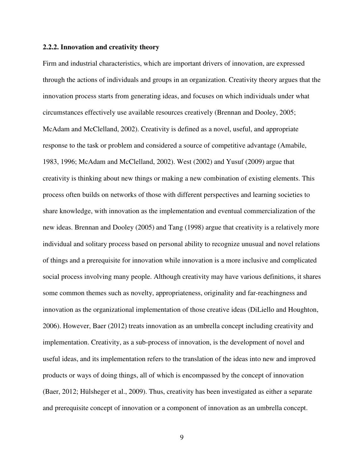### **2.2.2. Innovation and creativity theory**

Firm and industrial characteristics, which are important drivers of innovation, are expressed through the actions of individuals and groups in an organization. Creativity theory argues that the innovation process starts from generating ideas, and focuses on which individuals under what circumstances effectively use available resources creatively (Brennan and Dooley, 2005; McAdam and McClelland, 2002). Creativity is defined as a novel, useful, and appropriate response to the task or problem and considered a source of competitive advantage (Amabile, 1983, 1996; McAdam and McClelland, 2002). West (2002) and Yusuf (2009) argue that creativity is thinking about new things or making a new combination of existing elements. This process often builds on networks of those with different perspectives and learning societies to share knowledge, with innovation as the implementation and eventual commercialization of the new ideas. Brennan and Dooley (2005) and Tang (1998) argue that creativity is a relatively more individual and solitary process based on personal ability to recognize unusual and novel relations of things and a prerequisite for innovation while innovation is a more inclusive and complicated social process involving many people. Although creativity may have various definitions, it shares some common themes such as novelty, appropriateness, originality and far-reachingness and innovation as the organizational implementation of those creative ideas (DiLiello and Houghton, 2006). However, Baer (2012) treats innovation as an umbrella concept including creativity and implementation. Creativity, as a sub-process of innovation, is the development of novel and useful ideas, and its implementation refers to the translation of the ideas into new and improved products or ways of doing things, all of which is encompassed by the concept of innovation (Baer, 2012; Hülsheger et al., 2009). Thus, creativity has been investigated as either a separate and prerequisite concept of innovation or a component of innovation as an umbrella concept.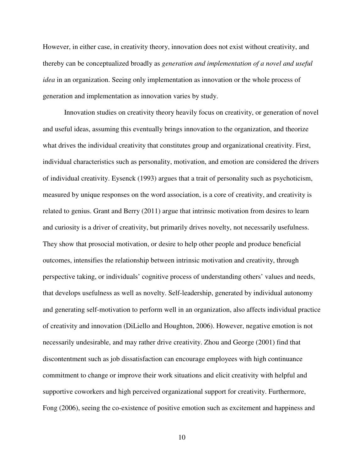However, in either case, in creativity theory, innovation does not exist without creativity, and thereby can be conceptualized broadly as *generation and implementation of a novel and useful idea* in an organization. Seeing only implementation as innovation or the whole process of generation and implementation as innovation varies by study.

Innovation studies on creativity theory heavily focus on creativity, or generation of novel and useful ideas, assuming this eventually brings innovation to the organization, and theorize what drives the individual creativity that constitutes group and organizational creativity. First, individual characteristics such as personality, motivation, and emotion are considered the drivers of individual creativity. Eysenck (1993) argues that a trait of personality such as psychoticism, measured by unique responses on the word association, is a core of creativity, and creativity is related to genius. Grant and Berry (2011) argue that intrinsic motivation from desires to learn and curiosity is a driver of creativity, but primarily drives novelty, not necessarily usefulness. They show that prosocial motivation, or desire to help other people and produce beneficial outcomes, intensifies the relationship between intrinsic motivation and creativity, through perspective taking, or individuals' cognitive process of understanding others' values and needs, that develops usefulness as well as novelty. Self-leadership, generated by individual autonomy and generating self-motivation to perform well in an organization, also affects individual practice of creativity and innovation (DiLiello and Houghton, 2006). However, negative emotion is not necessarily undesirable, and may rather drive creativity. Zhou and George (2001) find that discontentment such as job dissatisfaction can encourage employees with high continuance commitment to change or improve their work situations and elicit creativity with helpful and supportive coworkers and high perceived organizational support for creativity. Furthermore, Fong (2006), seeing the co-existence of positive emotion such as excitement and happiness and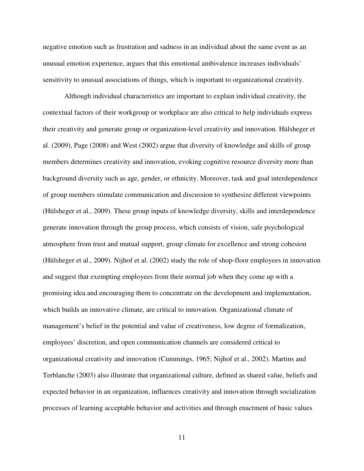negative emotion such as frustration and sadness in an individual about the same event as an unusual emotion experience, argues that this emotional ambivalence increases individuals' sensitivity to unusual associations of things, which is important to organizational creativity.

Although individual characteristics are important to explain individual creativity, the contextual factors of their workgroup or workplace are also critical to help individuals express their creativity and generate group or organization-level creativity and innovation. Hülsheger et al. (2009), Page (2008) and West (2002) argue that diversity of knowledge and skills of group members determines creativity and innovation, evoking cognitive resource diversity more than background diversity such as age, gender, or ethnicity. Moreover, task and goal interdependence of group members stimulate communication and discussion to synthesize different viewpoints (Hülsheger et al., 2009). These group inputs of knowledge diversity, skills and interdependence generate innovation through the group process, which consists of vision, safe psychological atmosphere from trust and mutual support, group climate for excellence and strong cohesion (Hülsheger et al., 2009). Nijhof et al. (2002) study the role of shop-floor employees in innovation and suggest that exempting employees from their normal job when they come up with a promising idea and encouraging them to concentrate on the development and implementation, which builds an innovative climate, are critical to innovation. Organizational climate of management's belief in the potential and value of creativeness, low degree of formalization, employees' discretion, and open communication channels are considered critical to organizational creativity and innovation (Cummings, 1965; Nijhof et al., 2002). Martins and Terblanche (2003) also illustrate that organizational culture, defined as shared value, beliefs and expected behavior in an organization, influences creativity and innovation through socialization processes of learning acceptable behavior and activities and through enactment of basic values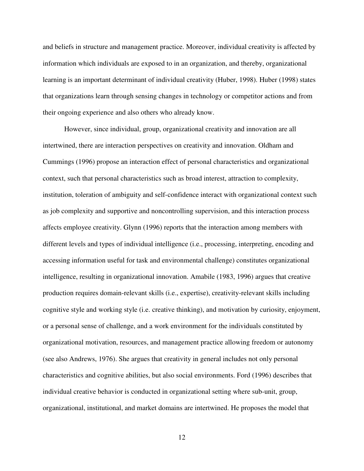and beliefs in structure and management practice. Moreover, individual creativity is affected by information which individuals are exposed to in an organization, and thereby, organizational learning is an important determinant of individual creativity (Huber, 1998). Huber (1998) states that organizations learn through sensing changes in technology or competitor actions and from their ongoing experience and also others who already know.

However, since individual, group, organizational creativity and innovation are all intertwined, there are interaction perspectives on creativity and innovation. Oldham and Cummings (1996) propose an interaction effect of personal characteristics and organizational context, such that personal characteristics such as broad interest, attraction to complexity, institution, toleration of ambiguity and self-confidence interact with organizational context such as job complexity and supportive and noncontrolling supervision, and this interaction process affects employee creativity. Glynn (1996) reports that the interaction among members with different levels and types of individual intelligence (i.e., processing, interpreting, encoding and accessing information useful for task and environmental challenge) constitutes organizational intelligence, resulting in organizational innovation. Amabile (1983, 1996) argues that creative production requires domain-relevant skills (i.e., expertise), creativity-relevant skills including cognitive style and working style (i.e. creative thinking), and motivation by curiosity, enjoyment, or a personal sense of challenge, and a work environment for the individuals constituted by organizational motivation, resources, and management practice allowing freedom or autonomy (see also Andrews, 1976). She argues that creativity in general includes not only personal characteristics and cognitive abilities, but also social environments. Ford (1996) describes that individual creative behavior is conducted in organizational setting where sub-unit, group, organizational, institutional, and market domains are intertwined. He proposes the model that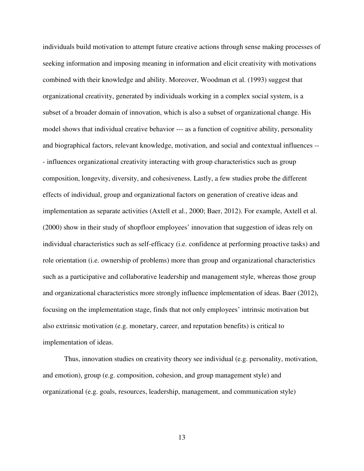individuals build motivation to attempt future creative actions through sense making processes of seeking information and imposing meaning in information and elicit creativity with motivations combined with their knowledge and ability. Moreover, Woodman et al. (1993) suggest that organizational creativity, generated by individuals working in a complex social system, is a subset of a broader domain of innovation, which is also a subset of organizational change. His model shows that individual creative behavior --- as a function of cognitive ability, personality and biographical factors, relevant knowledge, motivation, and social and contextual influences -- - influences organizational creativity interacting with group characteristics such as group composition, longevity, diversity, and cohesiveness. Lastly, a few studies probe the different effects of individual, group and organizational factors on generation of creative ideas and implementation as separate activities (Axtell et al., 2000; Baer, 2012). For example, Axtell et al. (2000) show in their study of shopfloor employees' innovation that suggestion of ideas rely on individual characteristics such as self-efficacy (i.e. confidence at performing proactive tasks) and role orientation (i.e. ownership of problems) more than group and organizational characteristics such as a participative and collaborative leadership and management style, whereas those group and organizational characteristics more strongly influence implementation of ideas. Baer (2012), focusing on the implementation stage, finds that not only employees' intrinsic motivation but also extrinsic motivation (e.g. monetary, career, and reputation benefits) is critical to implementation of ideas.

Thus, innovation studies on creativity theory see individual (e.g. personality, motivation, and emotion), group (e.g. composition, cohesion, and group management style) and organizational (e.g. goals, resources, leadership, management, and communication style)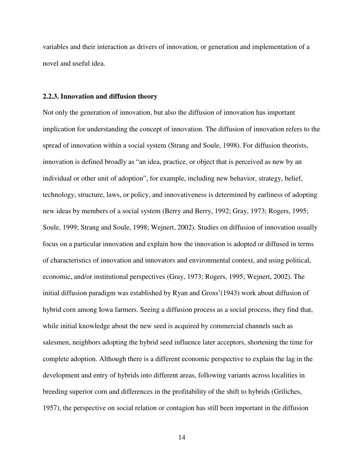variables and their interaction as drivers of innovation, or generation and implementation of a novel and useful idea.

### **2.2.3. Innovation and diffusion theory**

Not only the generation of innovation, but also the diffusion of innovation has important implication for understanding the concept of innovation. The diffusion of innovation refers to the spread of innovation within a social system (Strang and Soule, 1998). For diffusion theorists, innovation is defined broadly as "an idea, practice, or object that is perceived as new by an individual or other unit of adoption", for example, including new behavior, strategy, belief, technology, structure, laws, or policy, and innovativeness is determined by earliness of adopting new ideas by members of a social system (Berry and Berry, 1992; Gray, 1973; Rogers, 1995; Soule, 1999; Strang and Soule, 1998; Wejnert, 2002). Studies on diffusion of innovation usually focus on a particular innovation and explain how the innovation is adopted or diffused in terms of characteristics of innovation and innovators and environmental context, and using political, economic, and/or institutional perspectives (Gray, 1973; Rogers, 1995; Wejnert, 2002). The initial diffusion paradigm was established by Ryan and Gross'(1943) work about diffusion of hybrid corn among Iowa farmers. Seeing a diffusion process as a social process, they find that, while initial knowledge about the new seed is acquired by commercial channels such as salesmen, neighbors adopting the hybrid seed influence later acceptors, shortening the time for complete adoption. Although there is a different economic perspective to explain the lag in the development and entry of hybrids into different areas, following variants across localities in breeding superior corn and differences in the profitability of the shift to hybrids (Griliches, 1957), the perspective on social relation or contagion has still been important in the diffusion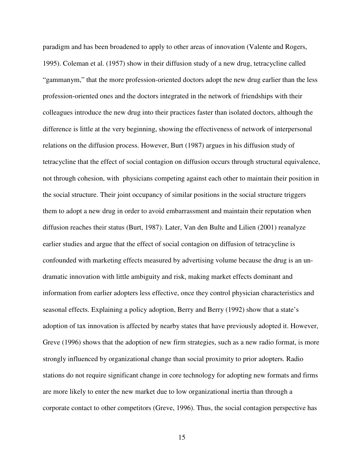paradigm and has been broadened to apply to other areas of innovation (Valente and Rogers, 1995). Coleman et al. (1957) show in their diffusion study of a new drug, tetracycline called "gammanym," that the more profession-oriented doctors adopt the new drug earlier than the less profession-oriented ones and the doctors integrated in the network of friendships with their colleagues introduce the new drug into their practices faster than isolated doctors, although the difference is little at the very beginning, showing the effectiveness of network of interpersonal relations on the diffusion process. However, Burt (1987) argues in his diffusion study of tetracycline that the effect of social contagion on diffusion occurs through structural equivalence, not through cohesion, with physicians competing against each other to maintain their position in the social structure. Their joint occupancy of similar positions in the social structure triggers them to adopt a new drug in order to avoid embarrassment and maintain their reputation when diffusion reaches their status (Burt, 1987). Later, Van den Bulte and Lilien (2001) reanalyze earlier studies and argue that the effect of social contagion on diffusion of tetracycline is confounded with marketing effects measured by advertising volume because the drug is an undramatic innovation with little ambiguity and risk, making market effects dominant and information from earlier adopters less effective, once they control physician characteristics and seasonal effects. Explaining a policy adoption, Berry and Berry (1992) show that a state's adoption of tax innovation is affected by nearby states that have previously adopted it. However, Greve (1996) shows that the adoption of new firm strategies, such as a new radio format, is more strongly influenced by organizational change than social proximity to prior adopters. Radio stations do not require significant change in core technology for adopting new formats and firms are more likely to enter the new market due to low organizational inertia than through a corporate contact to other competitors (Greve, 1996). Thus, the social contagion perspective has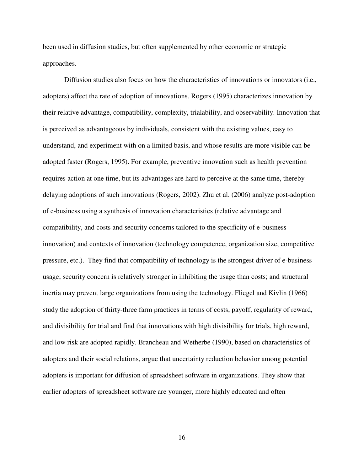been used in diffusion studies, but often supplemented by other economic or strategic approaches.

Diffusion studies also focus on how the characteristics of innovations or innovators (i.e., adopters) affect the rate of adoption of innovations. Rogers (1995) characterizes innovation by their relative advantage, compatibility, complexity, trialability, and observability. Innovation that is perceived as advantageous by individuals, consistent with the existing values, easy to understand, and experiment with on a limited basis, and whose results are more visible can be adopted faster (Rogers, 1995). For example, preventive innovation such as health prevention requires action at one time, but its advantages are hard to perceive at the same time, thereby delaying adoptions of such innovations (Rogers, 2002). Zhu et al. (2006) analyze post-adoption of e-business using a synthesis of innovation characteristics (relative advantage and compatibility, and costs and security concerns tailored to the specificity of e-business innovation) and contexts of innovation (technology competence, organization size, competitive pressure, etc.). They find that compatibility of technology is the strongest driver of e-business usage; security concern is relatively stronger in inhibiting the usage than costs; and structural inertia may prevent large organizations from using the technology. Fliegel and Kivlin (1966) study the adoption of thirty-three farm practices in terms of costs, payoff, regularity of reward, and divisibility for trial and find that innovations with high divisibility for trials, high reward, and low risk are adopted rapidly. Brancheau and Wetherbe (1990), based on characteristics of adopters and their social relations, argue that uncertainty reduction behavior among potential adopters is important for diffusion of spreadsheet software in organizations. They show that earlier adopters of spreadsheet software are younger, more highly educated and often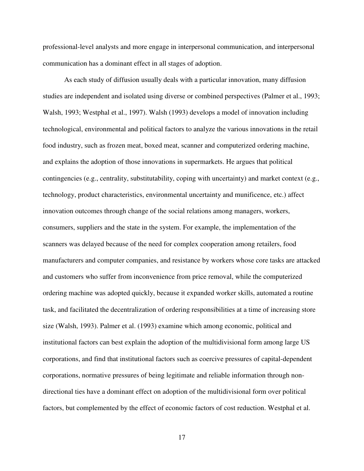professional-level analysts and more engage in interpersonal communication, and interpersonal communication has a dominant effect in all stages of adoption.

As each study of diffusion usually deals with a particular innovation, many diffusion studies are independent and isolated using diverse or combined perspectives (Palmer et al., 1993; Walsh, 1993; Westphal et al., 1997). Walsh (1993) develops a model of innovation including technological, environmental and political factors to analyze the various innovations in the retail food industry, such as frozen meat, boxed meat, scanner and computerized ordering machine, and explains the adoption of those innovations in supermarkets. He argues that political contingencies (e.g., centrality, substitutability, coping with uncertainty) and market context (e.g., technology, product characteristics, environmental uncertainty and munificence, etc.) affect innovation outcomes through change of the social relations among managers, workers, consumers, suppliers and the state in the system. For example, the implementation of the scanners was delayed because of the need for complex cooperation among retailers, food manufacturers and computer companies, and resistance by workers whose core tasks are attacked and customers who suffer from inconvenience from price removal, while the computerized ordering machine was adopted quickly, because it expanded worker skills, automated a routine task, and facilitated the decentralization of ordering responsibilities at a time of increasing store size (Walsh, 1993). Palmer et al. (1993) examine which among economic, political and institutional factors can best explain the adoption of the multidivisional form among large US corporations, and find that institutional factors such as coercive pressures of capital-dependent corporations, normative pressures of being legitimate and reliable information through nondirectional ties have a dominant effect on adoption of the multidivisional form over political factors, but complemented by the effect of economic factors of cost reduction. Westphal et al.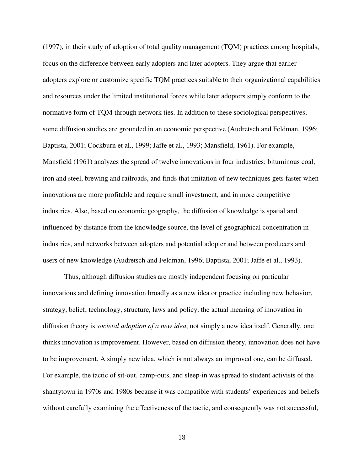(1997), in their study of adoption of total quality management (TQM) practices among hospitals, focus on the difference between early adopters and later adopters. They argue that earlier adopters explore or customize specific TQM practices suitable to their organizational capabilities and resources under the limited institutional forces while later adopters simply conform to the normative form of TQM through network ties. In addition to these sociological perspectives, some diffusion studies are grounded in an economic perspective (Audretsch and Feldman, 1996; Baptista, 2001; Cockburn et al., 1999; Jaffe et al., 1993; Mansfield, 1961). For example, Mansfield (1961) analyzes the spread of twelve innovations in four industries: bituminous coal, iron and steel, brewing and railroads, and finds that imitation of new techniques gets faster when innovations are more profitable and require small investment, and in more competitive industries. Also, based on economic geography, the diffusion of knowledge is spatial and influenced by distance from the knowledge source, the level of geographical concentration in industries, and networks between adopters and potential adopter and between producers and users of new knowledge (Audretsch and Feldman, 1996; Baptista, 2001; Jaffe et al., 1993).

Thus, although diffusion studies are mostly independent focusing on particular innovations and defining innovation broadly as a new idea or practice including new behavior, strategy, belief, technology, structure, laws and policy, the actual meaning of innovation in diffusion theory is *societal adoption of a new idea*, not simply a new idea itself. Generally, one thinks innovation is improvement. However, based on diffusion theory, innovation does not have to be improvement. A simply new idea, which is not always an improved one, can be diffused. For example, the tactic of sit-out, camp-outs, and sleep-in was spread to student activists of the shantytown in 1970s and 1980s because it was compatible with students' experiences and beliefs without carefully examining the effectiveness of the tactic, and consequently was not successful,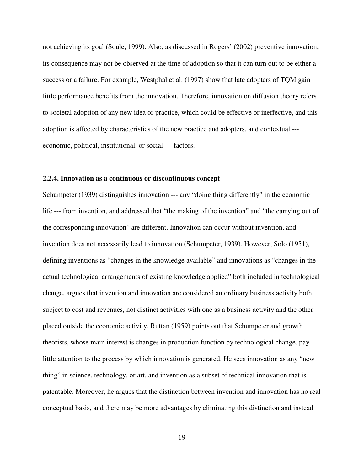not achieving its goal (Soule, 1999). Also, as discussed in Rogers' (2002) preventive innovation, its consequence may not be observed at the time of adoption so that it can turn out to be either a success or a failure. For example, Westphal et al. (1997) show that late adopters of TQM gain little performance benefits from the innovation. Therefore, innovation on diffusion theory refers to societal adoption of any new idea or practice, which could be effective or ineffective, and this adoption is affected by characteristics of the new practice and adopters, and contextual -- economic, political, institutional, or social --- factors.

### **2.2.4. Innovation as a continuous or discontinuous concept**

Schumpeter (1939) distinguishes innovation --- any "doing thing differently" in the economic life --- from invention, and addressed that "the making of the invention" and "the carrying out of the corresponding innovation" are different. Innovation can occur without invention, and invention does not necessarily lead to innovation (Schumpeter, 1939). However, Solo (1951), defining inventions as "changes in the knowledge available" and innovations as "changes in the actual technological arrangements of existing knowledge applied" both included in technological change, argues that invention and innovation are considered an ordinary business activity both subject to cost and revenues, not distinct activities with one as a business activity and the other placed outside the economic activity. Ruttan (1959) points out that Schumpeter and growth theorists, whose main interest is changes in production function by technological change, pay little attention to the process by which innovation is generated. He sees innovation as any "new thing" in science, technology, or art, and invention as a subset of technical innovation that is patentable. Moreover, he argues that the distinction between invention and innovation has no real conceptual basis, and there may be more advantages by eliminating this distinction and instead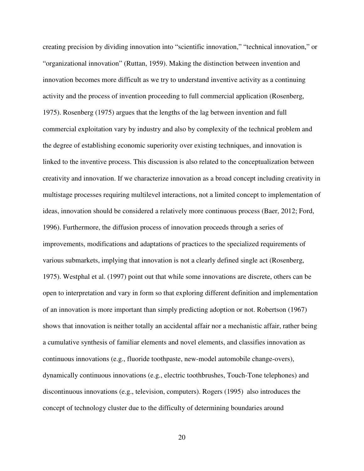creating precision by dividing innovation into "scientific innovation," "technical innovation," or "organizational innovation" (Ruttan, 1959). Making the distinction between invention and innovation becomes more difficult as we try to understand inventive activity as a continuing activity and the process of invention proceeding to full commercial application (Rosenberg, 1975). Rosenberg (1975) argues that the lengths of the lag between invention and full commercial exploitation vary by industry and also by complexity of the technical problem and the degree of establishing economic superiority over existing techniques, and innovation is linked to the inventive process. This discussion is also related to the conceptualization between creativity and innovation. If we characterize innovation as a broad concept including creativity in multistage processes requiring multilevel interactions, not a limited concept to implementation of ideas, innovation should be considered a relatively more continuous process (Baer, 2012; Ford, 1996). Furthermore, the diffusion process of innovation proceeds through a series of improvements, modifications and adaptations of practices to the specialized requirements of various submarkets, implying that innovation is not a clearly defined single act (Rosenberg, 1975). Westphal et al. (1997) point out that while some innovations are discrete, others can be open to interpretation and vary in form so that exploring different definition and implementation of an innovation is more important than simply predicting adoption or not. Robertson (1967) shows that innovation is neither totally an accidental affair nor a mechanistic affair, rather being a cumulative synthesis of familiar elements and novel elements, and classifies innovation as continuous innovations (e.g., fluoride toothpaste, new-model automobile change-overs), dynamically continuous innovations (e.g., electric toothbrushes, Touch-Tone telephones) and discontinuous innovations (e.g., television, computers). Rogers (1995) also introduces the concept of technology cluster due to the difficulty of determining boundaries around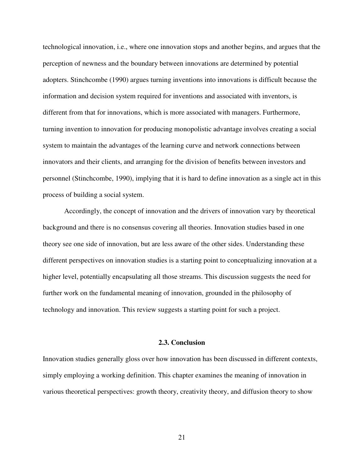technological innovation, i.e., where one innovation stops and another begins, and argues that the perception of newness and the boundary between innovations are determined by potential adopters. Stinchcombe (1990) argues turning inventions into innovations is difficult because the information and decision system required for inventions and associated with inventors, is different from that for innovations, which is more associated with managers. Furthermore, turning invention to innovation for producing monopolistic advantage involves creating a social system to maintain the advantages of the learning curve and network connections between innovators and their clients, and arranging for the division of benefits between investors and personnel (Stinchcombe, 1990), implying that it is hard to define innovation as a single act in this process of building a social system.

Accordingly, the concept of innovation and the drivers of innovation vary by theoretical background and there is no consensus covering all theories. Innovation studies based in one theory see one side of innovation, but are less aware of the other sides. Understanding these different perspectives on innovation studies is a starting point to conceptualizing innovation at a higher level, potentially encapsulating all those streams. This discussion suggests the need for further work on the fundamental meaning of innovation, grounded in the philosophy of technology and innovation. This review suggests a starting point for such a project.

### **2.3. Conclusion**

Innovation studies generally gloss over how innovation has been discussed in different contexts, simply employing a working definition. This chapter examines the meaning of innovation in various theoretical perspectives: growth theory, creativity theory, and diffusion theory to show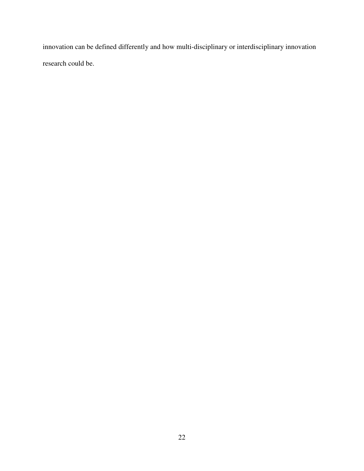innovation can be defined differently and how multi-disciplinary or interdisciplinary innovation research could be.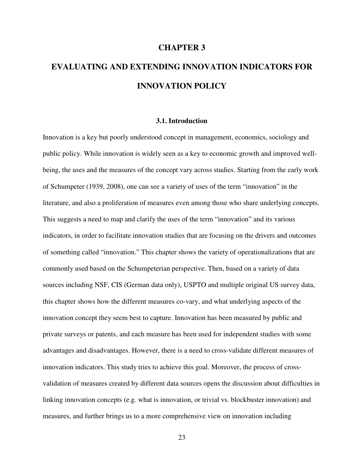### **CHAPTER 3**

# **EVALUATING AND EXTENDING INNOVATION INDICATORS FOR INNOVATION POLICY**

### **3.1. Introduction**

Innovation is a key but poorly understood concept in management, economics, sociology and public policy. While innovation is widely seen as a key to economic growth and improved wellbeing, the uses and the measures of the concept vary across studies. Starting from the early work of Schumpeter (1939, 2008), one can see a variety of uses of the term "innovation" in the literature, and also a proliferation of measures even among those who share underlying concepts. This suggests a need to map and clarify the uses of the term "innovation" and its various indicators, in order to facilitate innovation studies that are focusing on the drivers and outcomes of something called "innovation." This chapter shows the variety of operationalizations that are commonly used based on the Schumpeterian perspective. Then, based on a variety of data sources including NSF, CIS (German data only), USPTO and multiple original US survey data, this chapter shows how the different measures co-vary, and what underlying aspects of the innovation concept they seem best to capture. Innovation has been measured by public and private surveys or patents, and each measure has been used for independent studies with some advantages and disadvantages. However, there is a need to cross-validate different measures of innovation indicators. This study tries to achieve this goal. Moreover, the process of crossvalidation of measures created by different data sources opens the discussion about difficulties in linking innovation concepts (e.g. what is innovation, or trivial vs. blockbuster innovation) and measures, and further brings us to a more comprehensive view on innovation including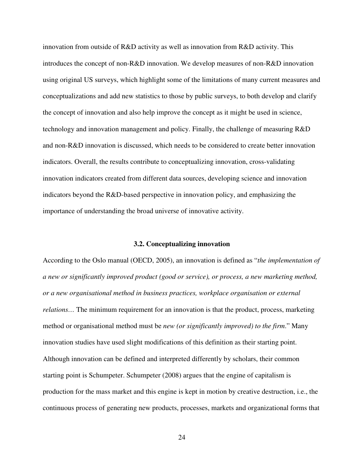innovation from outside of R&D activity as well as innovation from R&D activity. This introduces the concept of non-R&D innovation. We develop measures of non-R&D innovation using original US surveys, which highlight some of the limitations of many current measures and conceptualizations and add new statistics to those by public surveys, to both develop and clarify the concept of innovation and also help improve the concept as it might be used in science, technology and innovation management and policy. Finally, the challenge of measuring R&D and non-R&D innovation is discussed, which needs to be considered to create better innovation indicators. Overall, the results contribute to conceptualizing innovation, cross-validating innovation indicators created from different data sources, developing science and innovation indicators beyond the R&D-based perspective in innovation policy, and emphasizing the importance of understanding the broad universe of innovative activity.

## **3.2. Conceptualizing innovation**

According to the Oslo manual (OECD, 2005), an innovation is defined as "*the implementation of a new or significantly improved product (good or service), or process, a new marketing method, or a new organisational method in business practices, workplace organisation or external relations...* The minimum requirement for an innovation is that the product, process, marketing method or organisational method must be *new (or significantly improved) to the firm*." Many innovation studies have used slight modifications of this definition as their starting point. Although innovation can be defined and interpreted differently by scholars, their common starting point is Schumpeter. Schumpeter (2008) argues that the engine of capitalism is production for the mass market and this engine is kept in motion by creative destruction, i.e., the continuous process of generating new products, processes, markets and organizational forms that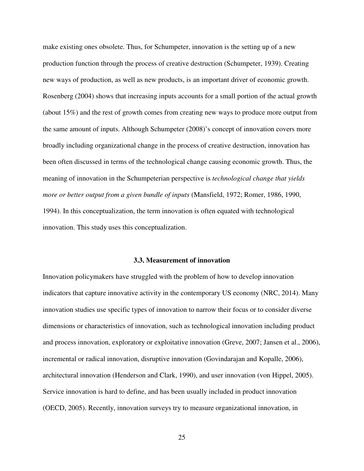make existing ones obsolete. Thus, for Schumpeter, innovation is the setting up of a new production function through the process of creative destruction (Schumpeter, 1939). Creating new ways of production, as well as new products, is an important driver of economic growth. Rosenberg (2004) shows that increasing inputs accounts for a small portion of the actual growth (about 15%) and the rest of growth comes from creating new ways to produce more output from the same amount of inputs. Although Schumpeter (2008)'s concept of innovation covers more broadly including organizational change in the process of creative destruction, innovation has been often discussed in terms of the technological change causing economic growth. Thus, the meaning of innovation in the Schumpeterian perspective is *technological change that yields more or better output from a given bundle of inputs* (Mansfield, 1972; Romer, 1986, 1990, 1994). In this conceptualization, the term innovation is often equated with technological innovation. This study uses this conceptualization.

### **3.3. Measurement of innovation**

Innovation policymakers have struggled with the problem of how to develop innovation indicators that capture innovative activity in the contemporary US economy (NRC, 2014). Many innovation studies use specific types of innovation to narrow their focus or to consider diverse dimensions or characteristics of innovation, such as technological innovation including product and process innovation, exploratory or exploitative innovation (Greve, 2007; Jansen et al., 2006), incremental or radical innovation, disruptive innovation (Govindarajan and Kopalle, 2006), architectural innovation (Henderson and Clark, 1990), and user innovation (von Hippel, 2005). Service innovation is hard to define, and has been usually included in product innovation (OECD, 2005). Recently, innovation surveys try to measure organizational innovation, in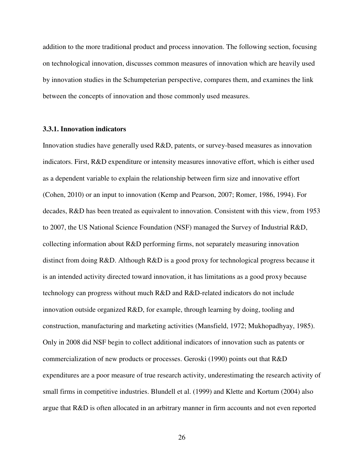addition to the more traditional product and process innovation. The following section, focusing on technological innovation, discusses common measures of innovation which are heavily used by innovation studies in the Schumpeterian perspective, compares them, and examines the link between the concepts of innovation and those commonly used measures.

# **3.3.1. Innovation indicators**

Innovation studies have generally used R&D, patents, or survey-based measures as innovation indicators. First, R&D expenditure or intensity measures innovative effort, which is either used as a dependent variable to explain the relationship between firm size and innovative effort (Cohen, 2010) or an input to innovation (Kemp and Pearson, 2007; Romer, 1986, 1994). For decades, R&D has been treated as equivalent to innovation. Consistent with this view, from 1953 to 2007, the US National Science Foundation (NSF) managed the Survey of Industrial R&D, collecting information about R&D performing firms, not separately measuring innovation distinct from doing R&D. Although R&D is a good proxy for technological progress because it is an intended activity directed toward innovation, it has limitations as a good proxy because technology can progress without much R&D and R&D-related indicators do not include innovation outside organized R&D, for example, through learning by doing, tooling and construction, manufacturing and marketing activities (Mansfield, 1972; Mukhopadhyay, 1985). Only in 2008 did NSF begin to collect additional indicators of innovation such as patents or commercialization of new products or processes. Geroski (1990) points out that R&D expenditures are a poor measure of true research activity, underestimating the research activity of small firms in competitive industries. Blundell et al. (1999) and Klette and Kortum (2004) also argue that R&D is often allocated in an arbitrary manner in firm accounts and not even reported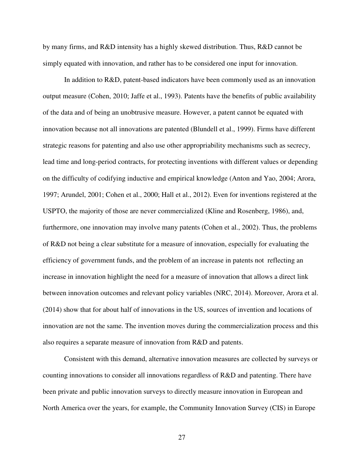by many firms, and R&D intensity has a highly skewed distribution. Thus, R&D cannot be simply equated with innovation, and rather has to be considered one input for innovation.

In addition to R&D, patent-based indicators have been commonly used as an innovation output measure (Cohen, 2010; Jaffe et al., 1993). Patents have the benefits of public availability of the data and of being an unobtrusive measure. However, a patent cannot be equated with innovation because not all innovations are patented (Blundell et al., 1999). Firms have different strategic reasons for patenting and also use other appropriability mechanisms such as secrecy, lead time and long-period contracts, for protecting inventions with different values or depending on the difficulty of codifying inductive and empirical knowledge (Anton and Yao, 2004; Arora, 1997; Arundel, 2001; Cohen et al., 2000; Hall et al., 2012). Even for inventions registered at the USPTO, the majority of those are never commercialized (Kline and Rosenberg, 1986), and, furthermore, one innovation may involve many patents (Cohen et al., 2002). Thus, the problems of R&D not being a clear substitute for a measure of innovation, especially for evaluating the efficiency of government funds, and the problem of an increase in patents not reflecting an increase in innovation highlight the need for a measure of innovation that allows a direct link between innovation outcomes and relevant policy variables (NRC, 2014). Moreover, Arora et al. (2014) show that for about half of innovations in the US, sources of invention and locations of innovation are not the same. The invention moves during the commercialization process and this also requires a separate measure of innovation from R&D and patents.

Consistent with this demand, alternative innovation measures are collected by surveys or counting innovations to consider all innovations regardless of R&D and patenting. There have been private and public innovation surveys to directly measure innovation in European and North America over the years, for example, the Community Innovation Survey (CIS) in Europe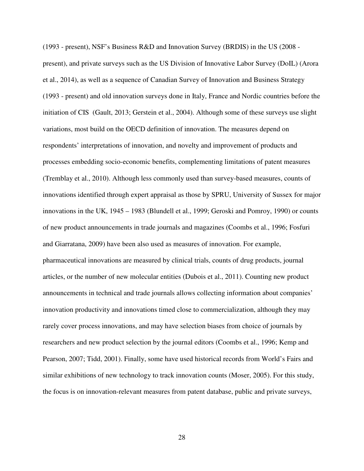(1993 - present), NSF's Business R&D and Innovation Survey (BRDIS) in the US (2008 present), and private surveys such as the US Division of Innovative Labor Survey (DoIL) (Arora et al., 2014), as well as a sequence of Canadian Survey of Innovation and Business Strategy (1993 - present) and old innovation surveys done in Italy, France and Nordic countries before the initiation of CIS (Gault, 2013; Gerstein et al., 2004). Although some of these surveys use slight variations, most build on the OECD definition of innovation. The measures depend on respondents' interpretations of innovation, and novelty and improvement of products and processes embedding socio-economic benefits, complementing limitations of patent measures (Tremblay et al., 2010). Although less commonly used than survey-based measures, counts of innovations identified through expert appraisal as those by SPRU, University of Sussex for major innovations in the UK, 1945 – 1983 (Blundell et al., 1999; Geroski and Pomroy, 1990) or counts of new product announcements in trade journals and magazines (Coombs et al., 1996; Fosfuri and Giarratana, 2009) have been also used as measures of innovation. For example, pharmaceutical innovations are measured by clinical trials, counts of drug products, journal articles, or the number of new molecular entities (Dubois et al., 2011). Counting new product announcements in technical and trade journals allows collecting information about companies' innovation productivity and innovations timed close to commercialization, although they may rarely cover process innovations, and may have selection biases from choice of journals by researchers and new product selection by the journal editors (Coombs et al., 1996; Kemp and Pearson, 2007; Tidd, 2001). Finally, some have used historical records from World's Fairs and similar exhibitions of new technology to track innovation counts (Moser, 2005). For this study, the focus is on innovation-relevant measures from patent database, public and private surveys,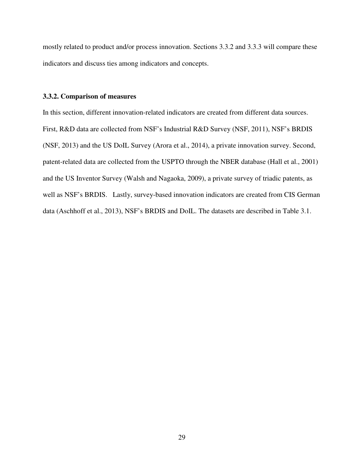mostly related to product and/or process innovation. Sections 3.3.2 and 3.3.3 will compare these indicators and discuss ties among indicators and concepts.

## **3.3.2. Comparison of measures**

In this section, different innovation-related indicators are created from different data sources. First, R&D data are collected from NSF's Industrial R&D Survey (NSF, 2011), NSF's BRDIS (NSF, 2013) and the US DoIL Survey (Arora et al., 2014), a private innovation survey. Second, patent-related data are collected from the USPTO through the NBER database (Hall et al., 2001) and the US Inventor Survey (Walsh and Nagaoka, 2009), a private survey of triadic patents, as well as NSF's BRDIS. Lastly, survey-based innovation indicators are created from CIS German data (Aschhoff et al., 2013), NSF's BRDIS and DoIL. The datasets are described in Table 3.1.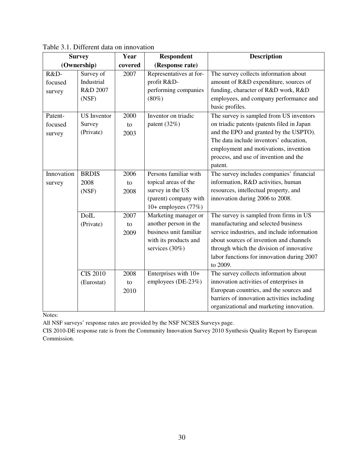| <b>Survey</b>                |                                              | Year<br><b>Respondent</b> |                                                                                                                     | <b>Description</b>                                                                                                                                                                                                                                                            |
|------------------------------|----------------------------------------------|---------------------------|---------------------------------------------------------------------------------------------------------------------|-------------------------------------------------------------------------------------------------------------------------------------------------------------------------------------------------------------------------------------------------------------------------------|
| (Ownership)                  |                                              | covered                   | (Response rate)                                                                                                     |                                                                                                                                                                                                                                                                               |
| R&D-<br>focused<br>survey    | Survey of<br>Industrial<br>R&D 2007<br>(NSF) | 2007                      | Representatives at for-<br>profit R&D-<br>performing companies<br>$(80\%)$                                          | The survey collects information about<br>amount of R&D expenditure, sources of<br>funding, character of R&D work, R&D<br>employees, and company performance and<br>basic profiles.                                                                                            |
| Patent-<br>focused<br>survey | <b>US</b> Inventor<br>Survey<br>(Private)    | 2000<br>to<br>2003        | Inventor on triadic<br>patent (32%)                                                                                 | The survey is sampled from US inventors<br>on triadic patents (patents filed in Japan<br>and the EPO and granted by the USPTO).<br>The data include inventors' education,<br>employment and motivations, invention<br>process, and use of invention and the<br>patent.        |
| Innovation<br>survey         | <b>BRDIS</b><br>2008<br>(NSF)                | 2006<br>to<br>2008        | Persons familiar with<br>topical areas of the<br>survey in the US<br>(parent) company with<br>10+ employees $(77%)$ | The survey includes companies' financial<br>information, R&D activities, human<br>resources, intellectual property, and<br>innovation during 2006 to 2008.                                                                                                                    |
|                              | <b>DolL</b><br>(Private)                     | 2007<br>to<br>2009        | Marketing manager or<br>another person in the<br>business unit familiar<br>with its products and<br>services (30%)  | The survey is sampled from firms in US<br>manufacturing and selected business<br>service industries, and include information<br>about sources of invention and channels<br>through which the division of innovative<br>labor functions for innovation during 2007<br>to 2009. |
|                              | <b>CIS 2010</b><br>(Eurostat)                | 2008<br>to<br>2010        | Enterprises with 10+<br>employees (DE-23%)                                                                          | The survey collects information about<br>innovation activities of enterprises in<br>European countries, and the sources and<br>barriers of innovation activities including<br>organizational and marketing innovation.                                                        |

Table 3.1. Different data on innovation

Notes:

All NSF surveys' response rates are provided by the NSF NCSES Surveys page.

CIS 2010-DE response rate is from the Community Innovation Survey 2010 Synthesis Quality Report by European Commission.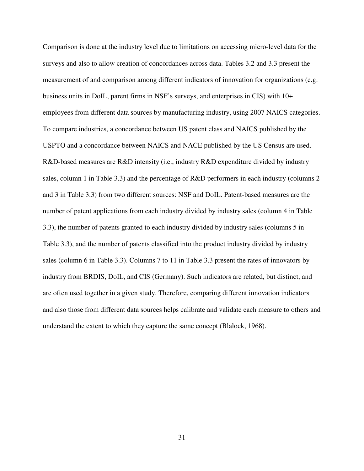Comparison is done at the industry level due to limitations on accessing micro-level data for the surveys and also to allow creation of concordances across data. Tables 3.2 and 3.3 present the measurement of and comparison among different indicators of innovation for organizations (e.g. business units in DoIL, parent firms in NSF's surveys, and enterprises in CIS) with 10+ employees from different data sources by manufacturing industry, using 2007 NAICS categories. To compare industries, a concordance between US patent class and NAICS published by the USPTO and a concordance between NAICS and NACE published by the US Census are used. R&D-based measures are R&D intensity (i.e., industry R&D expenditure divided by industry sales, column 1 in Table 3.3) and the percentage of R&D performers in each industry (columns 2 and 3 in Table 3.3) from two different sources: NSF and DoIL. Patent-based measures are the number of patent applications from each industry divided by industry sales (column 4 in Table 3.3), the number of patents granted to each industry divided by industry sales (columns 5 in Table 3.3), and the number of patents classified into the product industry divided by industry sales (column 6 in Table 3.3). Columns 7 to 11 in Table 3.3 present the rates of innovators by industry from BRDIS, DoIL, and CIS (Germany). Such indicators are related, but distinct, and are often used together in a given study. Therefore, comparing different innovation indicators and also those from different data sources helps calibrate and validate each measure to others and understand the extent to which they capture the same concept (Blalock, 1968).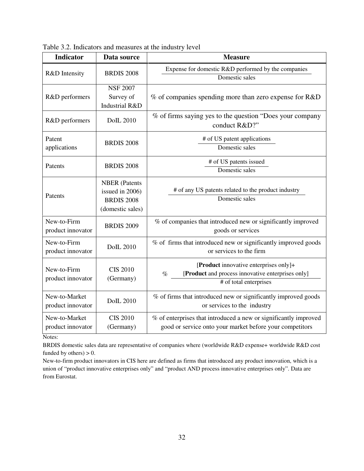| <b>Indicator</b>                   | Data source                                                                      | <b>Measure</b>                                                                                                                |
|------------------------------------|----------------------------------------------------------------------------------|-------------------------------------------------------------------------------------------------------------------------------|
| R&D Intensity                      | <b>BRDIS 2008</b>                                                                | Expense for domestic R&D performed by the companies<br>Domestic sales                                                         |
| R&D performers                     | <b>NSF 2007</b><br>Survey of<br><b>Industrial R&amp;D</b>                        | % of companies spending more than zero expense for R&D                                                                        |
| R&D performers                     | <b>DoIL 2010</b>                                                                 | % of firms saying yes to the question "Does your company"<br>conduct R&D?"                                                    |
| Patent<br>applications             | <b>BRDIS 2008</b>                                                                | # of US patent applications<br>Domestic sales                                                                                 |
| Patents                            | <b>BRDIS 2008</b>                                                                | # of US patents issued<br>Domestic sales                                                                                      |
| Patents                            | <b>NBER</b> (Patents<br>issued in 2006)<br><b>BRDIS 2008</b><br>(domestic sales) | # of any US patents related to the product industry<br>Domestic sales                                                         |
| New-to-Firm<br>product innovator   | <b>BRDIS 2009</b>                                                                | % of companies that introduced new or significantly improved<br>goods or services                                             |
| New-to-Firm<br>product innovator   | <b>DoIL 2010</b>                                                                 | % of firms that introduced new or significantly improved goods<br>or services to the firm                                     |
| New-to-Firm<br>product innovator   | <b>CIS 2010</b><br>(Germany)                                                     | [Product innovative enterprises only]+<br>[Product and process innovative enterprises only]<br>$\%$<br># of total enterprises |
| New-to-Market<br>product innovator | <b>DoIL 2010</b>                                                                 | % of firms that introduced new or significantly improved goods<br>or services to the industry                                 |
| New-to-Market<br>product innovator | <b>CIS 2010</b><br>(Germany)                                                     | % of enterprises that introduced a new or significantly improved<br>good or service onto your market before your competitors  |

Table 3.2. Indicators and measures at the industry level

Notes:

BRDIS domestic sales data are representative of companies where (worldwide R&D expense+ worldwide R&D cost funded by others)  $> 0$ .

New-to-firm product innovators in CIS here are defined as firms that introduced any product innovation, which is a union of "product innovative enterprises only" and "product AND process innovative enterprises only". Data are from Eurostat.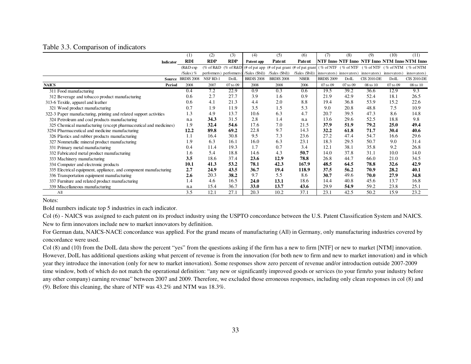|  |  | Table 3.3. Comparison of indicators |
|--|--|-------------------------------------|
|  |  |                                     |

|                                                                    | (1)               | (2)        | (3)                     | (4)               | (5)                                                                                                           | (6)                                                 | (7)               | (8)      | (9)                | (10)        | (11)                                         |
|--------------------------------------------------------------------|-------------------|------------|-------------------------|-------------------|---------------------------------------------------------------------------------------------------------------|-----------------------------------------------------|-------------------|----------|--------------------|-------------|----------------------------------------------|
| <b>Indicator</b>                                                   | <b>RDI</b>        | <b>RDP</b> | <b>RDP</b>              | Patent app        | Patent                                                                                                        | Patent                                              |                   |          |                    |             | NTF Inno NTF Inno NTF Inno NTM Inno NTM Inno |
|                                                                    | $(R&D \exp$       |            |                         |                   | (% of R&D (% of R&D) (# of pat app (# of pat grant (# of pat grant) (% of NTF (% of NTF (% of NTF) (% of NTM) |                                                     |                   |          |                    |             |                                              |
|                                                                    | /Sales) $%$       |            | performers) performers) |                   | /Sales (\$bil)) /Sales (\$bil))                                                                               | /Sales (\$bil)) innovators) innovators) innovators) |                   |          |                    | innovators) | innovators)                                  |
| Source                                                             | <b>BRDIS 2008</b> | NSF RD-1   | DoIL                    | <b>BRDIS 2008</b> | <b>BRDIS 2008</b>                                                                                             | <b>NBER</b>                                         | <b>BRDIS 2009</b> | DoIL     | <b>CIS 2010-DE</b> | DoIL        | <b>CIS 2010-DE</b>                           |
| <b>NAICS</b><br>Period                                             | 2008              | 2007       | 07 to 09                | 2008              | 2008                                                                                                          | 2006                                                | 07 to 09          | 07 to 09 | 08 to 10           | 07 to 09    | 08 to 10                                     |
| 311 Food manufacturing                                             | 0.4               | 7.2        | 22.9                    | 0.9               | 0.3                                                                                                           | 0.6                                                 | 19.5              | 39.2     | 36.6               | 12.9        | 9.3                                          |
| 312 Beverage and tobacco product manufacturing                     | 0.6               | 2.7        | 27.7                    | 3.9               | 1.6                                                                                                           | 0.9                                                 | 21.9              | 42.9     | 52.4               | 18.1        | 26.5                                         |
| 313-6 Texitle, apparel and leather                                 | 0.6               | 4.1        | 21.3                    | 4.4               | 2.0                                                                                                           | 8.8                                                 | 19.4              | 36.8     | 53.9               | 15.2        | 22.6                                         |
| 321 Wood product manufacturing                                     | 0.7               | 1.9        | 11.9                    | 3.5               | 1.5                                                                                                           | 5.3                                                 | 9.0               | 20.8     | 48.8               | 7.5         | 10.9                                         |
| 322-3 Paper manufacturing, printing and related support activities | 1.3               | 4.9        | 13.7                    | 10.6              | 6.3                                                                                                           | 4.7                                                 | 20.7              | 39.5     | 47.3               | 8.6         | 14.8                                         |
| 324 Petroleum and coal products manufacturing                      | n.a               | 34.3       | 31.5                    | 2.8               | 1.4                                                                                                           | n.a                                                 | 13.6              | 29.6     | 52.5               | 18.8        | 9.8                                          |
| 325 Chemical manufacturing (except pharmaceutical and medicines)   | 1.9               | 32.4       | 54.6                    | 17.6              | 7.0                                                                                                           | 21.5                                                | 37.9              | 51.9     | 79.2               | 25.0        | 49.4                                         |
| 3254 Pharmaceutical and medicine manufacturing                     | 12.2              | 89.8       | 69.2                    | 22.8              | 9.7                                                                                                           | 14.3                                                | 32.2              | 61.8     | 71.7               | 30.4        | 40.6                                         |
| 326 Plastics and rubber products manufacturing                     | 1.1               | 16.4       | 30.8                    | 9.5               | 7.3                                                                                                           | 23.6                                                | 27.2              | 47.4     | 54.7               | 16.6        | 29.6                                         |
| 327 Nonmetallic mineral product manufacturing                      | 1.9               | 6.3        | 16.1                    | 16.0              | 6.3                                                                                                           | 23.1                                                | 18.3              | 29.5     | 50.7               | 9.0         | 31.4                                         |
| 331 Primary metal manufacturing                                    | 0.4               | 11.4       | 19.3                    | 1.7               | 0.7                                                                                                           | 3.4                                                 | 12.1              | 38.1     | 35.8               | 9.2         | 26.8                                         |
| 332 Fabricated metal product manufacturing                         | 1.6               | 5.4        | 18.8                    | 14.6              | 4.3                                                                                                           | 50.7                                                | 14.0              | 37.8     | 31.1               | 10.0        | 14.0                                         |
| 333 Machinery manufacturing                                        | 3.5               | 18.6       | 37.4                    | 23.6              | 12.9                                                                                                          | 78.8                                                | 26.8              | 44.7     | 66.0               | 21.0        | 34.5                                         |
| 334 Computer and electronic products                               | 10.1              | 41.3       | 53.2                    | 78.1              | 42.3                                                                                                          | 167.9                                               | 48.5              | 64.5     | 78.8               | 32.6        | 42.9                                         |
| 335 Electrical equipment, appliance, and component manufacturing   | 2.7               | 24.9       | 43.5                    | 36.7              | 19.4                                                                                                          | 118.9                                               | 37.5              | 56.2     | 70.9               | 28.2        | 40.1                                         |
| 336 Transportation equipment manufacturing                         | 2.6               | 20.3       | 38.2                    | 9.7               | 5.5                                                                                                           | 8.6                                                 | 30.7              | 49.6     | 70.0               | 27.9        | 34.8                                         |
| 337 Furniture and related product manufacturing                    | 1.4               | 4.6        | 16.5                    | 24.0              | 13.1                                                                                                          | 18.6                                                | 14.4              | 40.8     | 45.6               | 13.7        | 16.8                                         |
| 339 Miscellaneous manufacturing                                    | n.a               | 15.4       | 36.7                    | <b>33.0</b>       | 13.7                                                                                                          | 43.6                                                | 29.9              | 54.9     | 59.2               | 23.8        | 25.1                                         |
| A <sub>II</sub>                                                    | 3.5               | 12.1       | 27.1                    | 20.3              | 10.2                                                                                                          | 37.1                                                | 23.1              | 42.5     | 50.2               | 15.9        | 23.2                                         |

Notes:

Bold numbers indicate top 5 industries in each indicator.

Col (6) - NAICS was assigned to each patent on its product industry using the USPTO concordance between the U.S. Patent Classification System and NAICS. New to firm innovators include new to market innovators by definition.

For German data, NAICS-NACE concordance was applied. For the grand means of manufacturing (All) in Germany, only manufacturing industries covered by concordance were used.

Col (8) and (10) from the DoIL data show the percent "yes" from the questions asking if the firm has a new to firm [NTF] or new to market [NTM] innovation. However, DoIL has additional questions asking what percent of revenue is from the innovation (for both new to firm and new to market innovation) and in which year they introduce the innovation (only for new to market innovation). Some responses show zero percent of revenue and/or introduction outside 2007-2009 time window, both of which do not match the operational definition: "any new or significantly improved goods or services (to your firm/to your industry before any other company) earning revenue" between 2007 and 2009. Therefore, we excluded those erroneous responses, including only clean responses in col (8) and (9). Before this cleaning, the share of NTF was 43.2% and NTM was 18.3%.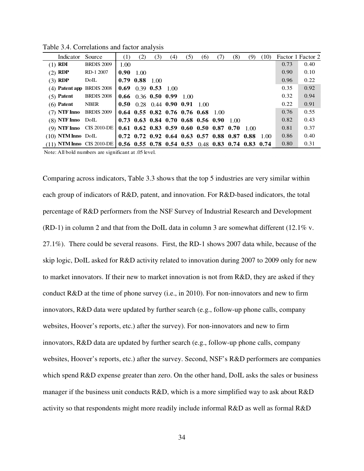| Indicator                                                                                                                                                | Source            | (1)  | (2)                             | (3) | (4) | (5) | (6)                                                            | (7) | (8)    | (9) | (10) |      | Factor 1 Factor 2 |
|----------------------------------------------------------------------------------------------------------------------------------------------------------|-------------------|------|---------------------------------|-----|-----|-----|----------------------------------------------------------------|-----|--------|-----|------|------|-------------------|
| $(1)$ RDI                                                                                                                                                | <b>BRDIS 2009</b> | 1.00 |                                 |     |     |     |                                                                |     |        |     |      | 0.73 | 0.40              |
| $(2)$ RDP                                                                                                                                                | RD-1 2007         | 0.90 | 1.00                            |     |     |     |                                                                |     |        |     |      | 0.90 | 0.10              |
| $(3)$ RDP                                                                                                                                                | DoIL              |      | $0.79$ $0.88$ 1.00              |     |     |     |                                                                |     |        |     |      | 0.96 | 0.22              |
| (4) Patent app BRDIS 2008                                                                                                                                |                   |      | $0.69$ 0.39 0.53 1.00           |     |     |     |                                                                |     |        |     |      | 0.35 | 0.92              |
| $(5)$ Patent                                                                                                                                             | <b>BRDIS 2008</b> |      | $0.66$ 0.36 0.50 0.99 1.00      |     |     |     |                                                                |     |        |     |      | 0.32 | 0.94              |
| $(6)$ Patent                                                                                                                                             | <b>NBER</b>       |      | 0.50 $0.28$ 0.44 0.90 0.91 1.00 |     |     |     |                                                                |     |        |     |      | 0.22 | 0.91              |
| $(7)$ NTF Inno BRDIS 2009                                                                                                                                |                   |      |                                 |     |     |     | $0.64$ 0.55 0.82 0.76 0.76 0.68 1.00                           |     |        |     |      | 0.76 | 0.55              |
| $(8)$ NTF Inno DoIL                                                                                                                                      |                   |      |                                 |     |     |     | $0.73$ 0.63 0.84 0.70 0.68 0.56 0.90                           |     | - 1.00 |     |      | 0.82 | 0.43              |
| (9) NTF Inno CIS 2010-DE                                                                                                                                 |                   |      |                                 |     |     |     | $0.61$ $0.62$ $0.83$ $0.59$ $0.60$ $0.50$ $0.87$ $0.70$ $1.00$ |     |        |     |      | 0.81 | 0.37              |
| $(10)$ NTM Inno Doll                                                                                                                                     |                   |      |                                 |     |     |     | $0.72$ 0.72 0.92 0.64 0.63 0.57 0.88 0.87 0.88 1.00            |     |        |     |      | 0.86 | 0.40              |
| (11) NTM Inno CIS 2010-DE   0.56 0.55 0.78 0.54 0.53 0.48 0.83 0.74 0.83 0.74                                                                            |                   |      |                                 |     |     |     |                                                                |     |        |     |      | 0.80 | 0.31              |
| $N_{1}$ , $\ldots$ $N_{1}$ 11 $\ldots$ 1.1 $\ldots$ . $\ldots$ . $\ldots$ . $\ldots$ : $\ldots$ $\ldots$ $\ldots$ $\ldots$ $\ldots$ $\ldots$ $\ldots$ 1. |                   |      |                                 |     |     |     |                                                                |     |        |     |      |      |                   |

Table 3.4. Correlations and factor analysis

Note: All bold numbers are significant at .05 level.

Comparing across indicators, Table 3.3 shows that the top 5 industries are very similar within each group of indicators of R&D, patent, and innovation. For R&D-based indicators, the total percentage of R&D performers from the NSF Survey of Industrial Research and Development  $(RD-1)$  in column 2 and that from the DoIL data in column 3 are somewhat different (12.1% v. 27.1%). There could be several reasons. First, the RD-1 shows 2007 data while, because of the skip logic, DoIL asked for R&D activity related to innovation during 2007 to 2009 only for new to market innovators. If their new to market innovation is not from R&D, they are asked if they conduct R&D at the time of phone survey (i.e., in 2010). For non-innovators and new to firm innovators, R&D data were updated by further search (e.g., follow-up phone calls, company websites, Hoover's reports, etc.) after the survey). For non-innovators and new to firm innovators, R&D data are updated by further search (e.g., follow-up phone calls, company websites, Hoover's reports, etc.) after the survey. Second, NSF's R&D performers are companies which spend R&D expense greater than zero. On the other hand, DoIL asks the sales or business manager if the business unit conducts R&D, which is a more simplified way to ask about R&D activity so that respondents might more readily include informal R&D as well as formal R&D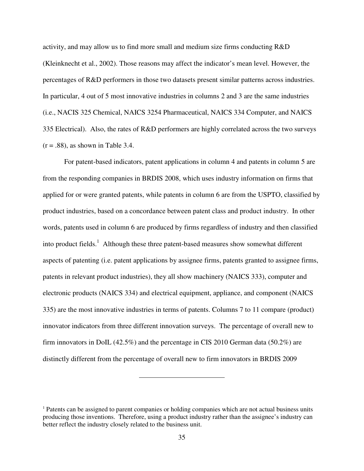activity, and may allow us to find more small and medium size firms conducting R&D (Kleinknecht et al., 2002). Those reasons may affect the indicator's mean level. However, the percentages of R&D performers in those two datasets present similar patterns across industries. In particular, 4 out of 5 most innovative industries in columns 2 and 3 are the same industries (i.e., NACIS 325 Chemical, NAICS 3254 Pharmaceutical, NAICS 334 Computer, and NAICS 335 Electrical). Also, the rates of R&D performers are highly correlated across the two surveys  $(r = .88)$ , as shown in Table 3.4.

For patent-based indicators, patent applications in column 4 and patents in column 5 are from the responding companies in BRDIS 2008, which uses industry information on firms that applied for or were granted patents, while patents in column 6 are from the USPTO, classified by product industries, based on a concordance between patent class and product industry. In other words, patents used in column 6 are produced by firms regardless of industry and then classified into product fields.<sup>1</sup> Although these three patent-based measures show somewhat different aspects of patenting (i.e. patent applications by assignee firms, patents granted to assignee firms, patents in relevant product industries), they all show machinery (NAICS 333), computer and electronic products (NAICS 334) and electrical equipment, appliance, and component (NAICS 335) are the most innovative industries in terms of patents. Columns 7 to 11 compare (product) innovator indicators from three different innovation surveys. The percentage of overall new to firm innovators in DoIL (42.5%) and the percentage in CIS 2010 German data (50.2%) are distinctly different from the percentage of overall new to firm innovators in BRDIS 2009

<sup>&</sup>lt;sup>1</sup> Patents can be assigned to parent companies or holding companies which are not actual business units producing those inventions. Therefore, using a product industry rather than the assignee's industry can better reflect the industry closely related to the business unit.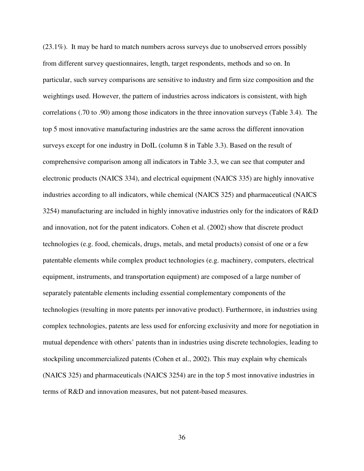(23.1%). It may be hard to match numbers across surveys due to unobserved errors possibly from different survey questionnaires, length, target respondents, methods and so on. In particular, such survey comparisons are sensitive to industry and firm size composition and the weightings used. However, the pattern of industries across indicators is consistent, with high correlations (.70 to .90) among those indicators in the three innovation surveys (Table 3.4). The top 5 most innovative manufacturing industries are the same across the different innovation surveys except for one industry in DoIL (column 8 in Table 3.3). Based on the result of comprehensive comparison among all indicators in Table 3.3, we can see that computer and electronic products (NAICS 334), and electrical equipment (NAICS 335) are highly innovative industries according to all indicators, while chemical (NAICS 325) and pharmaceutical (NAICS 3254) manufacturing are included in highly innovative industries only for the indicators of R&D and innovation, not for the patent indicators. Cohen et al. (2002) show that discrete product technologies (e.g. food, chemicals, drugs, metals, and metal products) consist of one or a few patentable elements while complex product technologies (e.g. machinery, computers, electrical equipment, instruments, and transportation equipment) are composed of a large number of separately patentable elements including essential complementary components of the technologies (resulting in more patents per innovative product). Furthermore, in industries using complex technologies, patents are less used for enforcing exclusivity and more for negotiation in mutual dependence with others' patents than in industries using discrete technologies, leading to stockpiling uncommercialized patents (Cohen et al., 2002). This may explain why chemicals (NAICS 325) and pharmaceuticals (NAICS 3254) are in the top 5 most innovative industries in terms of R&D and innovation measures, but not patent-based measures.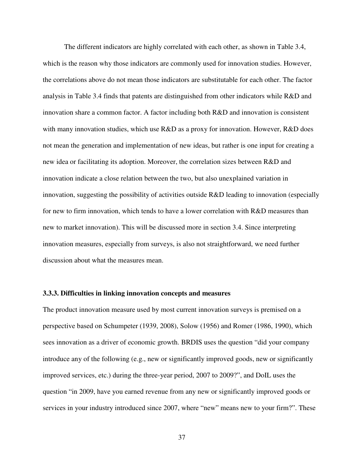The different indicators are highly correlated with each other, as shown in Table 3.4, which is the reason why those indicators are commonly used for innovation studies. However, the correlations above do not mean those indicators are substitutable for each other. The factor analysis in Table 3.4 finds that patents are distinguished from other indicators while R&D and innovation share a common factor. A factor including both R&D and innovation is consistent with many innovation studies, which use R&D as a proxy for innovation. However, R&D does not mean the generation and implementation of new ideas, but rather is one input for creating a new idea or facilitating its adoption. Moreover, the correlation sizes between R&D and innovation indicate a close relation between the two, but also unexplained variation in innovation, suggesting the possibility of activities outside R&D leading to innovation (especially for new to firm innovation, which tends to have a lower correlation with R&D measures than new to market innovation). This will be discussed more in section 3.4. Since interpreting innovation measures, especially from surveys, is also not straightforward, we need further discussion about what the measures mean.

## **3.3.3. Difficulties in linking innovation concepts and measures**

The product innovation measure used by most current innovation surveys is premised on a perspective based on Schumpeter (1939, 2008), Solow (1956) and Romer (1986, 1990), which sees innovation as a driver of economic growth. BRDIS uses the question "did your company introduce any of the following (e.g., new or significantly improved goods, new or significantly improved services, etc.) during the three-year period, 2007 to 2009?", and DoIL uses the question "in 2009, have you earned revenue from any new or significantly improved goods or services in your industry introduced since 2007, where "new" means new to your firm?". These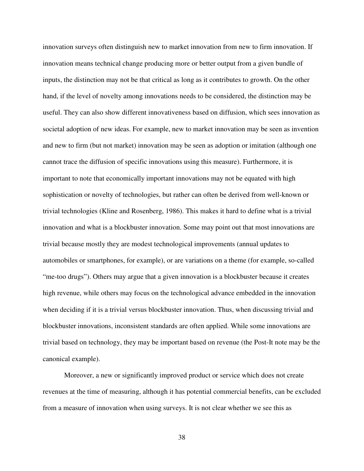innovation surveys often distinguish new to market innovation from new to firm innovation. If innovation means technical change producing more or better output from a given bundle of inputs, the distinction may not be that critical as long as it contributes to growth. On the other hand, if the level of novelty among innovations needs to be considered, the distinction may be useful. They can also show different innovativeness based on diffusion, which sees innovation as societal adoption of new ideas. For example, new to market innovation may be seen as invention and new to firm (but not market) innovation may be seen as adoption or imitation (although one cannot trace the diffusion of specific innovations using this measure). Furthermore, it is important to note that economically important innovations may not be equated with high sophistication or novelty of technologies, but rather can often be derived from well-known or trivial technologies (Kline and Rosenberg, 1986). This makes it hard to define what is a trivial innovation and what is a blockbuster innovation. Some may point out that most innovations are trivial because mostly they are modest technological improvements (annual updates to automobiles or smartphones, for example), or are variations on a theme (for example, so-called "me-too drugs"). Others may argue that a given innovation is a blockbuster because it creates high revenue, while others may focus on the technological advance embedded in the innovation when deciding if it is a trivial versus blockbuster innovation. Thus, when discussing trivial and blockbuster innovations, inconsistent standards are often applied. While some innovations are trivial based on technology, they may be important based on revenue (the Post-It note may be the canonical example).

Moreover, a new or significantly improved product or service which does not create revenues at the time of measuring, although it has potential commercial benefits, can be excluded from a measure of innovation when using surveys. It is not clear whether we see this as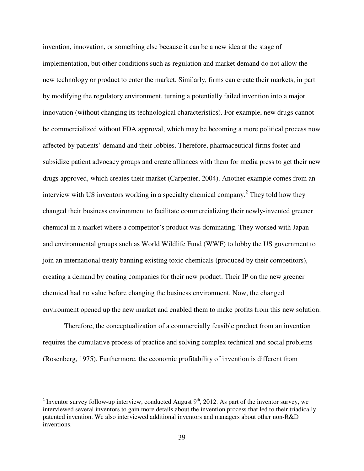invention, innovation, or something else because it can be a new idea at the stage of implementation, but other conditions such as regulation and market demand do not allow the new technology or product to enter the market. Similarly, firms can create their markets, in part by modifying the regulatory environment, turning a potentially failed invention into a major innovation (without changing its technological characteristics). For example, new drugs cannot be commercialized without FDA approval, which may be becoming a more political process now affected by patients' demand and their lobbies. Therefore, pharmaceutical firms foster and subsidize patient advocacy groups and create alliances with them for media press to get their new drugs approved, which creates their market (Carpenter, 2004). Another example comes from an interview with US inventors working in a specialty chemical company.<sup>2</sup> They told how they changed their business environment to facilitate commercializing their newly-invented greener chemical in a market where a competitor's product was dominating. They worked with Japan and environmental groups such as World Wildlife Fund (WWF) to lobby the US government to join an international treaty banning existing toxic chemicals (produced by their competitors), creating a demand by coating companies for their new product. Their IP on the new greener chemical had no value before changing the business environment. Now, the changed environment opened up the new market and enabled them to make profits from this new solution.

Therefore, the conceptualization of a commercially feasible product from an invention requires the cumulative process of practice and solving complex technical and social problems (Rosenberg, 1975). Furthermore, the economic profitability of invention is different from

<sup>&</sup>lt;sup>2</sup> Inventor survey follow-up interview, conducted August  $9<sup>th</sup>$ , 2012. As part of the inventor survey, we interviewed several inventors to gain more details about the invention process that led to their triadically patented invention. We also interviewed additional inventors and managers about other non-R&D inventions.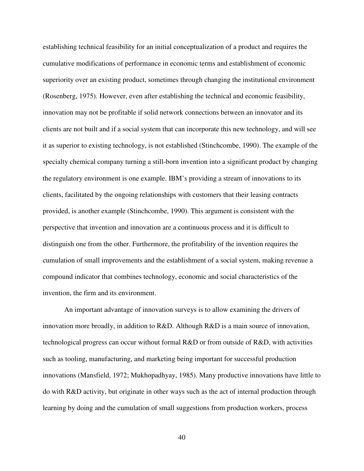establishing technical feasibility for an initial conceptualization of a product and requires the cumulative modifications of performance in economic terms and establishment of economic superiority over an existing product, sometimes through changing the institutional environment (Rosenberg, 1975). However, even after establishing the technical and economic feasibility, innovation may not be profitable if solid network connections between an innovator and its clients are not built and if a social system that can incorporate this new technology, and will see it as superior to existing technology, is not established (Stinchcombe, 1990). The example of the specialty chemical company turning a still-born invention into a significant product by changing the regulatory environment is one example. IBM's providing a stream of innovations to its clients, facilitated by the ongoing relationships with customers that their leasing contracts provided, is another example (Stinchcombe, 1990). This argument is consistent with the perspective that invention and innovation are a continuous process and it is difficult to distinguish one from the other. Furthermore, the profitability of the invention requires the cumulation of small improvements and the establishment of a social system, making revenue a compound indicator that combines technology, economic and social characteristics of the invention, the firm and its environment.

An important advantage of innovation surveys is to allow examining the drivers of innovation more broadly, in addition to  $R&D$ . Although  $R&D$  is a main source of innovation, technological progress can occur without formal R&D or from outside of R&D, with activities such as tooling, manufacturing, and marketing being important for successful production innovations (Mansfield, 1972; Mukhopadhyay, 1985). Many productive innovations have little to do with R&D activity, but originate in other ways such as the act of internal production through learning by doing and the cumulation of small suggestions from production workers, process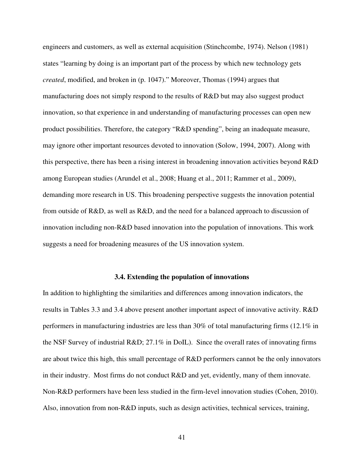engineers and customers, as well as external acquisition (Stinchcombe, 1974). Nelson (1981) states "learning by doing is an important part of the process by which new technology gets *created*, modified, and broken in (p. 1047)." Moreover, Thomas (1994) argues that manufacturing does not simply respond to the results of R&D but may also suggest product innovation, so that experience in and understanding of manufacturing processes can open new product possibilities. Therefore, the category "R&D spending", being an inadequate measure, may ignore other important resources devoted to innovation (Solow, 1994, 2007). Along with this perspective, there has been a rising interest in broadening innovation activities beyond R&D among European studies (Arundel et al., 2008; Huang et al., 2011; Rammer et al., 2009), demanding more research in US. This broadening perspective suggests the innovation potential from outside of R&D, as well as R&D, and the need for a balanced approach to discussion of innovation including non-R&D based innovation into the population of innovations. This work suggests a need for broadening measures of the US innovation system.

## **3.4. Extending the population of innovations**

In addition to highlighting the similarities and differences among innovation indicators, the results in Tables 3.3 and 3.4 above present another important aspect of innovative activity. R&D performers in manufacturing industries are less than 30% of total manufacturing firms (12.1% in the NSF Survey of industrial  $R&D$ ; 27.1% in DoIL). Since the overall rates of innovating firms are about twice this high, this small percentage of R&D performers cannot be the only innovators in their industry. Most firms do not conduct R&D and yet, evidently, many of them innovate. Non-R&D performers have been less studied in the firm-level innovation studies (Cohen, 2010). Also, innovation from non-R&D inputs, such as design activities, technical services, training,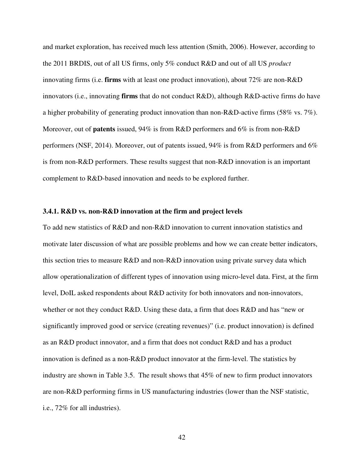and market exploration, has received much less attention (Smith, 2006). However, according to the 2011 BRDIS, out of all US firms, only 5% conduct R&D and out of all US *product* innovating firms (i.e. **firms** with at least one product innovation), about 72% are non-R&D innovators (i.e., innovating **firms** that do not conduct R&D), although R&D-active firms do have a higher probability of generating product innovation than non-R&D-active firms (58% vs. 7%). Moreover, out of **patents** issued, 94% is from R&D performers and 6% is from non-R&D performers (NSF, 2014). Moreover, out of patents issued, 94% is from R&D performers and 6% is from non-R&D performers. These results suggest that non-R&D innovation is an important complement to R&D-based innovation and needs to be explored further.

## **3.4.1. R&D vs. non-R&D innovation at the firm and project levels**

To add new statistics of R&D and non-R&D innovation to current innovation statistics and motivate later discussion of what are possible problems and how we can create better indicators, this section tries to measure R&D and non-R&D innovation using private survey data which allow operationalization of different types of innovation using micro-level data. First, at the firm level, DoIL asked respondents about R&D activity for both innovators and non-innovators, whether or not they conduct R&D. Using these data, a firm that does R&D and has "new or significantly improved good or service (creating revenues)" (i.e. product innovation) is defined as an R&D product innovator, and a firm that does not conduct R&D and has a product innovation is defined as a non-R&D product innovator at the firm-level. The statistics by industry are shown in Table 3.5. The result shows that 45% of new to firm product innovators are non-R&D performing firms in US manufacturing industries (lower than the NSF statistic, i.e., 72% for all industries).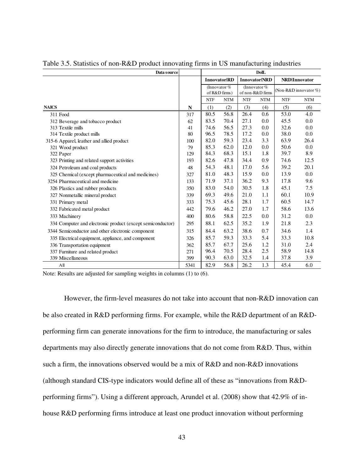| Data source                                                | <b>DolL</b> |            |                                 |            |                                    |            |                       |
|------------------------------------------------------------|-------------|------------|---------------------------------|------------|------------------------------------|------------|-----------------------|
|                                                            |             |            | <b>Innovator RD</b>             |            | <b>Innovator NRD</b>               |            | <b>NRD</b> IInnovator |
|                                                            |             |            | (Innovator $%$<br>of R&D firms) |            | (Innovator $%$<br>of non-R&D firms |            | (Non-R&D innovator %) |
|                                                            |             | <b>NTF</b> | <b>NTM</b>                      | <b>NTF</b> | <b>NTM</b>                         | <b>NTF</b> | <b>NTM</b>            |
| <b>NAICS</b>                                               | N           | (1)        | (2)                             | (3)        | (4)                                | (5)        | (6)                   |
| 311 Food                                                   | 317         | 80.5       | 56.8                            | 26.4       | 0.6                                | 53.0       | 4.0                   |
| 312 Beverage and tobacco product                           | 62          | 83.5       | 70.4                            | 27.1       | 0.0                                | 45.5       | 0.0                   |
| 313 Textile mills                                          | 41          | 74.6       | 56.5                            | 27.3       | 0.0                                | 32.6       | 0.0                   |
| 314 Textile product mills                                  | 80          | 96.5       | 78.5                            | 17.2       | 0.0                                | 38.0       | 0.0                   |
| 315-6 Apparel, leather and allied product                  | 100         | 82.0       | 59.3                            | 23.4       | 3.3                                | 63.9       | 26.4                  |
| 321 Wood product                                           | 79          | 85.3       | 62.0                            | 12.0       | 0.0                                | 50.6       | 0.0                   |
| 322 Paper                                                  | 129         | 84.3       | 68.3                            | 15.1       | 1.8                                | 39.7       | 8.9                   |
| 323 Printing and related support activities                | 193         | 82.6       | 47.8                            | 34.4       | 0.9                                | 74.6       | 12.5                  |
| 324 Petroleum and coal products                            | 48          | 54.3       | 48.1                            | 17.0       | 5.6                                | 39.2       | 20.1                  |
| 325 Chemical (except pharmaceutical and medicines)         | 327         | 81.0       | 48.3                            | 15.9       | 0.0                                | 13.9       | 0.0                   |
| 3254 Pharmaceutical and medicine                           | 133         | 71.9       | 37.1                            | 36.2       | 9.3                                | 17.8       | 9.6                   |
| 326 Plastics and rubber products                           | 350         | 83.0       | 54.0                            | 30.5       | 1.8                                | 45.1       | 7.5                   |
| 327 Nonmetallic mineral product                            | 339         | 69.3       | 49.6                            | 21.0       | 1.1                                | 60.1       | 10.9                  |
| 331 Primary metal                                          | 333         | 75.3       | 45.6                            | 28.1       | 1.7                                | 60.5       | 14.7                  |
| 332 Fabricated metal product                               | 442         | 79.6       | 46.2                            | 27.0       | 1.7                                | 58.6       | 13.6                  |
| 333 Machinery                                              | 400         | 80.6       | 58.8                            | 22.5       | 0.0                                | 31.2       | 0.0                   |
| 334 Computer and electronic product (except semiconductor) | 295         | 88.1       | 62.5                            | 35.2       | 1.9                                | 21.8       | 2.3                   |
| 3344 Semiconductor and other electronic component          | 315         | 84.4       | 63.2                            | 38.6       | 0.7                                | 34.6       | 1.4                   |
| 335 Electrical equipment, appliance, and component         | 326         | 85.7       | 59.3                            | 33.3       | 5.4                                | 33.3       | 10.8                  |
| 336 Transportation equipment                               | 362         | 85.7       | 67.7                            | 25.6       | 1.2                                | 31.0       | 2.4                   |
| 337 Furniture and related product                          | 271         | 96.4       | 70.5                            | 28.4       | 2.5                                | 58.9       | 14.8                  |
| 339 Miscellaneous                                          | 399         | 90.3       | 63.0                            | 32.5       | 1.4                                | 37.8       | 3.9                   |
| A11                                                        | 5341        | 82.9       | 56.8                            | 26.2       | 1.3                                | 45.4       | 6.0                   |

Table 3.5. Statistics of non-R&D product innovating firms in US manufacturing industries

Note: Results are adjusted for sampling weights in columns (1) to (6).

However, the firm-level measures do not take into account that non-R&D innovation can be also created in R&D performing firms. For example, while the R&D department of an R&Dperforming firm can generate innovations for the firm to introduce, the manufacturing or sales departments may also directly generate innovations that do not come from R&D. Thus, within such a firm, the innovations observed would be a mix of R&D and non-R&D innovations (although standard CIS-type indicators would define all of these as "innovations from R&Dperforming firms"). Using a different approach, Arundel et al. (2008) show that 42.9% of inhouse R&D performing firms introduce at least one product innovation without performing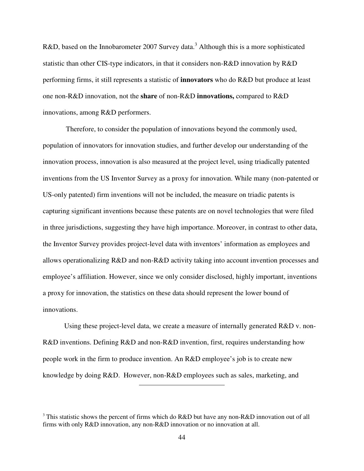R&D, based on the Innobarometer 2007 Survey data.<sup>3</sup> Although this is a more sophisticated statistic than other CIS-type indicators, in that it considers non-R&D innovation by R&D performing firms, it still represents a statistic of **innovators** who do R&D but produce at least one non-R&D innovation, not the **share** of non-R&D **innovations,** compared to R&D innovations, among R&D performers.

 Therefore, to consider the population of innovations beyond the commonly used, population of innovators for innovation studies, and further develop our understanding of the innovation process, innovation is also measured at the project level, using triadically patented inventions from the US Inventor Survey as a proxy for innovation. While many (non-patented or US-only patented) firm inventions will not be included, the measure on triadic patents is capturing significant inventions because these patents are on novel technologies that were filed in three jurisdictions, suggesting they have high importance. Moreover, in contrast to other data, the Inventor Survey provides project-level data with inventors' information as employees and allows operationalizing R&D and non-R&D activity taking into account invention processes and employee's affiliation. However, since we only consider disclosed, highly important, inventions a proxy for innovation, the statistics on these data should represent the lower bound of innovations.

Using these project-level data, we create a measure of internally generated  $R&D$  v. non-R&D inventions. Defining R&D and non-R&D invention, first, requires understanding how people work in the firm to produce invention. An R&D employee's job is to create new knowledge by doing R&D. However, non-R&D employees such as sales, marketing, and

<sup>&</sup>lt;sup>3</sup> This statistic shows the percent of firms which do R&D but have any non-R&D innovation out of all firms with only R&D innovation, any non-R&D innovation or no innovation at all.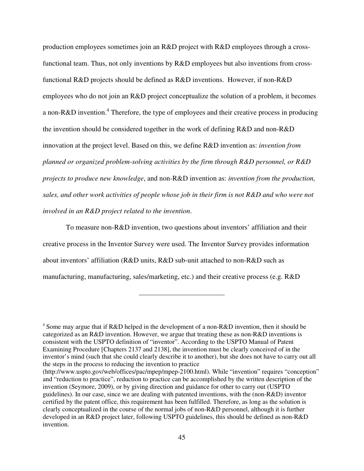production employees sometimes join an R&D project with R&D employees through a crossfunctional team. Thus, not only inventions by R&D employees but also inventions from crossfunctional R&D projects should be defined as R&D inventions. However, if non-R&D employees who do not join an R&D project conceptualize the solution of a problem, it becomes a non-R&D invention.<sup>4</sup> Therefore, the type of employees and their creative process in producing the invention should be considered together in the work of defining R&D and non-R&D innovation at the project level. Based on this, we define R&D invention as: *invention from planned or organized problem-solving activities by the firm through R&D personnel, or R&D projects to produce new knowledge*, and non-R&D invention as: *invention from the production, sales, and other work activities of people whose job in their firm is not R&D and who were not involved in an R&D project related to the invention*.

 To measure non-R&D invention, two questions about inventors' affiliation and their creative process in the Inventor Survey were used. The Inventor Survey provides information about inventors' affiliation (R&D units, R&D sub-unit attached to non-R&D such as manufacturing, manufacturing, sales/marketing, etc.) and their creative process (e.g. R&D

<sup>4</sup> Some may argue that if R&D helped in the development of a non-R&D invention, then it should be categorized as an R&D invention. However, we argue that treating these as non-R&D inventions is consistent with the USPTO definition of "inventor". According to the USPTO Manual of Patent Examining Procedure [Chapters 2137 and 2138], the invention must be clearly conceived of in the inventor's mind (such that she could clearly describe it to another), but she does not have to carry out all the steps in the process to reducing the invention to practice

<sup>(</sup>http://www.uspto.gov/web/offices/pac/mpep/mpep-2100.html). While "invention" requires "conception" and "reduction to practice", reduction to practice can be accomplished by the written description of the invention (Seymore, 2009), or by giving direction and guidance for other to carry out (USPTO guidelines). In our case, since we are dealing with patented inventions, with the (non-R&D) inventor certified by the patent office, this requirement has been fulfilled. Therefore, as long as the solution is clearly conceptualized in the course of the normal jobs of non-R&D personnel, although it is further developed in an R&D project later, following USPTO guidelines, this should be defined as non-R&D invention.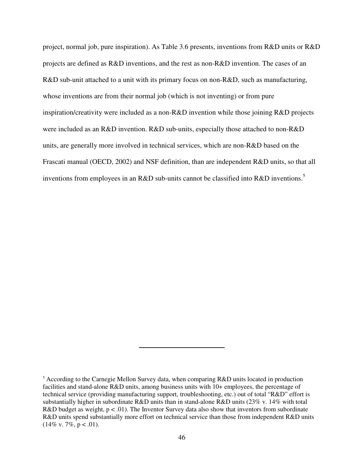project, normal job, pure inspiration). As Table 3.6 presents, inventions from R&D units or R&D projects are defined as R&D inventions, and the rest as non-R&D invention. The cases of an R&D sub-unit attached to a unit with its primary focus on non-R&D, such as manufacturing, whose inventions are from their normal job (which is not inventing) or from pure inspiration/creativity were included as a non-R&D invention while those joining R&D projects were included as an R&D invention. R&D sub-units, especially those attached to non-R&D units, are generally more involved in technical services, which are non-R&D based on the Frascati manual (OECD, 2002) and NSF definition, than are independent R&D units, so that all inventions from employees in an R&D sub-units cannot be classified into R&D inventions.<sup>5</sup>

<sup>&</sup>lt;sup>5</sup> According to the Carnegie Mellon Survey data, when comparing R&D units located in production facilities and stand-alone R&D units, among business units with 10+ employees, the percentage of technical service (providing manufacturing support, troubleshooting, etc.) out of total "R&D" effort is substantially higher in subordinate R&D units than in stand-alone R&D units (23% v. 14% with total R&D budget as weight,  $p < .01$ ). The Inventor Survey data also show that inventors from subordinate R&D units spend substantially more effort on technical service than those from independent R&D units  $(14\% \text{ v. } 7\%, \text{ p} < .01).$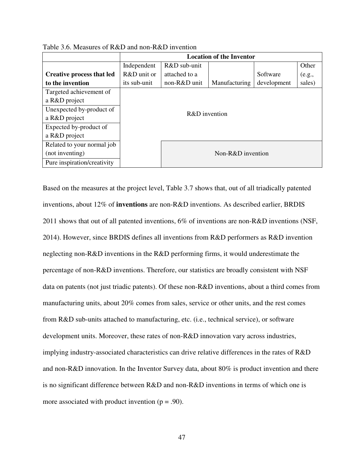|                                  | <b>Location of the Inventor</b> |                |               |             |        |  |  |  |  |
|----------------------------------|---------------------------------|----------------|---------------|-------------|--------|--|--|--|--|
|                                  | Independent                     | $R&D$ sub-unit |               |             | Other  |  |  |  |  |
| <b>Creative process that led</b> | $R&D$ unit or                   | attached to a  |               | Software    | (e.g., |  |  |  |  |
| to the invention                 | its sub-unit                    | non-R&D unit   | Manufacturing | development | sales) |  |  |  |  |
| Targeted achievement of          |                                 |                |               |             |        |  |  |  |  |
| a R&D project                    |                                 |                |               |             |        |  |  |  |  |
| Unexpected by-product of         |                                 | R&D invention  |               |             |        |  |  |  |  |
| a R&D project                    |                                 |                |               |             |        |  |  |  |  |
| Expected by-product of           |                                 |                |               |             |        |  |  |  |  |
| a R&D project                    |                                 |                |               |             |        |  |  |  |  |
| Related to your normal job       |                                 |                |               |             |        |  |  |  |  |
| (not inventing)                  | Non-R&D invention               |                |               |             |        |  |  |  |  |
| Pure inspiration/creativity      |                                 |                |               |             |        |  |  |  |  |

Table 3.6. Measures of R&D and non-R&D invention

Based on the measures at the project level, Table 3.7 shows that, out of all triadically patented inventions, about 12% of **inventions** are non-R&D inventions. As described earlier, BRDIS 2011 shows that out of all patented inventions, 6% of inventions are non-R&D inventions (NSF, 2014). However, since BRDIS defines all inventions from R&D performers as R&D invention neglecting non-R&D inventions in the R&D performing firms, it would underestimate the percentage of non-R&D inventions. Therefore, our statistics are broadly consistent with NSF data on patents (not just triadic patents). Of these non-R&D inventions, about a third comes from manufacturing units, about 20% comes from sales, service or other units, and the rest comes from R&D sub-units attached to manufacturing, etc. (i.e., technical service), or software development units. Moreover, these rates of non-R&D innovation vary across industries, implying industry-associated characteristics can drive relative differences in the rates of R&D and non-R&D innovation. In the Inventor Survey data, about 80% is product invention and there is no significant difference between R&D and non-R&D inventions in terms of which one is more associated with product invention  $(p = .90)$ .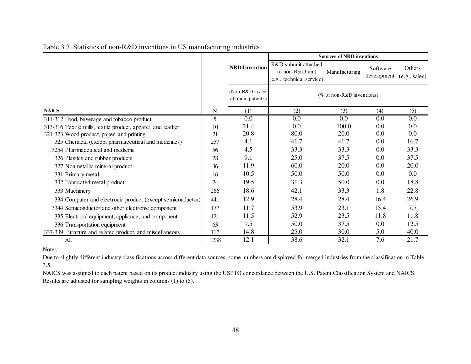|                                                              |      |                                               | <b>Sources of NRD inventions</b>                                     |                           |                         |                                |  |  |
|--------------------------------------------------------------|------|-----------------------------------------------|----------------------------------------------------------------------|---------------------------|-------------------------|--------------------------------|--|--|
|                                                              |      | <b>NRD</b> IInvention                         | R&D subunit attached<br>to non-R&D unit<br>(e.g., technical service) | Manufacturing             | Software<br>development | <b>Others</b><br>(e.g., sales) |  |  |
|                                                              |      | (Non-R&D in $\sqrt{\ }$<br>of tradic patents) |                                                                      | (% of non-R&D inventions) |                         |                                |  |  |
| <b>NAICS</b>                                                 | N    | (1)                                           | (2)                                                                  | (3)                       | (4)                     | (5)                            |  |  |
| 311-312 Food, beverage and tobacco product                   | 5    | 0.0                                           | 0.0                                                                  | 0.0                       | 0.0                     | 0.0                            |  |  |
| 313-316 Textile mills, textile product, apparel, and leather | 10   | 21.4                                          | 0.0                                                                  | 100.0                     | 0.0                     | 0.0                            |  |  |
| 321-323 Wood product, paper, and printing                    | 21   | 20.8                                          | 80.0                                                                 | 20.0                      | $0.0\,$                 | 0.0                            |  |  |
| 325 Chemical (except pharmaceutical and medicines)           | 257  | 4.1                                           | 41.7                                                                 | 41.7                      | 0.0                     | 16.7                           |  |  |
| 3254 Pharmaceutical and medicine                             | 56   | 4.5                                           | 33.3                                                                 | 33.3                      | 0.0                     | 33.3                           |  |  |
| 326 Plastics and rubber products                             | 78   | 9.1                                           | 25.0                                                                 | 37.5                      | 0.0                     | 37.5                           |  |  |
| 327 Nonmetallic mineral product                              | 36   | 11.9                                          | 60.0                                                                 | 20.0                      | 0.0                     | 20.0                           |  |  |
| 331 Primary metal                                            | 16   | 10.5                                          | 50.0                                                                 | 50.0                      | 0.0                     | 0.0                            |  |  |
| 332 Fabricated metal product                                 | 74   | 19.5                                          | 31.3                                                                 | 50.0                      | 0.0                     | 18.8                           |  |  |
| 333 Machinery                                                | 266  | 18.6                                          | 42.1                                                                 | 33.3                      | 1.8                     | 22.8                           |  |  |
| 334 Computer and electronic product (except semiconductor)   | 441  | 12.9                                          | 28.4                                                                 | 28.4                      | 16.4                    | 26.9                           |  |  |
| 3344 Semiconductor and other electronic component            | 177  | 11.7                                          | 53.9                                                                 | 23.1                      | 15.4                    | 7.7                            |  |  |
| 335 Electrical equipment, appliance, and component           | 121  | 11.5                                          | 52.9                                                                 | 23.5                      | 11.8                    | 11.8                           |  |  |
| 336 Transportation equipment                                 | 63   | 9.5                                           | 50.0                                                                 | 37.5                      | 0.0                     | 12.5                           |  |  |
| 337-339 Furniture and related product, and miscellaneous     | 117  | 14.8                                          | 25.0                                                                 | 30.0                      | 5.0                     | 40.0                           |  |  |
| A <sub>II</sub>                                              | 1738 | 12.1                                          | 38.6                                                                 | 32.1                      | 7.6                     | 21.7                           |  |  |

# Table 3.7. Statistics of non-R&D inventions in US manufacturing industries

Notes:

Due to slightly different industry classifications across different data sources, some numbers are displayed for merged industries from the classification in Table 3.5.

NAICS was assigned to each patent based on its product industry using the USPTO concordance between the U.S. Patent Classification System and NAICS. Results are adjusted for sampling weights in columns (1) to (5).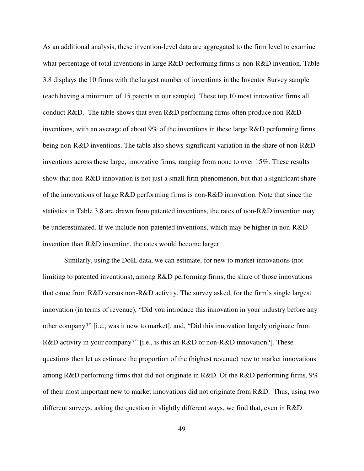As an additional analysis, these invention-level data are aggregated to the firm level to examine what percentage of total inventions in large R&D performing firms is non-R&D invention. Table 3.8 displays the 10 firms with the largest number of inventions in the Inventor Survey sample (each having a minimum of 15 patents in our sample). These top 10 most innovative firms all conduct R&D. The table shows that even R&D performing firms often produce non-R&D inventions, with an average of about 9% of the inventions in these large R&D performing firms being non-R&D inventions. The table also shows significant variation in the share of non-R&D inventions across these large, innovative firms, ranging from none to over 15%. These results show that non-R&D innovation is not just a small firm phenomenon, but that a significant share of the innovations of large R&D performing firms is non-R&D innovation. Note that since the statistics in Table 3.8 are drawn from patented inventions, the rates of non-R&D invention may be underestimated. If we include non-patented inventions, which may be higher in non-R&D invention than R&D invention, the rates would become larger.

Similarly, using the DoIL data, we can estimate, for new to market innovations (not limiting to patented inventions), among R&D performing firms, the share of those innovations that came from R&D versus non-R&D activity. The survey asked, for the firm's single largest innovation (in terms of revenue), "Did you introduce this innovation in your industry before any other company?" [i.e., was it new to market], and, "Did this innovation largely originate from R&D activity in your company?" [i.e., is this an R&D or non-R&D innovation?]. These questions then let us estimate the proportion of the (highest revenue) new to market innovations among R&D performing firms that did not originate in R&D. Of the R&D performing firms,  $9\%$ of their most important new to market innovations did not originate from R&D. Thus, using two different surveys, asking the question in slightly different ways, we find that, even in R&D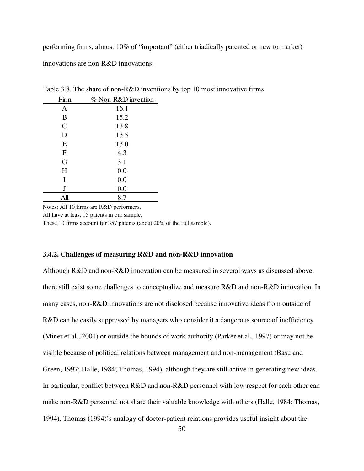performing firms, almost 10% of "important" (either triadically patented or new to market) innovations are non-R&D innovations.

| Firm           | % Non-R&D invention |
|----------------|---------------------|
| A              | 16.1                |
| B              | 15.2                |
| $\overline{C}$ | 13.8                |
| D              | 13.5                |
| E              | 13.0                |
| F              | 4.3                 |
| G              | 3.1                 |
| H              | 0.0                 |
| I              | 0.0                 |
| J              | 0.0                 |
| All            | 8.7                 |

Table 3.8. The share of non-R&D inventions by top 10 most innovative firms

Notes: All 10 firms are R&D performers.

All have at least 15 patents in our sample.

These 10 firms account for 357 patents (about 20% of the full sample).

## **3.4.2. Challenges of measuring R&D and non-R&D innovation**

Although R&D and non-R&D innovation can be measured in several ways as discussed above, there still exist some challenges to conceptualize and measure R&D and non-R&D innovation. In many cases, non-R&D innovations are not disclosed because innovative ideas from outside of R&D can be easily suppressed by managers who consider it a dangerous source of inefficiency (Miner et al., 2001) or outside the bounds of work authority (Parker et al., 1997) or may not be visible because of political relations between management and non-management (Basu and Green, 1997; Halle, 1984; Thomas, 1994), although they are still active in generating new ideas. In particular, conflict between R&D and non-R&D personnel with low respect for each other can make non-R&D personnel not share their valuable knowledge with others (Halle, 1984; Thomas, 1994). Thomas (1994)'s analogy of doctor-patient relations provides useful insight about the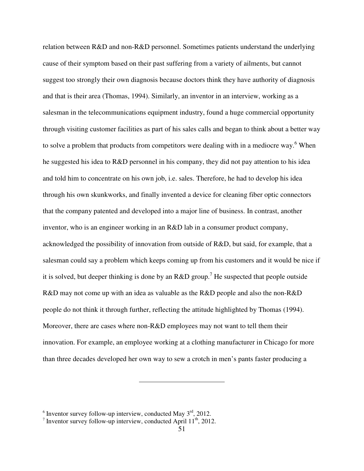relation between R&D and non-R&D personnel. Sometimes patients understand the underlying cause of their symptom based on their past suffering from a variety of ailments, but cannot suggest too strongly their own diagnosis because doctors think they have authority of diagnosis and that is their area (Thomas, 1994). Similarly, an inventor in an interview, working as a salesman in the telecommunications equipment industry, found a huge commercial opportunity through visiting customer facilities as part of his sales calls and began to think about a better way to solve a problem that products from competitors were dealing with in a mediocre way.<sup>6</sup> When he suggested his idea to R&D personnel in his company, they did not pay attention to his idea and told him to concentrate on his own job, i.e. sales. Therefore, he had to develop his idea through his own skunkworks, and finally invented a device for cleaning fiber optic connectors that the company patented and developed into a major line of business. In contrast, another inventor, who is an engineer working in an R&D lab in a consumer product company, acknowledged the possibility of innovation from outside of R&D, but said, for example, that a salesman could say a problem which keeps coming up from his customers and it would be nice if it is solved, but deeper thinking is done by an R&D group.<sup>7</sup> He suspected that people outside R&D may not come up with an idea as valuable as the R&D people and also the non-R&D people do not think it through further, reflecting the attitude highlighted by Thomas (1994). Moreover, there are cases where non-R&D employees may not want to tell them their innovation. For example, an employee working at a clothing manufacturer in Chicago for more than three decades developed her own way to sew a crotch in men's pants faster producing a

<sup>&</sup>lt;sup>6</sup> Inventor survey follow-up interview, conducted May  $3<sup>rd</sup>$ , 2012.

<sup>&</sup>lt;sup>7</sup> Inventor survey follow-up interview, conducted April  $11^{th}$ , 2012.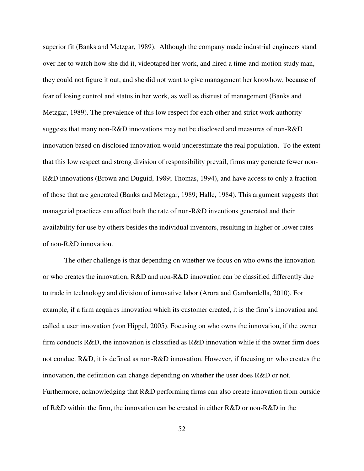superior fit (Banks and Metzgar, 1989). Although the company made industrial engineers stand over her to watch how she did it, videotaped her work, and hired a time-and-motion study man, they could not figure it out, and she did not want to give management her knowhow, because of fear of losing control and status in her work, as well as distrust of management (Banks and Metzgar, 1989). The prevalence of this low respect for each other and strict work authority suggests that many non-R&D innovations may not be disclosed and measures of non-R&D innovation based on disclosed innovation would underestimate the real population. To the extent that this low respect and strong division of responsibility prevail, firms may generate fewer non-R&D innovations (Brown and Duguid, 1989; Thomas, 1994), and have access to only a fraction of those that are generated (Banks and Metzgar, 1989; Halle, 1984). This argument suggests that managerial practices can affect both the rate of non-R&D inventions generated and their availability for use by others besides the individual inventors, resulting in higher or lower rates of non-R&D innovation.

The other challenge is that depending on whether we focus on who owns the innovation or who creates the innovation, R&D and non-R&D innovation can be classified differently due to trade in technology and division of innovative labor (Arora and Gambardella, 2010). For example, if a firm acquires innovation which its customer created, it is the firm's innovation and called a user innovation (von Hippel, 2005). Focusing on who owns the innovation, if the owner firm conducts  $R&D$ , the innovation is classified as  $R&D$  innovation while if the owner firm does not conduct R&D, it is defined as non-R&D innovation. However, if focusing on who creates the innovation, the definition can change depending on whether the user does R&D or not. Furthermore, acknowledging that R&D performing firms can also create innovation from outside of R&D within the firm, the innovation can be created in either R&D or non-R&D in the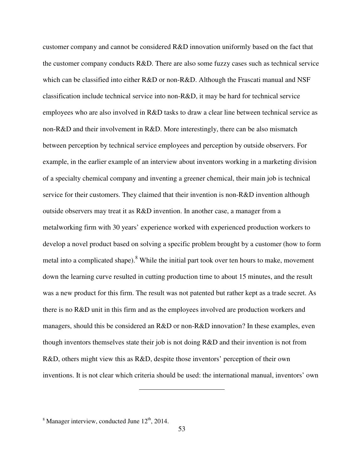customer company and cannot be considered R&D innovation uniformly based on the fact that the customer company conducts R&D. There are also some fuzzy cases such as technical service which can be classified into either R&D or non-R&D. Although the Frascati manual and NSF classification include technical service into non-R&D, it may be hard for technical service employees who are also involved in R&D tasks to draw a clear line between technical service as non-R&D and their involvement in R&D. More interestingly, there can be also mismatch between perception by technical service employees and perception by outside observers. For example, in the earlier example of an interview about inventors working in a marketing division of a specialty chemical company and inventing a greener chemical, their main job is technical service for their customers. They claimed that their invention is non-R&D invention although outside observers may treat it as R&D invention. In another case, a manager from a metalworking firm with 30 years' experience worked with experienced production workers to develop a novel product based on solving a specific problem brought by a customer (how to form metal into a complicated shape).<sup>8</sup> While the initial part took over ten hours to make, movement down the learning curve resulted in cutting production time to about 15 minutes, and the result was a new product for this firm. The result was not patented but rather kept as a trade secret. As there is no R&D unit in this firm and as the employees involved are production workers and managers, should this be considered an R&D or non-R&D innovation? In these examples, even though inventors themselves state their job is not doing R&D and their invention is not from R&D, others might view this as R&D, despite those inventors' perception of their own inventions. It is not clear which criteria should be used: the international manual, inventors' own

 $8$  Manager interview, conducted June  $12<sup>th</sup>$ , 2014.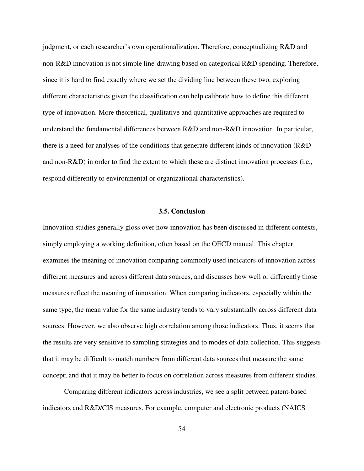judgment, or each researcher's own operationalization. Therefore, conceptualizing R&D and non-R&D innovation is not simple line-drawing based on categorical R&D spending. Therefore, since it is hard to find exactly where we set the dividing line between these two, exploring different characteristics given the classification can help calibrate how to define this different type of innovation. More theoretical, qualitative and quantitative approaches are required to understand the fundamental differences between R&D and non-R&D innovation. In particular, there is a need for analyses of the conditions that generate different kinds of innovation (R&D and non-R&D) in order to find the extent to which these are distinct innovation processes (i.e., respond differently to environmental or organizational characteristics).

# **3.5. Conclusion**

Innovation studies generally gloss over how innovation has been discussed in different contexts, simply employing a working definition, often based on the OECD manual. This chapter examines the meaning of innovation comparing commonly used indicators of innovation across different measures and across different data sources, and discusses how well or differently those measures reflect the meaning of innovation. When comparing indicators, especially within the same type, the mean value for the same industry tends to vary substantially across different data sources. However, we also observe high correlation among those indicators. Thus, it seems that the results are very sensitive to sampling strategies and to modes of data collection. This suggests that it may be difficult to match numbers from different data sources that measure the same concept; and that it may be better to focus on correlation across measures from different studies.

Comparing different indicators across industries, we see a split between patent-based indicators and R&D/CIS measures. For example, computer and electronic products (NAICS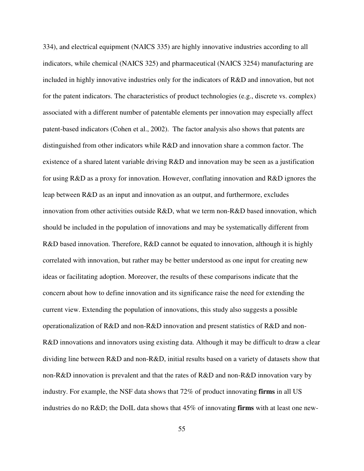334), and electrical equipment (NAICS 335) are highly innovative industries according to all indicators, while chemical (NAICS 325) and pharmaceutical (NAICS 3254) manufacturing are included in highly innovative industries only for the indicators of R&D and innovation, but not for the patent indicators. The characteristics of product technologies (e.g., discrete vs. complex) associated with a different number of patentable elements per innovation may especially affect patent-based indicators (Cohen et al., 2002). The factor analysis also shows that patents are distinguished from other indicators while R&D and innovation share a common factor. The existence of a shared latent variable driving R&D and innovation may be seen as a justification for using R&D as a proxy for innovation. However, conflating innovation and R&D ignores the leap between R&D as an input and innovation as an output, and furthermore, excludes innovation from other activities outside R&D, what we term non-R&D based innovation, which should be included in the population of innovations and may be systematically different from R&D based innovation. Therefore, R&D cannot be equated to innovation, although it is highly correlated with innovation, but rather may be better understood as one input for creating new ideas or facilitating adoption. Moreover, the results of these comparisons indicate that the concern about how to define innovation and its significance raise the need for extending the current view. Extending the population of innovations, this study also suggests a possible operationalization of R&D and non-R&D innovation and present statistics of R&D and non-R&D innovations and innovators using existing data. Although it may be difficult to draw a clear dividing line between R&D and non-R&D, initial results based on a variety of datasets show that non-R&D innovation is prevalent and that the rates of R&D and non-R&D innovation vary by industry. For example, the NSF data shows that 72% of product innovating **firms** in all US industries do no R&D; the DoIL data shows that 45% of innovating **firms** with at least one new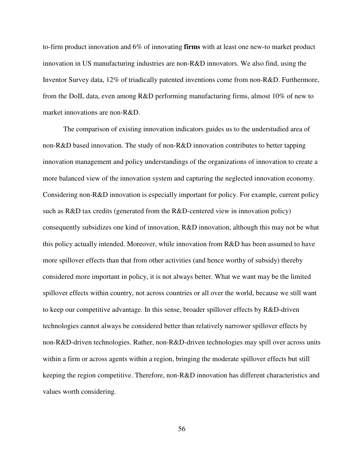to-firm product innovation and 6% of innovating **firms** with at least one new-to market product innovation in US manufacturing industries are non-R&D innovators. We also find, using the Inventor Survey data, 12% of triadically patented inventions come from non-R&D. Furthermore, from the DoIL data, even among R&D performing manufacturing firms, almost 10% of new to market innovations are non-R&D.

The comparison of existing innovation indicators guides us to the understudied area of non-R&D based innovation. The study of non-R&D innovation contributes to better tapping innovation management and policy understandings of the organizations of innovation to create a more balanced view of the innovation system and capturing the neglected innovation economy. Considering non-R&D innovation is especially important for policy. For example, current policy such as R&D tax credits (generated from the R&D-centered view in innovation policy) consequently subsidizes one kind of innovation, R&D innovation, although this may not be what this policy actually intended. Moreover, while innovation from R&D has been assumed to have more spillover effects than that from other activities (and hence worthy of subsidy) thereby considered more important in policy, it is not always better. What we want may be the limited spillover effects within country, not across countries or all over the world, because we still want to keep our competitive advantage. In this sense, broader spillover effects by R&D-driven technologies cannot always be considered better than relatively narrower spillover effects by non-R&D-driven technologies. Rather, non-R&D-driven technologies may spill over across units within a firm or across agents within a region, bringing the moderate spillover effects but still keeping the region competitive. Therefore, non-R&D innovation has different characteristics and values worth considering.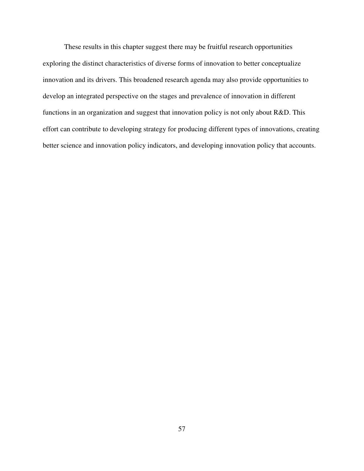These results in this chapter suggest there may be fruitful research opportunities exploring the distinct characteristics of diverse forms of innovation to better conceptualize innovation and its drivers. This broadened research agenda may also provide opportunities to develop an integrated perspective on the stages and prevalence of innovation in different functions in an organization and suggest that innovation policy is not only about R&D. This effort can contribute to developing strategy for producing different types of innovations, creating better science and innovation policy indicators, and developing innovation policy that accounts.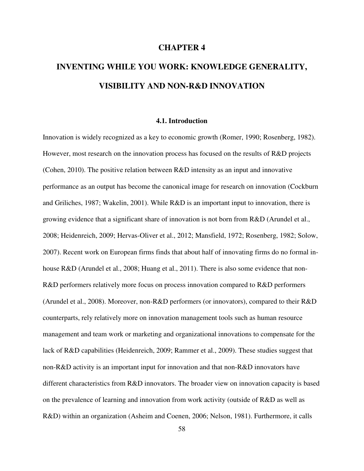# **CHAPTER 4**

# **INVENTING WHILE YOU WORK: KNOWLEDGE GENERALITY, VISIBILITY AND NON-R&D INNOVATION**

# **4.1. Introduction**

Innovation is widely recognized as a key to economic growth (Romer, 1990; Rosenberg, 1982). However, most research on the innovation process has focused on the results of R&D projects (Cohen, 2010). The positive relation between R&D intensity as an input and innovative performance as an output has become the canonical image for research on innovation (Cockburn and Griliches, 1987; Wakelin, 2001). While R&D is an important input to innovation, there is growing evidence that a significant share of innovation is not born from R&D (Arundel et al., 2008; Heidenreich, 2009; Hervas-Oliver et al., 2012; Mansfield, 1972; Rosenberg, 1982; Solow, 2007). Recent work on European firms finds that about half of innovating firms do no formal inhouse R&D (Arundel et al., 2008; Huang et al., 2011). There is also some evidence that non-R&D performers relatively more focus on process innovation compared to R&D performers (Arundel et al., 2008). Moreover, non-R&D performers (or innovators), compared to their R&D counterparts, rely relatively more on innovation management tools such as human resource management and team work or marketing and organizational innovations to compensate for the lack of R&D capabilities (Heidenreich, 2009; Rammer et al., 2009). These studies suggest that non-R&D activity is an important input for innovation and that non-R&D innovators have different characteristics from R&D innovators. The broader view on innovation capacity is based on the prevalence of learning and innovation from work activity (outside of R&D as well as R&D) within an organization (Asheim and Coenen, 2006; Nelson, 1981). Furthermore, it calls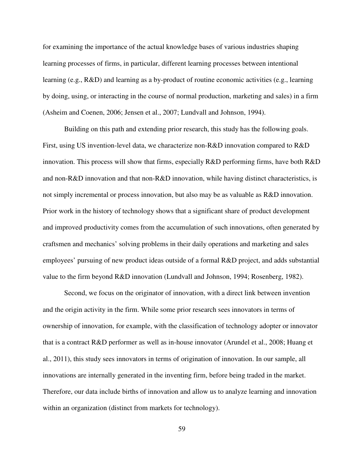for examining the importance of the actual knowledge bases of various industries shaping learning processes of firms, in particular, different learning processes between intentional learning (e.g., R&D) and learning as a by-product of routine economic activities (e.g., learning by doing, using, or interacting in the course of normal production, marketing and sales) in a firm (Asheim and Coenen, 2006; Jensen et al., 2007; Lundvall and Johnson, 1994).

Building on this path and extending prior research, this study has the following goals. First, using US invention-level data, we characterize non-R&D innovation compared to R&D innovation. This process will show that firms, especially R&D performing firms, have both R&D and non-R&D innovation and that non-R&D innovation, while having distinct characteristics, is not simply incremental or process innovation, but also may be as valuable as R&D innovation. Prior work in the history of technology shows that a significant share of product development and improved productivity comes from the accumulation of such innovations, often generated by craftsmen and mechanics' solving problems in their daily operations and marketing and sales employees' pursuing of new product ideas outside of a formal R&D project, and adds substantial value to the firm beyond R&D innovation (Lundvall and Johnson, 1994; Rosenberg, 1982).

Second, we focus on the originator of innovation, with a direct link between invention and the origin activity in the firm. While some prior research sees innovators in terms of ownership of innovation, for example, with the classification of technology adopter or innovator that is a contract R&D performer as well as in-house innovator (Arundel et al., 2008; Huang et al., 2011), this study sees innovators in terms of origination of innovation. In our sample, all innovations are internally generated in the inventing firm, before being traded in the market. Therefore, our data include births of innovation and allow us to analyze learning and innovation within an organization (distinct from markets for technology).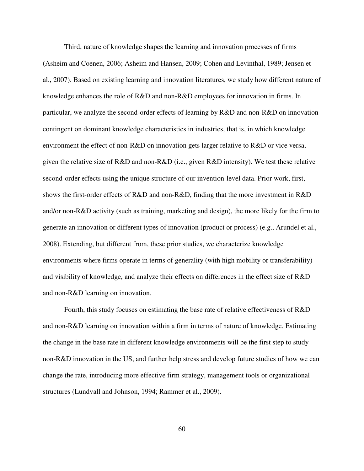Third, nature of knowledge shapes the learning and innovation processes of firms (Asheim and Coenen, 2006; Asheim and Hansen, 2009; Cohen and Levinthal, 1989; Jensen et al., 2007). Based on existing learning and innovation literatures, we study how different nature of knowledge enhances the role of R&D and non-R&D employees for innovation in firms. In particular, we analyze the second-order effects of learning by R&D and non-R&D on innovation contingent on dominant knowledge characteristics in industries, that is, in which knowledge environment the effect of non-R&D on innovation gets larger relative to R&D or vice versa, given the relative size of R&D and non-R&D (i.e., given R&D intensity). We test these relative second-order effects using the unique structure of our invention-level data. Prior work, first, shows the first-order effects of R&D and non-R&D, finding that the more investment in R&D and/or non-R&D activity (such as training, marketing and design), the more likely for the firm to generate an innovation or different types of innovation (product or process) (e.g., Arundel et al., 2008). Extending, but different from, these prior studies, we characterize knowledge environments where firms operate in terms of generality (with high mobility or transferability) and visibility of knowledge, and analyze their effects on differences in the effect size of R&D and non-R&D learning on innovation.

Fourth, this study focuses on estimating the base rate of relative effectiveness of R&D and non-R&D learning on innovation within a firm in terms of nature of knowledge. Estimating the change in the base rate in different knowledge environments will be the first step to study non-R&D innovation in the US, and further help stress and develop future studies of how we can change the rate, introducing more effective firm strategy, management tools or organizational structures (Lundvall and Johnson, 1994; Rammer et al., 2009).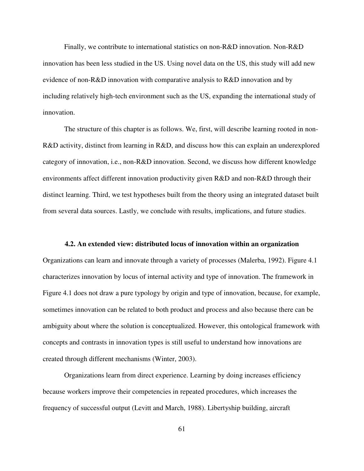Finally, we contribute to international statistics on non-R&D innovation. Non-R&D innovation has been less studied in the US. Using novel data on the US, this study will add new evidence of non-R&D innovation with comparative analysis to R&D innovation and by including relatively high-tech environment such as the US, expanding the international study of innovation.

The structure of this chapter is as follows. We, first, will describe learning rooted in non-R&D activity, distinct from learning in R&D, and discuss how this can explain an underexplored category of innovation, i.e., non-R&D innovation. Second, we discuss how different knowledge environments affect different innovation productivity given R&D and non-R&D through their distinct learning. Third, we test hypotheses built from the theory using an integrated dataset built from several data sources. Lastly, we conclude with results, implications, and future studies.

# **4.2. An extended view: distributed locus of innovation within an organization**

Organizations can learn and innovate through a variety of processes (Malerba, 1992). Figure 4.1 characterizes innovation by locus of internal activity and type of innovation. The framework in Figure 4.1 does not draw a pure typology by origin and type of innovation, because, for example, sometimes innovation can be related to both product and process and also because there can be ambiguity about where the solution is conceptualized. However, this ontological framework with concepts and contrasts in innovation types is still useful to understand how innovations are created through different mechanisms (Winter, 2003).

Organizations learn from direct experience. Learning by doing increases efficiency because workers improve their competencies in repeated procedures, which increases the frequency of successful output (Levitt and March, 1988). Libertyship building, aircraft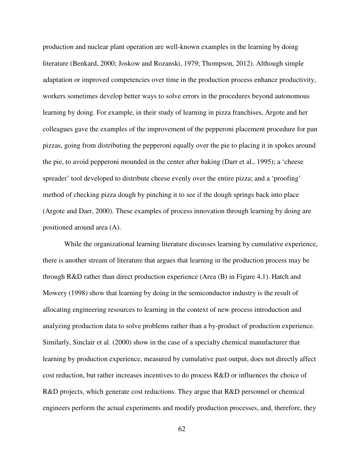production and nuclear plant operation are well-known examples in the learning by doing literature (Benkard, 2000; Joskow and Rozanski, 1979; Thompson, 2012). Although simple adaptation or improved competencies over time in the production process enhance productivity, workers sometimes develop better ways to solve errors in the procedures beyond autonomous learning by doing. For example, in their study of learning in pizza franchises, Argote and her colleagues gave the examples of the improvement of the pepperoni placement procedure for pan pizzas, going from distributing the pepperoni equally over the pie to placing it in spokes around the pie, to avoid pepperoni mounded in the center after baking (Darr et al., 1995); a 'cheese spreader' tool developed to distribute cheese evenly over the entire pizza; and a 'proofing' method of checking pizza dough by pinching it to see if the dough springs back into place (Argote and Darr, 2000). These examples of process innovation through learning by doing are positioned around area (A).

While the organizational learning literature discusses learning by cumulative experience, there is another stream of literature that argues that learning in the production process may be through R&D rather than direct production experience (Area (B) in Figure 4.1). Hatch and Mowery (1998) show that learning by doing in the semiconductor industry is the result of allocating engineering resources to learning in the context of new process introduction and analyzing production data to solve problems rather than a by-product of production experience. Similarly, Sinclair et al. (2000) show in the case of a specialty chemical manufacturer that learning by production experience, measured by cumulative past output, does not directly affect cost reduction, but rather increases incentives to do process R&D or influences the choice of R&D projects, which generate cost reductions. They argue that R&D personnel or chemical engineers perform the actual experiments and modify production processes, and, therefore, they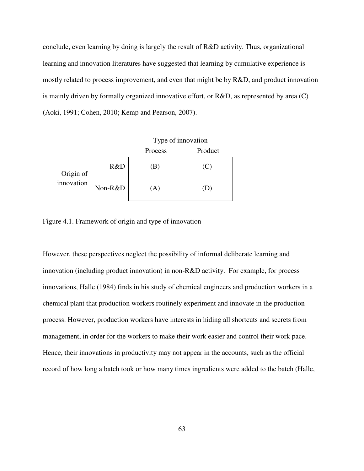conclude, even learning by doing is largely the result of R&D activity. Thus, organizational learning and innovation literatures have suggested that learning by cumulative experience is mostly related to process improvement, and even that might be by R&D, and product innovation is mainly driven by formally organized innovative effort, or R&D, as represented by area (C) (Aoki, 1991; Cohen, 2010; Kemp and Pearson, 2007).

|                         |         | Type of innovation |         |  |  |  |  |
|-------------------------|---------|--------------------|---------|--|--|--|--|
|                         |         | Process            | Product |  |  |  |  |
| Origin of<br>innovation | R&D     | b.                 | (C)     |  |  |  |  |
|                         | Non-R&D | A)                 | ⅅ       |  |  |  |  |

Figure 4.1. Framework of origin and type of innovation

However, these perspectives neglect the possibility of informal deliberate learning and innovation (including product innovation) in non-R&D activity. For example, for process innovations, Halle (1984) finds in his study of chemical engineers and production workers in a chemical plant that production workers routinely experiment and innovate in the production process. However, production workers have interests in hiding all shortcuts and secrets from management, in order for the workers to make their work easier and control their work pace. Hence, their innovations in productivity may not appear in the accounts, such as the official record of how long a batch took or how many times ingredients were added to the batch (Halle,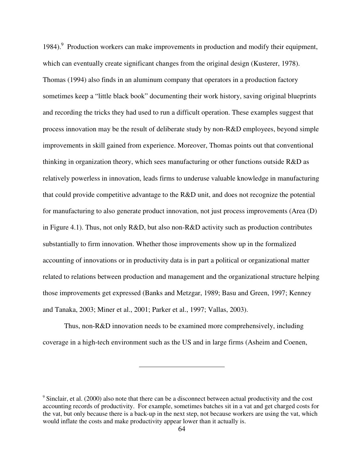1984). Production workers can make improvements in production and modify their equipment, which can eventually create significant changes from the original design (Kusterer, 1978). Thomas (1994) also finds in an aluminum company that operators in a production factory sometimes keep a "little black book" documenting their work history, saving original blueprints and recording the tricks they had used to run a difficult operation. These examples suggest that process innovation may be the result of deliberate study by non-R&D employees, beyond simple improvements in skill gained from experience. Moreover, Thomas points out that conventional thinking in organization theory, which sees manufacturing or other functions outside R&D as relatively powerless in innovation, leads firms to underuse valuable knowledge in manufacturing that could provide competitive advantage to the R&D unit, and does not recognize the potential for manufacturing to also generate product innovation, not just process improvements (Area (D) in Figure 4.1). Thus, not only R&D, but also non-R&D activity such as production contributes substantially to firm innovation. Whether those improvements show up in the formalized accounting of innovations or in productivity data is in part a political or organizational matter related to relations between production and management and the organizational structure helping those improvements get expressed (Banks and Metzgar, 1989; Basu and Green, 1997; Kenney and Tanaka, 2003; Miner et al., 2001; Parker et al., 1997; Vallas, 2003).

Thus, non-R&D innovation needs to be examined more comprehensively, including coverage in a high-tech environment such as the US and in large firms (Asheim and Coenen,

<sup>&</sup>lt;sup>9</sup> Sinclair, et al. (2000) also note that there can be a disconnect between actual productivity and the cost accounting records of productivity. For example, sometimes batches sit in a vat and get charged costs for the vat, but only because there is a back-up in the next step, not because workers are using the vat, which would inflate the costs and make productivity appear lower than it actually is.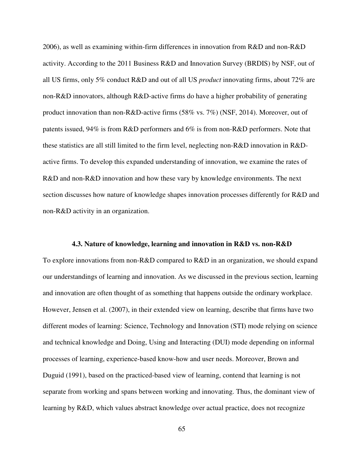2006), as well as examining within-firm differences in innovation from R&D and non-R&D activity. According to the 2011 Business R&D and Innovation Survey (BRDIS) by NSF, out of all US firms, only 5% conduct R&D and out of all US *product* innovating firms, about 72% are non-R&D innovators, although R&D-active firms do have a higher probability of generating product innovation than non-R&D-active firms (58% vs. 7%) (NSF, 2014). Moreover, out of patents issued, 94% is from R&D performers and 6% is from non-R&D performers. Note that these statistics are all still limited to the firm level, neglecting non-R&D innovation in R&Dactive firms. To develop this expanded understanding of innovation, we examine the rates of R&D and non-R&D innovation and how these vary by knowledge environments. The next section discusses how nature of knowledge shapes innovation processes differently for R&D and non-R&D activity in an organization.

# **4.3. Nature of knowledge, learning and innovation in R&D vs. non-R&D**

To explore innovations from non-R&D compared to R&D in an organization, we should expand our understandings of learning and innovation. As we discussed in the previous section, learning and innovation are often thought of as something that happens outside the ordinary workplace. However, Jensen et al. (2007), in their extended view on learning, describe that firms have two different modes of learning: Science, Technology and Innovation (STI) mode relying on science and technical knowledge and Doing, Using and Interacting (DUI) mode depending on informal processes of learning, experience-based know-how and user needs. Moreover, Brown and Duguid (1991), based on the practiced-based view of learning, contend that learning is not separate from working and spans between working and innovating. Thus, the dominant view of learning by R&D, which values abstract knowledge over actual practice, does not recognize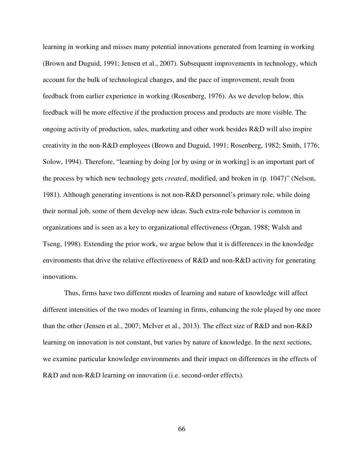learning in working and misses many potential innovations generated from learning in working (Brown and Duguid, 1991; Jensen et al., 2007). Subsequent improvements in technology, which account for the bulk of technological changes, and the pace of improvement, result from feedback from earlier experience in working (Rosenberg, 1976). As we develop below, this feedback will be more effective if the production process and products are more visible. The ongoing activity of production, sales, marketing and other work besides R&D will also inspire creativity in the non-R&D employees (Brown and Duguid, 1991; Rosenberg, 1982; Smith, 1776; Solow, 1994). Therefore, "learning by doing [or by using or in working] is an important part of the process by which new technology gets *created*, modified, and broken in (p. 1047)" (Nelson, 1981). Although generating inventions is not non-R&D personnel's primary role, while doing their normal job, some of them develop new ideas. Such extra-role behavior is common in organizations and is seen as a key to organizational effectiveness (Organ, 1988; Walsh and Tseng, 1998). Extending the prior work, we argue below that it is differences in the knowledge environments that drive the relative effectiveness of R&D and non-R&D activity for generating innovations.

Thus, firms have two different modes of learning and nature of knowledge will affect different intensities of the two modes of learning in firms, enhancing the role played by one more than the other (Jensen et al., 2007; McIver et al., 2013). The effect size of R&D and non-R&D learning on innovation is not constant, but varies by nature of knowledge. In the next sections, we examine particular knowledge environments and their impact on differences in the effects of R&D and non-R&D learning on innovation (i.e. second-order effects).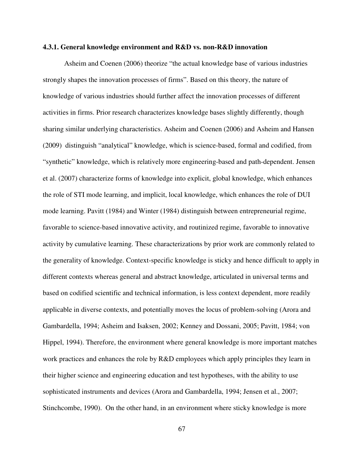# **4.3.1. General knowledge environment and R&D vs. non-R&D innovation**

Asheim and Coenen (2006) theorize "the actual knowledge base of various industries strongly shapes the innovation processes of firms". Based on this theory, the nature of knowledge of various industries should further affect the innovation processes of different activities in firms. Prior research characterizes knowledge bases slightly differently, though sharing similar underlying characteristics. Asheim and Coenen (2006) and Asheim and Hansen (2009) distinguish "analytical" knowledge, which is science-based, formal and codified, from "synthetic" knowledge, which is relatively more engineering-based and path-dependent. Jensen et al. (2007) characterize forms of knowledge into explicit, global knowledge, which enhances the role of STI mode learning, and implicit, local knowledge, which enhances the role of DUI mode learning. Pavitt (1984) and Winter (1984) distinguish between entrepreneurial regime, favorable to science-based innovative activity, and routinized regime, favorable to innovative activity by cumulative learning. These characterizations by prior work are commonly related to the generality of knowledge. Context-specific knowledge is sticky and hence difficult to apply in different contexts whereas general and abstract knowledge, articulated in universal terms and based on codified scientific and technical information, is less context dependent, more readily applicable in diverse contexts, and potentially moves the locus of problem-solving (Arora and Gambardella, 1994; Asheim and Isaksen, 2002; Kenney and Dossani, 2005; Pavitt, 1984; von Hippel, 1994). Therefore, the environment where general knowledge is more important matches work practices and enhances the role by R&D employees which apply principles they learn in their higher science and engineering education and test hypotheses, with the ability to use sophisticated instruments and devices (Arora and Gambardella, 1994; Jensen et al., 2007; Stinchcombe, 1990). On the other hand, in an environment where sticky knowledge is more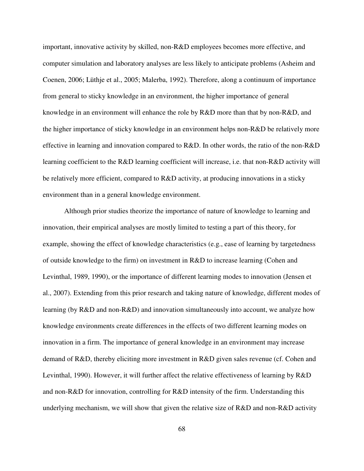important, innovative activity by skilled, non-R&D employees becomes more effective, and computer simulation and laboratory analyses are less likely to anticipate problems (Asheim and Coenen, 2006; Lüthje et al., 2005; Malerba, 1992). Therefore, along a continuum of importance from general to sticky knowledge in an environment, the higher importance of general knowledge in an environment will enhance the role by R&D more than that by non-R&D, and the higher importance of sticky knowledge in an environment helps non-R&D be relatively more effective in learning and innovation compared to R&D. In other words, the ratio of the non-R&D learning coefficient to the R&D learning coefficient will increase, i.e. that non-R&D activity will be relatively more efficient, compared to R&D activity, at producing innovations in a sticky environment than in a general knowledge environment.

Although prior studies theorize the importance of nature of knowledge to learning and innovation, their empirical analyses are mostly limited to testing a part of this theory, for example, showing the effect of knowledge characteristics (e.g., ease of learning by targetedness of outside knowledge to the firm) on investment in R&D to increase learning (Cohen and Levinthal, 1989, 1990), or the importance of different learning modes to innovation (Jensen et al., 2007). Extending from this prior research and taking nature of knowledge, different modes of learning (by R&D and non-R&D) and innovation simultaneously into account, we analyze how knowledge environments create differences in the effects of two different learning modes on innovation in a firm. The importance of general knowledge in an environment may increase demand of R&D, thereby eliciting more investment in R&D given sales revenue (cf. Cohen and Levinthal, 1990). However, it will further affect the relative effectiveness of learning by R&D and non-R&D for innovation, controlling for R&D intensity of the firm. Understanding this underlying mechanism, we will show that given the relative size of  $R&D$  and non- $R&D$  activity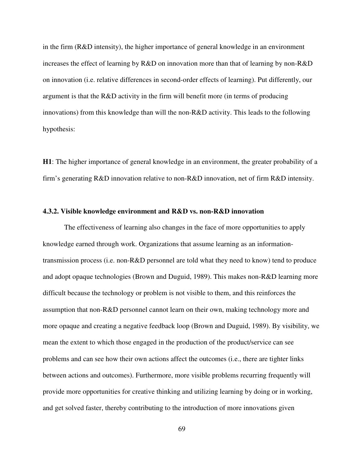in the firm (R&D intensity), the higher importance of general knowledge in an environment increases the effect of learning by R&D on innovation more than that of learning by non-R&D on innovation (i.e. relative differences in second-order effects of learning). Put differently, our argument is that the R&D activity in the firm will benefit more (in terms of producing innovations) from this knowledge than will the non-R&D activity. This leads to the following hypothesis:

**H1**: The higher importance of general knowledge in an environment, the greater probability of a firm's generating R&D innovation relative to non-R&D innovation, net of firm R&D intensity.

# **4.3.2. Visible knowledge environment and R&D vs. non-R&D innovation**

The effectiveness of learning also changes in the face of more opportunities to apply knowledge earned through work. Organizations that assume learning as an informationtransmission process (i.e. non-R&D personnel are told what they need to know) tend to produce and adopt opaque technologies (Brown and Duguid, 1989). This makes non-R&D learning more difficult because the technology or problem is not visible to them, and this reinforces the assumption that non-R&D personnel cannot learn on their own, making technology more and more opaque and creating a negative feedback loop (Brown and Duguid, 1989). By visibility, we mean the extent to which those engaged in the production of the product/service can see problems and can see how their own actions affect the outcomes (i.e., there are tighter links between actions and outcomes). Furthermore, more visible problems recurring frequently will provide more opportunities for creative thinking and utilizing learning by doing or in working, and get solved faster, thereby contributing to the introduction of more innovations given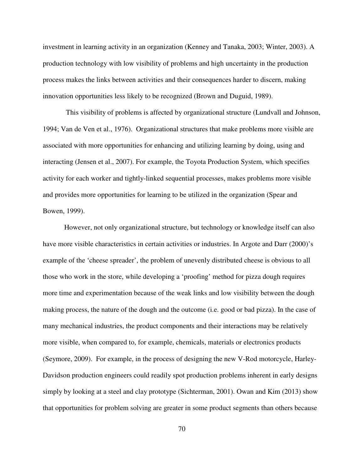investment in learning activity in an organization (Kenney and Tanaka, 2003; Winter, 2003). A production technology with low visibility of problems and high uncertainty in the production process makes the links between activities and their consequences harder to discern, making innovation opportunities less likely to be recognized (Brown and Duguid, 1989).

 This visibility of problems is affected by organizational structure (Lundvall and Johnson, 1994; Van de Ven et al., 1976). Organizational structures that make problems more visible are associated with more opportunities for enhancing and utilizing learning by doing, using and interacting (Jensen et al., 2007). For example, the Toyota Production System, which specifies activity for each worker and tightly-linked sequential processes, makes problems more visible and provides more opportunities for learning to be utilized in the organization (Spear and Bowen, 1999).

However, not only organizational structure, but technology or knowledge itself can also have more visible characteristics in certain activities or industries. In Argote and Darr (2000)'s example of the 'cheese spreader', the problem of unevenly distributed cheese is obvious to all those who work in the store, while developing a 'proofing' method for pizza dough requires more time and experimentation because of the weak links and low visibility between the dough making process, the nature of the dough and the outcome (i.e. good or bad pizza). In the case of many mechanical industries, the product components and their interactions may be relatively more visible, when compared to, for example, chemicals, materials or electronics products (Seymore, 2009). For example, in the process of designing the new V-Rod motorcycle, Harley-Davidson production engineers could readily spot production problems inherent in early designs simply by looking at a steel and clay prototype (Sichterman, 2001). Owan and Kim (2013) show that opportunities for problem solving are greater in some product segments than others because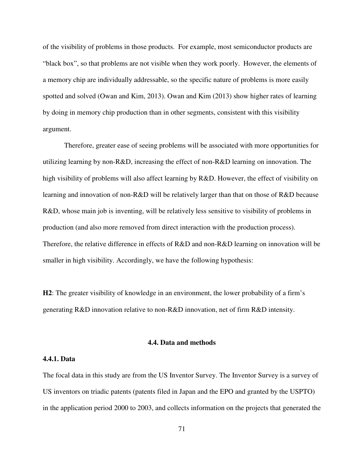of the visibility of problems in those products. For example, most semiconductor products are "black box", so that problems are not visible when they work poorly. However, the elements of a memory chip are individually addressable, so the specific nature of problems is more easily spotted and solved (Owan and Kim, 2013). Owan and Kim (2013) show higher rates of learning by doing in memory chip production than in other segments, consistent with this visibility argument.

Therefore, greater ease of seeing problems will be associated with more opportunities for utilizing learning by non-R&D, increasing the effect of non-R&D learning on innovation. The high visibility of problems will also affect learning by R&D. However, the effect of visibility on learning and innovation of non-R&D will be relatively larger than that on those of R&D because R&D, whose main job is inventing, will be relatively less sensitive to visibility of problems in production (and also more removed from direct interaction with the production process). Therefore, the relative difference in effects of R&D and non-R&D learning on innovation will be smaller in high visibility. Accordingly, we have the following hypothesis:

**H2**: The greater visibility of knowledge in an environment, the lower probability of a firm's generating R&D innovation relative to non-R&D innovation, net of firm R&D intensity.

# **4.4. Data and methods**

## **4.4.1. Data**

The focal data in this study are from the US Inventor Survey. The Inventor Survey is a survey of US inventors on triadic patents (patents filed in Japan and the EPO and granted by the USPTO) in the application period 2000 to 2003, and collects information on the projects that generated the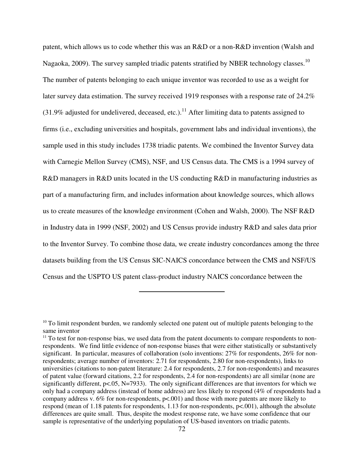patent, which allows us to code whether this was an R&D or a non-R&D invention (Walsh and Nagaoka, 2009). The survey sampled triadic patents stratified by NBER technology classes.<sup>10</sup> The number of patents belonging to each unique inventor was recorded to use as a weight for later survey data estimation. The survey received 1919 responses with a response rate of 24.2%  $(31.9\%$  adjusted for undelivered, deceased, etc.).<sup>11</sup> After limiting data to patents assigned to firms (i.e., excluding universities and hospitals, government labs and individual inventions), the sample used in this study includes 1738 triadic patents. We combined the Inventor Survey data with Carnegie Mellon Survey (CMS), NSF, and US Census data. The CMS is a 1994 survey of R&D managers in R&D units located in the US conducting R&D in manufacturing industries as part of a manufacturing firm, and includes information about knowledge sources, which allows us to create measures of the knowledge environment (Cohen and Walsh, 2000). The NSF R&D in Industry data in 1999 (NSF, 2002) and US Census provide industry R&D and sales data prior to the Inventor Survey. To combine those data, we create industry concordances among the three datasets building from the US Census SIC-NAICS concordance between the CMS and NSF/US Census and the USPTO US patent class-product industry NAICS concordance between the

<sup>&</sup>lt;sup>10</sup> To limit respondent burden, we randomly selected one patent out of multiple patents belonging to the same inventor

<sup>&</sup>lt;sup>11</sup> To test for non-response bias, we used data from the patent documents to compare respondents to nonrespondents. We find little evidence of non-response biases that were either statistically or substantively significant. In particular, measures of collaboration (solo inventions: 27% for respondents, 26% for nonrespondents; average number of inventors: 2.71 for respondents, 2.80 for non-respondents), links to universities (citations to non-patent literature: 2.4 for respondents, 2.7 for non-respondents) and measures of patent value (forward citations, 2.2 for respondents, 2.4 for non-respondents) are all similar (none are significantly different,  $p \le 0.05$ , N=7933). The only significant differences are that inventors for which we only had a company address (instead of home address) are less likely to respond (4% of respondents had a company address v. 6% for non-respondents, p<.001) and those with more patents are more likely to respond (mean of 1.18 patents for respondents, 1.13 for non-respondents, p<.001), although the absolute differences are quite small. Thus, despite the modest response rate, we have some confidence that our sample is representative of the underlying population of US-based inventors on triadic patents.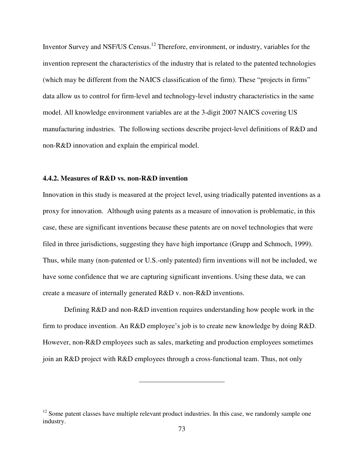Inventor Survey and NSF/US Census.<sup>12</sup> Therefore, environment, or industry, variables for the invention represent the characteristics of the industry that is related to the patented technologies (which may be different from the NAICS classification of the firm). These "projects in firms" data allow us to control for firm-level and technology-level industry characteristics in the same model. All knowledge environment variables are at the 3-digit 2007 NAICS covering US manufacturing industries. The following sections describe project-level definitions of R&D and non-R&D innovation and explain the empirical model.

# **4.4.2. Measures of R&D vs. non-R&D invention**

Innovation in this study is measured at the project level, using triadically patented inventions as a proxy for innovation. Although using patents as a measure of innovation is problematic, in this case, these are significant inventions because these patents are on novel technologies that were filed in three jurisdictions, suggesting they have high importance (Grupp and Schmoch, 1999). Thus, while many (non-patented or U.S.-only patented) firm inventions will not be included, we have some confidence that we are capturing significant inventions. Using these data, we can create a measure of internally generated R&D v. non-R&D inventions.

Defining R&D and non-R&D invention requires understanding how people work in the firm to produce invention. An R&D employee's job is to create new knowledge by doing R&D. However, non-R&D employees such as sales, marketing and production employees sometimes join an R&D project with R&D employees through a cross-functional team. Thus, not only

 $12$  Some patent classes have multiple relevant product industries. In this case, we randomly sample one industry.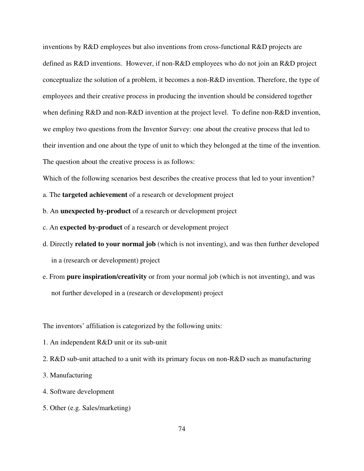inventions by R&D employees but also inventions from cross-functional R&D projects are defined as R&D inventions. However, if non-R&D employees who do not join an R&D project conceptualize the solution of a problem, it becomes a non-R&D invention. Therefore, the type of employees and their creative process in producing the invention should be considered together when defining R&D and non-R&D invention at the project level. To define non-R&D invention, we employ two questions from the Inventor Survey: one about the creative process that led to their invention and one about the type of unit to which they belonged at the time of the invention. The question about the creative process is as follows:

Which of the following scenarios best describes the creative process that led to your invention?

- a. The **targeted achievement** of a research or development project
- b. An **unexpected by-product** of a research or development project
- c. An **expected by-product** of a research or development project
- d. Directly **related to your normal job** (which is not inventing), and was then further developed in a (research or development) project
- e. From **pure inspiration/creativity** or from your normal job (which is not inventing), and was not further developed in a (research or development) project

The inventors' affiliation is categorized by the following units:

- 1. An independent R&D unit or its sub-unit
- 2. R&D sub-unit attached to a unit with its primary focus on non-R&D such as manufacturing
- 3. Manufacturing
- 4. Software development
- 5. Other (e.g. Sales/marketing)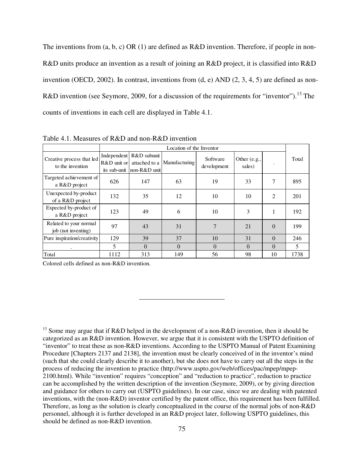The inventions from (a, b, c) OR (1) are defined as R&D invention. Therefore, if people in non-R&D units produce an invention as a result of joining an R&D project, it is classified into R&D invention (OECD, 2002). In contrast, inventions from  $(d, e)$  AND  $(2, 3, 4, 5)$  are defined as non-R&D invention (see Seymore, 2009, for a discussion of the requirements for "inventor").<sup>13</sup> The counts of inventions in each cell are displayed in Table 4.1.

|                                               | Location of the Inventor     |                                                            |                                                 |                |                          |          |       |  |  |
|-----------------------------------------------|------------------------------|------------------------------------------------------------|-------------------------------------------------|----------------|--------------------------|----------|-------|--|--|
| Creative process that led<br>to the invention | Independent<br>$R&D$ unit or | R&D subunit<br>attached to a<br>its sub-unit Inon-R&D unit | Software<br><b>Manufacturing</b><br>development |                | Other $(e.g.,$<br>sales) |          | Total |  |  |
| Targeted achievement of<br>a R&D project      | 626                          | 147                                                        | 63                                              | 19             | 33                       | 7        | 895   |  |  |
| Unexpected by-product<br>of a R&D project     | 132                          | 35                                                         | 12                                              | 10             | 10                       | 2        | 201   |  |  |
| Expected by-product of<br>a R&D project       | 123                          | 49                                                         | 6                                               | 10             | 3                        | 1        | 192   |  |  |
| Related to your normal<br>job (not inventing) | 97                           | 43                                                         | 31                                              | $\overline{7}$ | 21                       | $\Omega$ | 199   |  |  |
| Pure inspiration/creativity                   | 129                          | 39                                                         | 37                                              | 10             | 31                       | $\Omega$ | 246   |  |  |
| ٠                                             | 5                            | $\Omega$                                                   | $\Omega$                                        | $\Omega$       | $\Omega$                 | $\Omega$ | 5     |  |  |
| Total                                         | 1112                         | 313                                                        | 149                                             | 56             | 98                       | 10       | 1738  |  |  |

Table 4.1. Measures of R&D and non-R&D invention

Colored cells defined as non-R&D invention.

<sup>13</sup> Some may argue that if R&D helped in the development of a non-R&D invention, then it should be categorized as an R&D invention. However, we argue that it is consistent with the USPTO definition of "inventor" to treat these as non-R&D inventions. According to the USPTO Manual of Patent Examining Procedure [Chapters 2137 and 2138], the invention must be clearly conceived of in the inventor's mind (such that she could clearly describe it to another), but she does not have to carry out all the steps in the process of reducing the invention to practice (http://www.uspto.gov/web/offices/pac/mpep/mpep-2100.html). While "invention" requires "conception" and "reduction to practice", reduction to practice can be accomplished by the written description of the invention (Seymore, 2009), or by giving direction and guidance for others to carry out (USPTO guidelines). In our case, since we are dealing with patented inventions, with the (non-R&D) inventor certified by the patent office, this requirement has been fulfilled. Therefore, as long as the solution is clearly conceptualized in the course of the normal jobs of non-R&D personnel, although it is further developed in an R&D project later, following USPTO guidelines, this should be defined as non- $R\&D$  invention.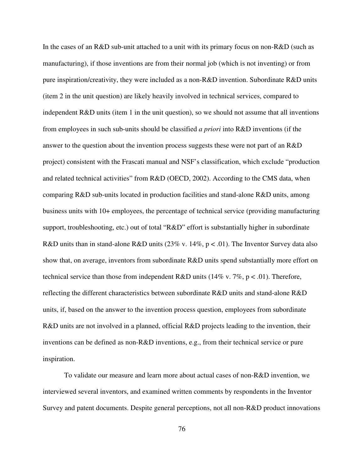In the cases of an R&D sub-unit attached to a unit with its primary focus on non-R&D (such as manufacturing), if those inventions are from their normal job (which is not inventing) or from pure inspiration/creativity, they were included as a non-R&D invention. Subordinate R&D units (item 2 in the unit question) are likely heavily involved in technical services, compared to independent R&D units (item 1 in the unit question), so we should not assume that all inventions from employees in such sub-units should be classified *a priori* into R&D inventions (if the answer to the question about the invention process suggests these were not part of an R&D project) consistent with the Frascati manual and NSF's classification, which exclude "production and related technical activities" from R&D (OECD, 2002). According to the CMS data, when comparing R&D sub-units located in production facilities and stand-alone R&D units, among business units with 10+ employees, the percentage of technical service (providing manufacturing support, troubleshooting, etc.) out of total "R&D" effort is substantially higher in subordinate R&D units than in stand-alone R&D units (23% v. 14%,  $p < .01$ ). The Inventor Survey data also show that, on average, inventors from subordinate R&D units spend substantially more effort on technical service than those from independent R&D units (14% v. 7%, p < .01). Therefore, reflecting the different characteristics between subordinate R&D units and stand-alone R&D units, if, based on the answer to the invention process question, employees from subordinate R&D units are not involved in a planned, official R&D projects leading to the invention, their inventions can be defined as non-R&D inventions, e.g., from their technical service or pure inspiration.

To validate our measure and learn more about actual cases of non-R&D invention, we interviewed several inventors, and examined written comments by respondents in the Inventor Survey and patent documents. Despite general perceptions, not all non-R&D product innovations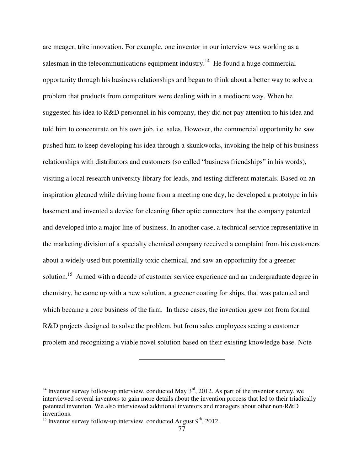are meager, trite innovation. For example, one inventor in our interview was working as a salesman in the telecommunications equipment industry.<sup>14</sup> He found a huge commercial opportunity through his business relationships and began to think about a better way to solve a problem that products from competitors were dealing with in a mediocre way. When he suggested his idea to R&D personnel in his company, they did not pay attention to his idea and told him to concentrate on his own job, i.e. sales. However, the commercial opportunity he saw pushed him to keep developing his idea through a skunkworks, invoking the help of his business relationships with distributors and customers (so called "business friendships" in his words), visiting a local research university library for leads, and testing different materials. Based on an inspiration gleaned while driving home from a meeting one day, he developed a prototype in his basement and invented a device for cleaning fiber optic connectors that the company patented and developed into a major line of business. In another case, a technical service representative in the marketing division of a specialty chemical company received a complaint from his customers about a widely-used but potentially toxic chemical, and saw an opportunity for a greener solution.<sup>15</sup> Armed with a decade of customer service experience and an undergraduate degree in chemistry, he came up with a new solution, a greener coating for ships, that was patented and which became a core business of the firm. In these cases, the invention grew not from formal R&D projects designed to solve the problem, but from sales employees seeing a customer problem and recognizing a viable novel solution based on their existing knowledge base. Note

<sup>&</sup>lt;sup>14</sup> Inventor survey follow-up interview, conducted May  $3<sup>rd</sup>$ , 2012. As part of the inventor survey, we interviewed several inventors to gain more details about the invention process that led to their triadically patented invention. We also interviewed additional inventors and managers about other non-R&D inventions.

<sup>&</sup>lt;sup>15</sup> Inventor survey follow-up interview, conducted August  $9<sup>th</sup>$ , 2012.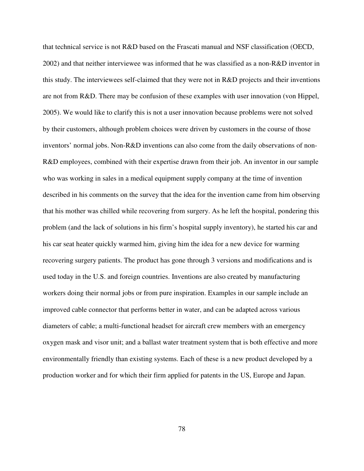that technical service is not R&D based on the Frascati manual and NSF classification (OECD, 2002) and that neither interviewee was informed that he was classified as a non-R&D inventor in this study. The interviewees self-claimed that they were not in R&D projects and their inventions are not from R&D. There may be confusion of these examples with user innovation (von Hippel, 2005). We would like to clarify this is not a user innovation because problems were not solved by their customers, although problem choices were driven by customers in the course of those inventors' normal jobs. Non-R&D inventions can also come from the daily observations of non-R&D employees, combined with their expertise drawn from their job. An inventor in our sample who was working in sales in a medical equipment supply company at the time of invention described in his comments on the survey that the idea for the invention came from him observing that his mother was chilled while recovering from surgery. As he left the hospital, pondering this problem (and the lack of solutions in his firm's hospital supply inventory), he started his car and his car seat heater quickly warmed him, giving him the idea for a new device for warming recovering surgery patients. The product has gone through 3 versions and modifications and is used today in the U.S. and foreign countries. Inventions are also created by manufacturing workers doing their normal jobs or from pure inspiration. Examples in our sample include an improved cable connector that performs better in water, and can be adapted across various diameters of cable; a multi-functional headset for aircraft crew members with an emergency oxygen mask and visor unit; and a ballast water treatment system that is both effective and more environmentally friendly than existing systems. Each of these is a new product developed by a production worker and for which their firm applied for patents in the US, Europe and Japan.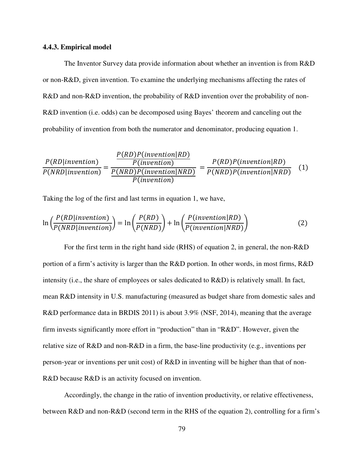# **4.4.3. Empirical model**

The Inventor Survey data provide information about whether an invention is from R&D or non-R&D, given invention. To examine the underlying mechanisms affecting the rates of R&D and non-R&D invention, the probability of R&D invention over the probability of non-R&D invention (i.e. odds) can be decomposed using Bayes' theorem and canceling out the probability of invention from both the numerator and denominator, producing equation 1.

$$
\frac{P(RD|invention)}{P(NRD|invention)} = \frac{\frac{P(RD)P(invention|RD)}{P(invention|ND)}}{\frac{P(NRD)P(invention|NRD)}{P(invention)} } = \frac{P(RD)P(invention|RD)}{P(NRD)P(invention|NRD)}
$$
(1)

Taking the log of the first and last terms in equation 1, we have,

$$
\ln\left(\frac{P(RD|invention)}{P(NRD|invention)}\right) = \ln\left(\frac{P(RD)}{P(NRD)}\right) + \ln\left(\frac{P(invention|RD)}{P(invention|NRD)}\right)
$$
(2)

For the first term in the right hand side (RHS) of equation 2, in general, the non-R&D portion of a firm's activity is larger than the R&D portion. In other words, in most firms, R&D intensity (i.e., the share of employees or sales dedicated to R&D) is relatively small. In fact, mean R&D intensity in U.S. manufacturing (measured as budget share from domestic sales and R&D performance data in BRDIS 2011) is about 3.9% (NSF, 2014), meaning that the average firm invests significantly more effort in "production" than in "R&D". However, given the relative size of R&D and non-R&D in a firm, the base-line productivity (e.g., inventions per person-year or inventions per unit cost) of R&D in inventing will be higher than that of non-R&D because R&D is an activity focused on invention.

Accordingly, the change in the ratio of invention productivity, or relative effectiveness, between R&D and non-R&D (second term in the RHS of the equation 2), controlling for a firm's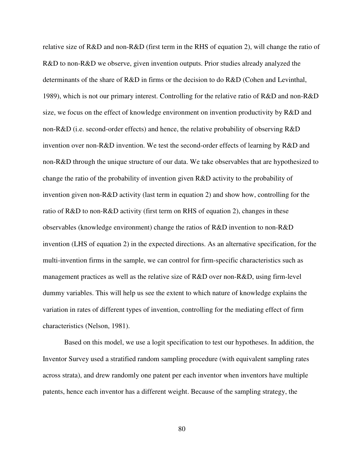relative size of R&D and non-R&D (first term in the RHS of equation 2), will change the ratio of R&D to non-R&D we observe, given invention outputs. Prior studies already analyzed the determinants of the share of R&D in firms or the decision to do R&D (Cohen and Levinthal, 1989), which is not our primary interest. Controlling for the relative ratio of R&D and non-R&D size, we focus on the effect of knowledge environment on invention productivity by R&D and non-R&D (i.e. second-order effects) and hence, the relative probability of observing R&D invention over non-R&D invention. We test the second-order effects of learning by R&D and non-R&D through the unique structure of our data. We take observables that are hypothesized to change the ratio of the probability of invention given R&D activity to the probability of invention given non-R&D activity (last term in equation 2) and show how, controlling for the ratio of R&D to non-R&D activity (first term on RHS of equation 2), changes in these observables (knowledge environment) change the ratios of R&D invention to non-R&D invention (LHS of equation 2) in the expected directions. As an alternative specification, for the multi-invention firms in the sample, we can control for firm-specific characteristics such as management practices as well as the relative size of R&D over non-R&D, using firm-level dummy variables. This will help us see the extent to which nature of knowledge explains the variation in rates of different types of invention, controlling for the mediating effect of firm characteristics (Nelson, 1981).

Based on this model, we use a logit specification to test our hypotheses. In addition, the Inventor Survey used a stratified random sampling procedure (with equivalent sampling rates across strata), and drew randomly one patent per each inventor when inventors have multiple patents, hence each inventor has a different weight. Because of the sampling strategy, the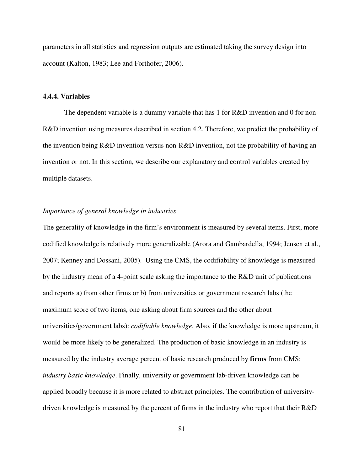parameters in all statistics and regression outputs are estimated taking the survey design into account (Kalton, 1983; Lee and Forthofer, 2006).

# **4.4.4. Variables**

The dependent variable is a dummy variable that has 1 for R&D invention and 0 for non-R&D invention using measures described in section 4.2. Therefore, we predict the probability of the invention being R&D invention versus non-R&D invention, not the probability of having an invention or not. In this section, we describe our explanatory and control variables created by multiple datasets.

# *Importance of general knowledge in industries*

The generality of knowledge in the firm's environment is measured by several items. First, more codified knowledge is relatively more generalizable (Arora and Gambardella, 1994; Jensen et al., 2007; Kenney and Dossani, 2005). Using the CMS, the codifiability of knowledge is measured by the industry mean of a 4-point scale asking the importance to the R&D unit of publications and reports a) from other firms or b) from universities or government research labs (the maximum score of two items, one asking about firm sources and the other about universities/government labs): *codifiable knowledge*. Also, if the knowledge is more upstream, it would be more likely to be generalized. The production of basic knowledge in an industry is measured by the industry average percent of basic research produced by **firms** from CMS: *industry basic knowledge*. Finally, university or government lab-driven knowledge can be applied broadly because it is more related to abstract principles. The contribution of universitydriven knowledge is measured by the percent of firms in the industry who report that their R&D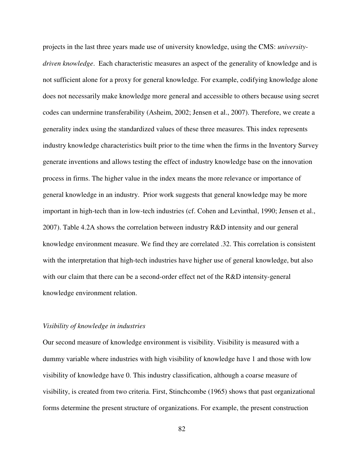projects in the last three years made use of university knowledge, using the CMS: *universitydriven knowledge*. Each characteristic measures an aspect of the generality of knowledge and is not sufficient alone for a proxy for general knowledge. For example, codifying knowledge alone does not necessarily make knowledge more general and accessible to others because using secret codes can undermine transferability (Asheim, 2002; Jensen et al., 2007). Therefore, we create a generality index using the standardized values of these three measures. This index represents industry knowledge characteristics built prior to the time when the firms in the Inventory Survey generate inventions and allows testing the effect of industry knowledge base on the innovation process in firms. The higher value in the index means the more relevance or importance of general knowledge in an industry. Prior work suggests that general knowledge may be more important in high-tech than in low-tech industries (cf. Cohen and Levinthal, 1990; Jensen et al., 2007). Table 4.2A shows the correlation between industry R&D intensity and our general knowledge environment measure. We find they are correlated .32. This correlation is consistent with the interpretation that high-tech industries have higher use of general knowledge, but also with our claim that there can be a second-order effect net of the R&D intensity-general knowledge environment relation.

#### *Visibility of knowledge in industries*

Our second measure of knowledge environment is visibility. Visibility is measured with a dummy variable where industries with high visibility of knowledge have 1 and those with low visibility of knowledge have 0. This industry classification, although a coarse measure of visibility, is created from two criteria. First, Stinchcombe (1965) shows that past organizational forms determine the present structure of organizations. For example, the present construction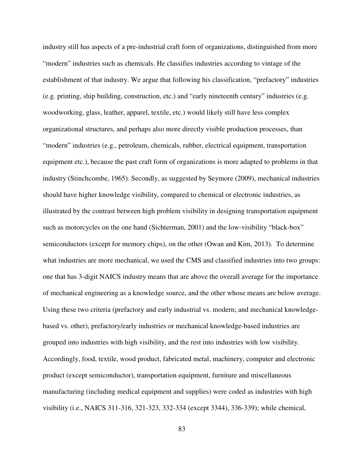industry still has aspects of a pre-industrial craft form of organizations, distinguished from more "modern" industries such as chemicals. He classifies industries according to vintage of the establishment of that industry. We argue that following his classification, "prefactory" industries (e.g. printing, ship building, construction, etc.) and "early nineteenth century" industries (e.g. woodworking, glass, leather, apparel, textile, etc.) would likely still have less complex organizational structures, and perhaps also more directly visible production processes, than "modern" industries (e.g., petroleum, chemicals, rubber, electrical equipment, transportation equipment etc.), because the past craft form of organizations is more adapted to problems in that industry (Stinchcombe, 1965). Secondly, as suggested by Seymore (2009), mechanical industries should have higher knowledge visibility, compared to chemical or electronic industries, as illustrated by the contrast between high problem visibility in designing transportation equipment such as motorcycles on the one hand (Sichterman, 2001) and the low-visibility "black-box" semiconductors (except for memory chips), on the other (Owan and Kim, 2013). To determine what industries are more mechanical, we used the CMS and classified industries into two groups: one that has 3-digit NAICS industry means that are above the overall average for the importance of mechanical engineering as a knowledge source, and the other whose means are below average. Using these two criteria (prefactory and early industrial vs. modern; and mechanical knowledgebased vs. other), prefactory/early industries or mechanical knowledge-based industries are grouped into industries with high visibility, and the rest into industries with low visibility. Accordingly, food, textile, wood product, fabricated metal, machinery, computer and electronic product (except semiconductor), transportation equipment, furniture and miscellaneous manufacturing (including medical equipment and supplies) were coded as industries with high visibility (i.e., NAICS 311-316, 321-323, 332-334 (except 3344), 336-339); while chemical,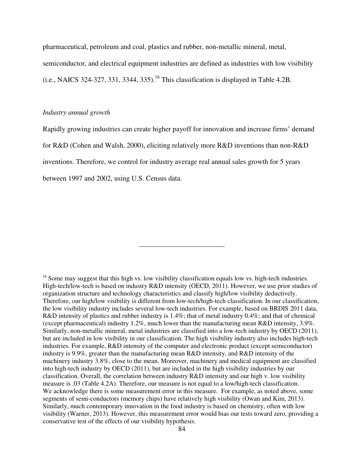pharmaceutical, petroleum and coal, plastics and rubber, non-metallic mineral, metal, semiconductor, and electrical equipment industries are defined as industries with low visibility  $(i.e., NACS 324-327, 331, 3344, 335).$ <sup>16</sup> This classification is displayed in Table 4.2B.

# *Industry annual growth*

Rapidly growing industries can create higher payoff for innovation and increase firms' demand for R&D (Cohen and Walsh, 2000), eliciting relatively more R&D inventions than non-R&D inventions. Therefore, we control for industry average real annual sales growth for 5 years between 1997 and 2002, using U.S. Census data.

 $16$  Some may suggest that this high vs. low visibility classification equals low vs. high-tech industries. High-tech/low-tech is based on industry R&D intensity (OECD, 2011). However, we use prior studies of organization structure and technology characteristics and classify high/low visibility deductively. Therefore, our high/low visibility is different from low-tech/high-tech classification. In our classification, the low visibility industry includes several low-tech industries. For example, based on BRDIS 2011 data, R&D intensity of plastics and rubber industry is 1.4%; that of metal industry 0.4%; and that of chemical (except pharmaceutical) industry 1.2%, much lower than the manufacturing mean R&D intensity, 3.9%. Similarly, non-metallic mineral, metal industries are classified into a low-tech industry by OECD (2011), but are included in low visibility in our classification. The high visibility industry also includes high-tech industries. For example, R&D intensity of the computer and electronic product (except semiconductor) industry is 9.9%, greater than the manufacturing mean R&D intensity, and R&D intensity of the machinery industry 3.8%, close to the mean. Moreover, machinery and medical equipment are classified into high-tech industry by OECD (2011), but are included in the high visibility industries by our classification. Overall, the correlation between industry R&D intensity and our high v. low visibility measure is .03 (Table 4.2A). Therefore, our measure is not equal to a low/high-tech classification. We acknowledge there is some measurement error in this measure. For example, as noted above, some segments of semi-conductors (memory chips) have relatively high visibility (Owan and Kim, 2013). Similarly, much contemporary innovation in the food industry is based on chemistry, often with low visibility (Warner, 2013). However, this measurement error would bias our tests toward zero, providing a conservative test of the effects of our visibility hypothesis.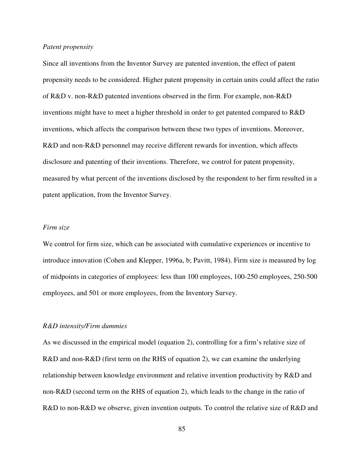# *Patent propensity*

Since all inventions from the Inventor Survey are patented invention, the effect of patent propensity needs to be considered. Higher patent propensity in certain units could affect the ratio of R&D v. non-R&D patented inventions observed in the firm. For example, non-R&D inventions might have to meet a higher threshold in order to get patented compared to R&D inventions, which affects the comparison between these two types of inventions. Moreover, R&D and non-R&D personnel may receive different rewards for invention, which affects disclosure and patenting of their inventions. Therefore, we control for patent propensity, measured by what percent of the inventions disclosed by the respondent to her firm resulted in a patent application, from the Inventor Survey.

# *Firm size*

We control for firm size, which can be associated with cumulative experiences or incentive to introduce innovation (Cohen and Klepper, 1996a, b; Pavitt, 1984). Firm size is measured by log of midpoints in categories of employees: less than 100 employees, 100-250 employees, 250-500 employees, and 501 or more employees, from the Inventory Survey.

#### *R&D intensity/Firm dummies*

As we discussed in the empirical model (equation 2), controlling for a firm's relative size of R&D and non-R&D (first term on the RHS of equation 2), we can examine the underlying relationship between knowledge environment and relative invention productivity by R&D and non-R&D (second term on the RHS of equation 2), which leads to the change in the ratio of R&D to non-R&D we observe, given invention outputs. To control the relative size of R&D and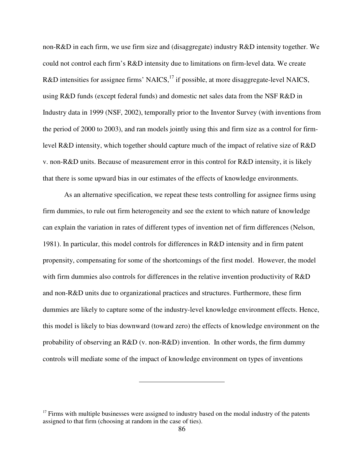non-R&D in each firm, we use firm size and (disaggregate) industry R&D intensity together. We could not control each firm's R&D intensity due to limitations on firm-level data. We create R&D intensities for assignee firms' NAICS,  $^{17}$  if possible, at more disaggregate-level NAICS, using R&D funds (except federal funds) and domestic net sales data from the NSF R&D in Industry data in 1999 (NSF, 2002), temporally prior to the Inventor Survey (with inventions from the period of 2000 to 2003), and ran models jointly using this and firm size as a control for firmlevel R&D intensity, which together should capture much of the impact of relative size of R&D v. non-R&D units. Because of measurement error in this control for R&D intensity, it is likely that there is some upward bias in our estimates of the effects of knowledge environments.

As an alternative specification, we repeat these tests controlling for assignee firms using firm dummies, to rule out firm heterogeneity and see the extent to which nature of knowledge can explain the variation in rates of different types of invention net of firm differences (Nelson, 1981). In particular, this model controls for differences in R&D intensity and in firm patent propensity, compensating for some of the shortcomings of the first model. However, the model with firm dummies also controls for differences in the relative invention productivity of R&D and non-R&D units due to organizational practices and structures. Furthermore, these firm dummies are likely to capture some of the industry-level knowledge environment effects. Hence, this model is likely to bias downward (toward zero) the effects of knowledge environment on the probability of observing an R&D (v. non-R&D) invention. In other words, the firm dummy controls will mediate some of the impact of knowledge environment on types of inventions

 $17$  Firms with multiple businesses were assigned to industry based on the modal industry of the patents assigned to that firm (choosing at random in the case of ties).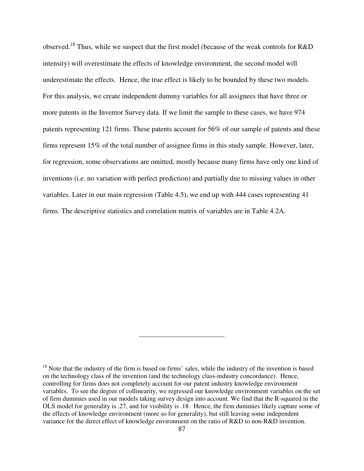observed.<sup>18</sup> Thus, while we suspect that the first model (because of the weak controls for R&D intensity) will overestimate the effects of knowledge environment, the second model will underestimate the effects. Hence, the true effect is likely to be bounded by these two models. For this analysis, we create independent dummy variables for all assignees that have three or more patents in the Inventor Survey data. If we limit the sample to these cases, we have 974 patents representing 121 firms. These patents account for 56% of our sample of patents and these firms represent 15% of the total number of assignee firms in this study sample. However, later, for regression, some observations are omitted, mostly because many firms have only one kind of inventions (i.e. no variation with perfect prediction) and partially due to missing values in other variables. Later in our main regression (Table 4.5), we end up with 444 cases representing 41 firms. The descriptive statistics and correlation matrix of variables are in Table 4.2A.

<sup>&</sup>lt;sup>18</sup> Note that the industry of the firm is based on firms' sales, while the industry of the invention is based on the technology class of the invention (and the technology class-industry concordance). Hence, controlling for firms does not completely account for our patent industry knowledge environment variables. To see the degree of collinearity, we regressed our knowledge environment variables on the set of firm dummies used in our models taking survey design into account. We find that the R-squared in the OLS model for generality is .27, and for visibility is .18. Hence, the firm dummies likely capture some of the effects of knowledge environment (more so for generality), but still leaving some independent variance for the direct effect of knowledge environment on the ratio of R&D to non-R&D invention.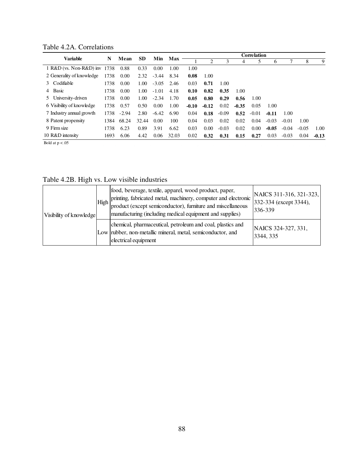Table 4.2A. Correlations

|                              |      | Mean    |           | Min     |            |         |         |         |         | Correlation |         |         |         |         |
|------------------------------|------|---------|-----------|---------|------------|---------|---------|---------|---------|-------------|---------|---------|---------|---------|
| <b>Variable</b>              | N    |         | <b>SD</b> |         | <b>Max</b> |         | 2       |         |         |             | 6       |         | 8       | 9       |
| 1 R&D (vs. Non-R&D) inv 1738 |      | 0.88    | 0.33      | 0.00    | 1.00       | 1.00    |         |         |         |             |         |         |         |         |
| 2 Generality of knowledge    | 1738 | 0.00    | 2.32      | $-3.44$ | 8.34       | 0.08    | 1.00    |         |         |             |         |         |         |         |
| 3 Codifiable                 | 1738 | 0.00    | 1.00      | $-3.05$ | 2.46       | 0.03    | 0.71    | 1.00    |         |             |         |         |         |         |
| Basic<br>4                   | 1738 | 0.00    | 1.00      | $-1.01$ | 4.18       | 0.10    | 0.82    | 0.35    | 1.00    |             |         |         |         |         |
| 5 University-driven          | 1738 | 0.00    | 1.00      | $-2.34$ | 1.70       | 0.05    | 0.80    | 0.29    | 0.56    | 1.00        |         |         |         |         |
| 6 Visibility of knowledge    | 1738 | 0.57    | 0.50      | 0.00    | 1.00       | $-0.10$ | $-0.12$ | 0.02    | $-0.35$ | 0.05        | 1.00    |         |         |         |
| 7 Industry annual growth     | 1738 | $-2.94$ | 2.80      | $-6.42$ | 6.90       | 0.04    | 0.18    | $-0.09$ | 0.52    | $-0.01$     | $-0.11$ | 1.00    |         |         |
| 8 Patent propensity          | 1384 | 68.24   | 32.44     | 0.00    | 100        | 0.04    | 0.03    | 0.02    | 0.02    | 0.04        | $-0.03$ | $-0.01$ | 1.00    |         |
| 9 Firm size                  | 1738 | 6.23    | 0.89      | 3.91    | 6.62       | 0.03    | 0.00    | $-0.03$ | 0.02    | 0.00        | $-0.05$ | $-0.04$ | $-0.05$ | 1.00    |
| 10 R&D intensity             | 1693 | 6.06    | 4.42      | 0.06    | 32.03      | 0.02    | 0.32    | 0.31    | 0.15    | 0.27        | 0.03    | $-0.03$ | 0.04    | $-0.13$ |
| Bold at $p < .05$            |      |         |           |         |            |         |         |         |         |             |         |         |         |         |

Table 4.2B. High vs. Low visible industries

| Visibility of knowledge | High | food, beverage, textile, apparel, wood product, paper,<br>printing, fabricated metal, machinery, computer and electronic<br>product (except semiconductor), furniture and miscellaneous<br>manufacturing (including medical equipment and supplies) | NAICS 311-316, 321-323,<br>332-334 (except 3344),<br>336-339 |
|-------------------------|------|-----------------------------------------------------------------------------------------------------------------------------------------------------------------------------------------------------------------------------------------------------|--------------------------------------------------------------|
|                         |      | chemical, pharmaceutical, petroleum and coal, plastics and<br>Low rubber, non-metallic mineral, metal, semiconductor, and<br>electrical equipment                                                                                                   | NAICS 324-327, 331,<br>3344, 335                             |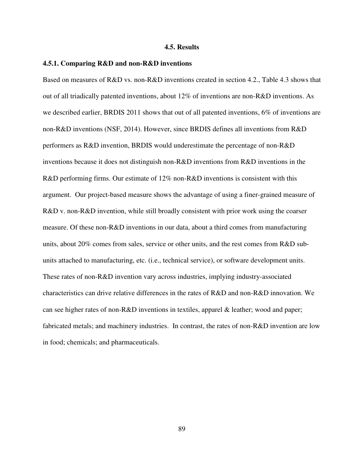#### **4.5. Results**

#### **4.5.1. Comparing R&D and non-R&D inventions**

Based on measures of R&D vs. non-R&D inventions created in section 4.2., Table 4.3 shows that out of all triadically patented inventions, about 12% of inventions are non-R&D inventions. As we described earlier, BRDIS 2011 shows that out of all patented inventions, 6% of inventions are non-R&D inventions (NSF, 2014). However, since BRDIS defines all inventions from R&D performers as R&D invention, BRDIS would underestimate the percentage of non-R&D inventions because it does not distinguish non-R&D inventions from R&D inventions in the R&D performing firms. Our estimate of 12% non-R&D inventions is consistent with this argument. Our project-based measure shows the advantage of using a finer-grained measure of R&D v. non-R&D invention, while still broadly consistent with prior work using the coarser measure. Of these non-R&D inventions in our data, about a third comes from manufacturing units, about 20% comes from sales, service or other units, and the rest comes from R&D subunits attached to manufacturing, etc. (i.e., technical service), or software development units. These rates of non-R&D invention vary across industries, implying industry-associated characteristics can drive relative differences in the rates of R&D and non-R&D innovation. We can see higher rates of non-R&D inventions in textiles, apparel & leather; wood and paper; fabricated metals; and machinery industries. In contrast, the rates of non-R&D invention are low in food; chemicals; and pharmaceuticals.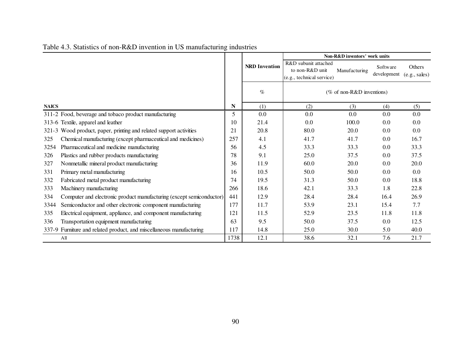|                                                                             |      |                      | Non-R&D inventors' work units                                        |                           |                         |                         |
|-----------------------------------------------------------------------------|------|----------------------|----------------------------------------------------------------------|---------------------------|-------------------------|-------------------------|
|                                                                             |      | <b>NRD</b> Invention | R&D subunit attached<br>to non-R&D unit<br>(e.g., technical service) | Manufacturing             | Software<br>development | Others<br>(e.g., sales) |
|                                                                             |      | $\%$                 |                                                                      | (% of non-R&D inventions) |                         |                         |
| <b>NAICS</b>                                                                | N    | (1)                  | (2)                                                                  | (3)                       | (4)                     | (5)                     |
| 311-2 Food, beverage and tobaco product manufacturing                       | 5.   | 0.0                  | 0.0                                                                  | 0.0                       | 0.0                     | 0.0                     |
| 313-6 Textile, apparel and leather                                          | 10   | 21.4                 | 0.0                                                                  | 100.0                     | 0.0                     | 0.0                     |
| 321-3 Wood product, paper, printing and related support activities          | 21   | 20.8                 | 80.0                                                                 | 20.0                      | 0.0                     | 0.0                     |
| Chemical manufacturing (except pharmaceutical and medicines)<br>325         | 257  | 4.1                  | 41.7                                                                 | 41.7                      | 0.0                     | 16.7                    |
| Pharmaceutical and medicine manufacturing<br>3254                           | 56   | 4.5                  | 33.3                                                                 | 33.3                      | 0.0                     | 33.3                    |
| 326<br>Plastics and rubber products manufacturing                           | 78   | 9.1                  | 25.0                                                                 | 37.5                      | 0.0                     | 37.5                    |
| 327<br>Nonmetallic mineral product manufacturing                            | 36   | 11.9                 | 60.0                                                                 | 20.0                      | 0.0                     | 20.0                    |
| 331<br>Primary metal manufacturing                                          | 16   | 10.5                 | 50.0                                                                 | 50.0                      | 0.0                     | 0.0                     |
| 332<br>Fabricated metal product manufacturing                               | 74   | 19.5                 | 31.3                                                                 | 50.0                      | 0.0                     | 18.8                    |
| 333<br>Machinery manufacturing                                              | 266  | 18.6                 | 42.1                                                                 | 33.3                      | 1.8                     | 22.8                    |
| 334<br>Computer and electronic product manufacturing (except semiconductor) | 441  | 12.9                 | 28.4                                                                 | 28.4                      | 16.4                    | 26.9                    |
| 3344<br>Semiconductor and other electronic component manufacturing          | 177  | 11.7                 | 53.9                                                                 | 23.1                      | 15.4                    | 7.7                     |
| 335<br>Electrical equipment, appliance, and component manufacturing         | 121  | 11.5                 | 52.9                                                                 | 23.5                      | 11.8                    | 11.8                    |
| Transportation equipment manufacturing<br>336                               | 63   | 9.5                  | 50.0                                                                 | 37.5                      | 0.0                     | 12.5                    |
| 337-9 Furniture and related product, and miscellaneous manufacturing        | 117  | 14.8                 | 25.0                                                                 | 30.0                      | 5.0                     | 40.0                    |
| A <sub>11</sub>                                                             | 1738 | 12.1                 | 38.6                                                                 | 32.1                      | 7.6                     | 21.7                    |

Table 4.3. Statistics of non-R&D invention in US manufacturing industries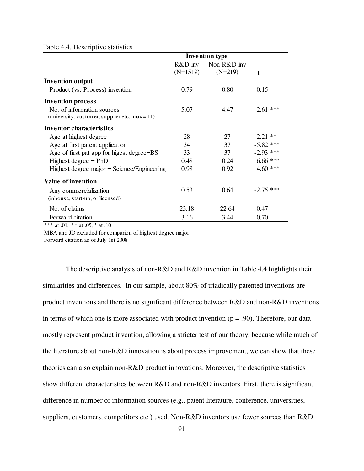#### Table 4.4. Descriptive statistics

|                                                    | <b>Invention type</b>   |                             |             |  |  |
|----------------------------------------------------|-------------------------|-----------------------------|-------------|--|--|
|                                                    | $R&D$ inv<br>$(N=1519)$ | Non- $R&D$ inv<br>$(N=219)$ | t           |  |  |
| <b>Invention output</b>                            |                         |                             |             |  |  |
| Product (vs. Process) invention                    | 0.79                    | 0.80                        | $-0.15$     |  |  |
| <b>Invention process</b>                           |                         |                             |             |  |  |
| No. of information sources                         | 5.07                    | 4.47                        | $2.61$ ***  |  |  |
| (university, customer, supplier etc., $max = 11$ ) |                         |                             |             |  |  |
| Inventor characteristics                           |                         |                             |             |  |  |
| Age at highest degree                              | 28                      | 27                          | $2.21$ **   |  |  |
| Age at first patent application                    | 34                      | 37                          | $-5.82$ *** |  |  |
| Age of first pat app for higest degree=BS          | 33                      | 37                          | $-2.93$ *** |  |  |
| Highest degree $=$ PhD                             | 0.48                    | 0.24                        | $6.66$ ***  |  |  |
| Highest degree major = Science/Engineering         | 0.98                    | 0.92                        | $4.60$ ***  |  |  |
| <b>Value of invention</b>                          |                         |                             |             |  |  |
| Any commercialization                              | 0.53                    | 0.64                        | $-2.75$ *** |  |  |
| (inhouse, start-up, or licensed)                   |                         |                             |             |  |  |
| No. of claims                                      | 23.18                   | 22.64                       | 0.47        |  |  |
| Forward citation                                   | 3.16                    | 3.44                        | $-0.70$     |  |  |

\*\*\* at .01, \*\* at .05, \* at .10

MBA and JD excluded for comparion of highest degree major

Forward citation as of July 1st 2008

 The descriptive analysis of non-R&D and R&D invention in Table 4.4 highlights their similarities and differences. In our sample, about 80% of triadically patented inventions are product inventions and there is no significant difference between R&D and non-R&D inventions in terms of which one is more associated with product invention  $(p = .90)$ . Therefore, our data mostly represent product invention, allowing a stricter test of our theory, because while much of the literature about non-R&D innovation is about process improvement, we can show that these theories can also explain non-R&D product innovations. Moreover, the descriptive statistics show different characteristics between R&D and non-R&D inventors. First, there is significant difference in number of information sources (e.g., patent literature, conference, universities, suppliers, customers, competitors etc.) used. Non-R&D inventors use fewer sources than R&D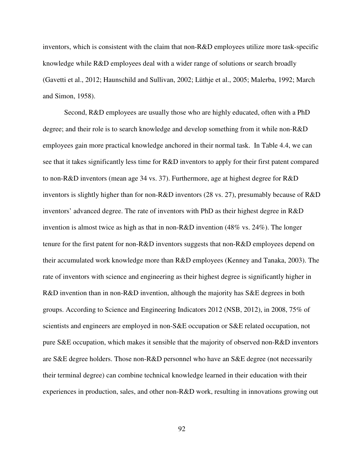inventors, which is consistent with the claim that non-R&D employees utilize more task-specific knowledge while R&D employees deal with a wider range of solutions or search broadly (Gavetti et al., 2012; Haunschild and Sullivan, 2002; Lüthje et al., 2005; Malerba, 1992; March and Simon, 1958).

Second, R&D employees are usually those who are highly educated, often with a PhD degree; and their role is to search knowledge and develop something from it while non-R&D employees gain more practical knowledge anchored in their normal task. In Table 4.4, we can see that it takes significantly less time for R&D inventors to apply for their first patent compared to non-R&D inventors (mean age 34 vs. 37). Furthermore, age at highest degree for R&D inventors is slightly higher than for non-R&D inventors (28 vs. 27), presumably because of R&D inventors' advanced degree. The rate of inventors with PhD as their highest degree in R&D invention is almost twice as high as that in non-R&D invention (48% vs. 24%). The longer tenure for the first patent for non-R&D inventors suggests that non-R&D employees depend on their accumulated work knowledge more than R&D employees (Kenney and Tanaka, 2003). The rate of inventors with science and engineering as their highest degree is significantly higher in R&D invention than in non-R&D invention, although the majority has S&E degrees in both groups. According to Science and Engineering Indicators 2012 (NSB, 2012), in 2008, 75% of scientists and engineers are employed in non-S&E occupation or S&E related occupation, not pure S&E occupation, which makes it sensible that the majority of observed non-R&D inventors are S&E degree holders. Those non-R&D personnel who have an S&E degree (not necessarily their terminal degree) can combine technical knowledge learned in their education with their experiences in production, sales, and other non-R&D work, resulting in innovations growing out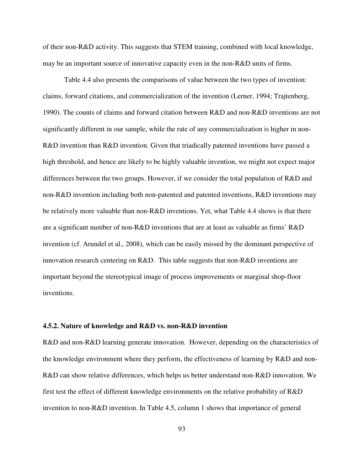of their non-R&D activity. This suggests that STEM training, combined with local knowledge, may be an important source of innovative capacity even in the non-R&D units of firms.

Table 4.4 also presents the comparisons of value between the two types of invention: claims, forward citations, and commercialization of the invention (Lerner, 1994; Trajtenberg, 1990). The counts of claims and forward citation between R&D and non-R&D inventions are not significantly different in our sample, while the rate of any commercialization is higher in non-R&D invention than R&D invention. Given that triadically patented inventions have passed a high threshold, and hence are likely to be highly valuable invention, we might not expect major differences between the two groups. However, if we consider the total population of R&D and non-R&D invention including both non-patented and patented inventions, R&D inventions may be relatively more valuable than non-R&D inventions. Yet, what Table 4.4 shows is that there are a significant number of non-R&D inventions that are at least as valuable as firms' R&D invention (cf. Arundel et al., 2008), which can be easily missed by the dominant perspective of innovation research centering on R&D. This table suggests that non-R&D inventions are important beyond the stereotypical image of process improvements or marginal shop-floor inventions.

#### **4.5.2. Nature of knowledge and R&D vs. non-R&D invention**

R&D and non-R&D learning generate innovation. However, depending on the characteristics of the knowledge environment where they perform, the effectiveness of learning by R&D and non-R&D can show relative differences, which helps us better understand non-R&D innovation. We first test the effect of different knowledge environments on the relative probability of R&D invention to non-R&D invention. In Table 4.5, column 1 shows that importance of general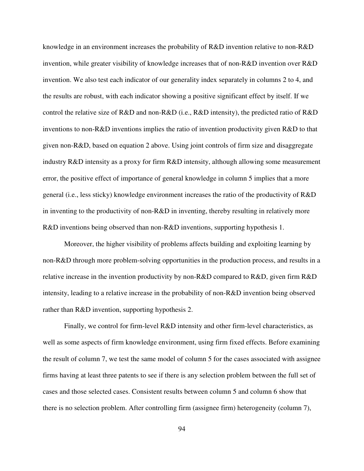knowledge in an environment increases the probability of R&D invention relative to non-R&D invention, while greater visibility of knowledge increases that of non-R&D invention over R&D invention. We also test each indicator of our generality index separately in columns 2 to 4, and the results are robust, with each indicator showing a positive significant effect by itself. If we control the relative size of R&D and non-R&D (i.e., R&D intensity), the predicted ratio of R&D inventions to non-R&D inventions implies the ratio of invention productivity given R&D to that given non-R&D, based on equation 2 above. Using joint controls of firm size and disaggregate industry R&D intensity as a proxy for firm R&D intensity, although allowing some measurement error, the positive effect of importance of general knowledge in column 5 implies that a more general (i.e., less sticky) knowledge environment increases the ratio of the productivity of R&D in inventing to the productivity of non-R&D in inventing, thereby resulting in relatively more R&D inventions being observed than non-R&D inventions, supporting hypothesis 1.

Moreover, the higher visibility of problems affects building and exploiting learning by non-R&D through more problem-solving opportunities in the production process, and results in a relative increase in the invention productivity by non-R&D compared to R&D, given firm R&D intensity, leading to a relative increase in the probability of non-R&D invention being observed rather than R&D invention, supporting hypothesis 2.

Finally, we control for firm-level R&D intensity and other firm-level characteristics, as well as some aspects of firm knowledge environment, using firm fixed effects. Before examining the result of column 7, we test the same model of column 5 for the cases associated with assignee firms having at least three patents to see if there is any selection problem between the full set of cases and those selected cases. Consistent results between column 5 and column 6 show that there is no selection problem. After controlling firm (assignee firm) heterogeneity (column 7),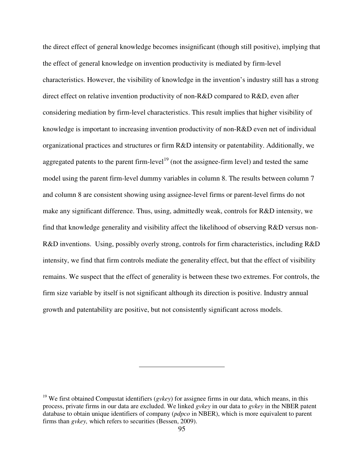the direct effect of general knowledge becomes insignificant (though still positive), implying that the effect of general knowledge on invention productivity is mediated by firm-level characteristics. However, the visibility of knowledge in the invention's industry still has a strong direct effect on relative invention productivity of non-R&D compared to R&D, even after considering mediation by firm-level characteristics. This result implies that higher visibility of knowledge is important to increasing invention productivity of non-R&D even net of individual organizational practices and structures or firm R&D intensity or patentability. Additionally, we aggregated patents to the parent firm-level<sup>19</sup> (not the assignee-firm level) and tested the same model using the parent firm-level dummy variables in column 8. The results between column 7 and column 8 are consistent showing using assignee-level firms or parent-level firms do not make any significant difference. Thus, using, admittedly weak, controls for R&D intensity, we find that knowledge generality and visibility affect the likelihood of observing R&D versus non-R&D inventions. Using, possibly overly strong, controls for firm characteristics, including R&D intensity, we find that firm controls mediate the generality effect, but that the effect of visibility remains. We suspect that the effect of generality is between these two extremes. For controls, the firm size variable by itself is not significant although its direction is positive. Industry annual growth and patentability are positive, but not consistently significant across models.

<sup>&</sup>lt;sup>19</sup> We first obtained Compustat identifiers (*gvkey*) for assignee firms in our data, which means, in this process, private firms in our data are excluded. We linked *gvkey* in our data to *gvkey* in the NBER patent database to obtain unique identifiers of company (*pdpco* in NBER), which is more equivalent to parent firms than *gvkey*, which refers to securities (Bessen, 2009).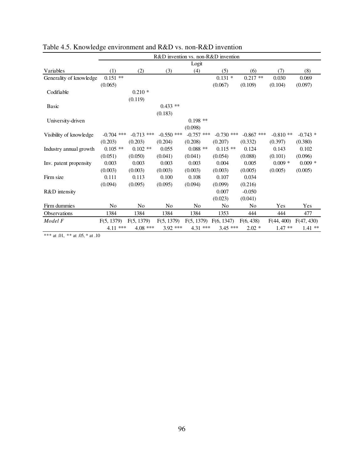|                         | R&D invention vs. non-R&D invention |                |                |              |                |                |            |            |  |  |  |
|-------------------------|-------------------------------------|----------------|----------------|--------------|----------------|----------------|------------|------------|--|--|--|
|                         |                                     |                |                | Logit        |                |                |            |            |  |  |  |
| Variables               | (1)                                 | (2)            | (3)            | (4)          | (5)            | (6)            | (7)        | (8)        |  |  |  |
| Generality of knowledge | $0.151$ **                          |                |                |              | $0.131 *$      | $0.217**$      | 0.030      | 0.069      |  |  |  |
|                         | (0.065)                             |                |                |              | (0.067)        | (0.109)        | (0.104)    | (0.097)    |  |  |  |
| Codifiable              |                                     | $0.210*$       |                |              |                |                |            |            |  |  |  |
|                         |                                     | (0.119)        |                |              |                |                |            |            |  |  |  |
| <b>Basic</b>            |                                     |                | $0.433$ **     |              |                |                |            |            |  |  |  |
|                         |                                     |                | (0.183)        |              |                |                |            |            |  |  |  |
| University-driven       |                                     |                |                | $0.198$ **   |                |                |            |            |  |  |  |
|                         |                                     |                |                | (0.098)      |                |                |            |            |  |  |  |
| Visibility of knowledge | $-0.704$ ***                        | $-0.713$ ***   | $-0.550$ ***   | $-0.757$ *** | $-0.730$ ***   | $-0.867$ ***   | $-0.810**$ | $-0.743$ * |  |  |  |
|                         | (0.203)                             | (0.203)        | (0.204)        | (0.208)      | (0.207)        | (0.332)        | (0.397)    | (0.380)    |  |  |  |
| Industry annual growth  | $0.105$ **                          | $0.102**$      | 0.055          | $0.088**$    | $0.115**$      | 0.124          | 0.143      | 0.102      |  |  |  |
|                         | (0.051)                             | (0.050)        | (0.041)        | (0.041)      | (0.054)        | (0.088)        | (0.101)    | (0.096)    |  |  |  |
| Inv. patent propensity  | 0.003                               | 0.003          | 0.003          | 0.003        | 0.004          | 0.005          | $0.009*$   | $0.009*$   |  |  |  |
|                         | (0.003)                             | (0.003)        | (0.003)        | (0.003)      | (0.003)        | (0.005)        | (0.005)    | (0.005)    |  |  |  |
| Firm size               | 0.111                               | 0.113          | 0.100          | 0.108        | 0.107          | 0.034          |            |            |  |  |  |
|                         | (0.094)                             | (0.095)        | (0.095)        | (0.094)      | (0.099)        | (0.216)        |            |            |  |  |  |
| R&D intensity           |                                     |                |                |              | 0.007          | $-0.050$       |            |            |  |  |  |
|                         |                                     |                |                |              | (0.023)        | (0.041)        |            |            |  |  |  |
| Firm dummies            | N <sub>0</sub>                      | N <sub>0</sub> | N <sub>o</sub> | No           | N <sub>0</sub> | N <sub>0</sub> | Yes        | Yes        |  |  |  |
| Observations            | 1384                                | 1384           | 1384           | 1384         | 1353           | 444            | 444        | 477        |  |  |  |
| Model F                 | F(5, 1379)                          | F(5, 1379)     | F(5, 1379)     | F(5, 1379)   | F(6, 1347)     | F(6, 438)      | F(44, 400) | F(47, 430) |  |  |  |
|                         | 4.11 ***                            | $4.08$ ***     | 3.92 ***       | 4.31 ***     | $3.45$ ***     | $2.02*$        | $1.47**$   | $1.41**$   |  |  |  |

|  | Table 4.5. Knowledge environment and $R&D$ vs. non- $R&D$ invention |  |  |
|--|---------------------------------------------------------------------|--|--|
|  |                                                                     |  |  |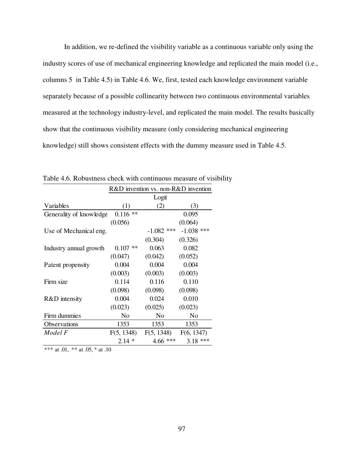In addition, we re-defined the visibility variable as a continuous variable only using the industry scores of use of mechanical engineering knowledge and replicated the main model (i.e., columns 5 in Table 4.5) in Table 4.6. We, first, tested each knowledge environment variable separately because of a possible collinearity between two continuous environmental variables measured at the technology industry-level, and replicated the main model. The results basically show that the continuous visibility measure (only considering mechanical engineering knowledge) still shows consistent effects with the dummy measure used in Table 4.5.

|                         | R&D invention vs. non-R&D invention |              |              |  |  |  |  |
|-------------------------|-------------------------------------|--------------|--------------|--|--|--|--|
|                         |                                     | Logit        |              |  |  |  |  |
| Variables               | (1)                                 | (2)          | (3)          |  |  |  |  |
| Generality of knowledge | $0.116$ **                          |              | 0.095        |  |  |  |  |
|                         | (0.056)                             |              | (0.064)      |  |  |  |  |
| Use of Mechanical eng.  |                                     | $-1.082$ *** | $-1.038$ *** |  |  |  |  |
|                         |                                     | (0.304)      | (0.326)      |  |  |  |  |
| Industry annual growth  | $**$<br>0.107                       | 0.063        | 0.082        |  |  |  |  |
|                         | (0.047)                             | (0.042)      | (0.052)      |  |  |  |  |
| Patent propensity       | 0.004                               | 0.004        | 0.004        |  |  |  |  |
|                         | (0.003)                             | (0.003)      | (0.003)      |  |  |  |  |
| Firm size               | 0.114                               | 0.116        | 0.110        |  |  |  |  |
|                         | (0.098)                             | (0.098)      | (0.098)      |  |  |  |  |
| R&D intensity           | 0.004                               | 0.024        | 0.010        |  |  |  |  |
|                         | (0.023)                             | (0.025)      | (0.023)      |  |  |  |  |
| Firm dummies            | No                                  | No           | No           |  |  |  |  |
| Observations            | 1353                                | 1353         | 1353         |  |  |  |  |
| Model F                 | F(5, 1348)                          | F(5, 1348)   | F(6, 1347)   |  |  |  |  |
|                         | $2.14*$                             | 4.66 ***     | ***<br>3.18  |  |  |  |  |

Table 4.6. Robustness check with continuous measure of visibility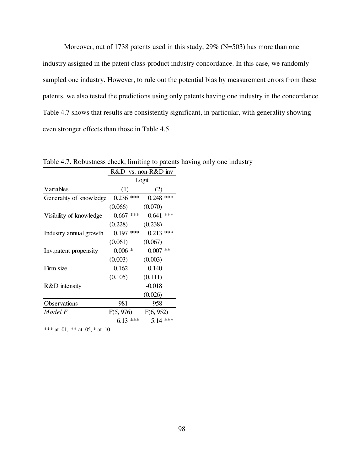Moreover, out of 1738 patents used in this study, 29% (N=503) has more than one industry assigned in the patent class-product industry concordance. In this case, we randomly sampled one industry. However, to rule out the potential bias by measurement errors from these patents, we also tested the predictions using only patents having one industry in the concordance. Table 4.7 shows that results are consistently significant, in particular, with generality showing even stronger effects than those in Table 4.5.

|                         | R&D vs. non-R&D inv |              |  |  |  |  |  |  |
|-------------------------|---------------------|--------------|--|--|--|--|--|--|
|                         |                     | Logit        |  |  |  |  |  |  |
| Variables               | (1)                 | (2)          |  |  |  |  |  |  |
| Generality of knowledge | ***<br>0.236        | $0.248$ ***  |  |  |  |  |  |  |
|                         | (0.066)             | (0.070)      |  |  |  |  |  |  |
| Visibility of knowledge | ***<br>$-0.667$     | $-0.641$ *** |  |  |  |  |  |  |
|                         | (0.228)             | (0.238)      |  |  |  |  |  |  |
| Industry annual growth  | $***$<br>0.197      | $0.213$ ***  |  |  |  |  |  |  |
|                         | (0.061)             | (0.067)      |  |  |  |  |  |  |
| Inv. patent propensity  | $0.006 *$           | $0.007$ **   |  |  |  |  |  |  |
|                         | (0.003)             | (0.003)      |  |  |  |  |  |  |
| Firm size               | 0.162               | 0.140        |  |  |  |  |  |  |
|                         | (0.105)             | (0.111)      |  |  |  |  |  |  |
| R&D intensity           |                     | $-0.018$     |  |  |  |  |  |  |
|                         |                     | (0.026)      |  |  |  |  |  |  |
| Observations            | 981                 | 958          |  |  |  |  |  |  |
| Model F                 | F(5, 976)           | F(6, 952)    |  |  |  |  |  |  |
|                         | ***<br>6.13         | 5.14 ***     |  |  |  |  |  |  |

Table 4.7. Robustness check, limiting to patents having only one industry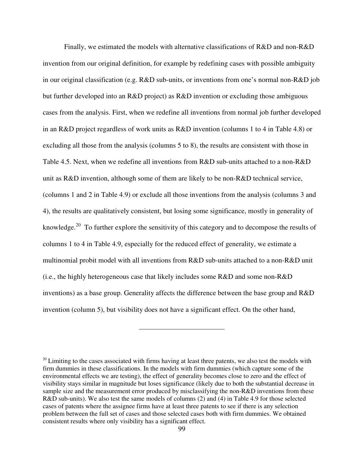Finally, we estimated the models with alternative classifications of R&D and non-R&D invention from our original definition, for example by redefining cases with possible ambiguity in our original classification (e.g. R&D sub-units, or inventions from one's normal non-R&D job but further developed into an R&D project) as R&D invention or excluding those ambiguous cases from the analysis. First, when we redefine all inventions from normal job further developed in an R&D project regardless of work units as R&D invention (columns 1 to 4 in Table 4.8) or excluding all those from the analysis (columns 5 to 8), the results are consistent with those in Table 4.5. Next, when we redefine all inventions from R&D sub-units attached to a non-R&D unit as R&D invention, although some of them are likely to be non-R&D technical service, (columns 1 and 2 in Table 4.9) or exclude all those inventions from the analysis (columns 3 and 4), the results are qualitatively consistent, but losing some significance, mostly in generality of knowledge.<sup>20</sup> To further explore the sensitivity of this category and to decompose the results of columns 1 to 4 in Table 4.9, especially for the reduced effect of generality, we estimate a multinomial probit model with all inventions from R&D sub-units attached to a non-R&D unit (i.e., the highly heterogeneous case that likely includes some R&D and some non-R&D inventions) as a base group. Generality affects the difference between the base group and R&D invention (column 5), but visibility does not have a significant effect. On the other hand,

 $20$  Limiting to the cases associated with firms having at least three patents, we also test the models with firm dummies in these classifications. In the models with firm dummies (which capture some of the environmental effects we are testing), the effect of generality becomes close to zero and the effect of visibility stays similar in magnitude but loses significance (likely due to both the substantial decrease in sample size and the measurement error produced by misclassifying the non-R&D inventions from these R&D sub-units). We also test the same models of columns (2) and (4) in Table 4.9 for those selected cases of patents where the assignee firms have at least three patents to see if there is any selection problem between the full set of cases and those selected cases both with firm dummies. We obtained consistent results where only visibility has a significant effect.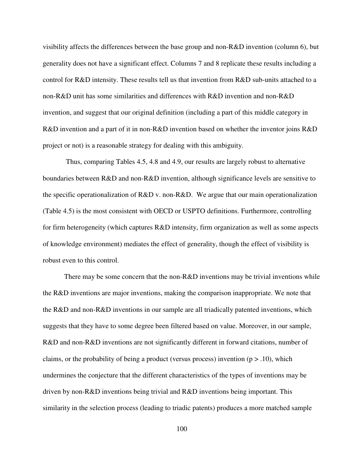visibility affects the differences between the base group and non-R&D invention (column 6), but generality does not have a significant effect. Columns 7 and 8 replicate these results including a control for R&D intensity. These results tell us that invention from R&D sub-units attached to a non-R&D unit has some similarities and differences with R&D invention and non-R&D invention, and suggest that our original definition (including a part of this middle category in R&D invention and a part of it in non-R&D invention based on whether the inventor joins R&D project or not) is a reasonable strategy for dealing with this ambiguity.

 Thus, comparing Tables 4.5, 4.8 and 4.9, our results are largely robust to alternative boundaries between R&D and non-R&D invention, although significance levels are sensitive to the specific operationalization of R&D v. non-R&D. We argue that our main operationalization (Table 4.5) is the most consistent with OECD or USPTO definitions. Furthermore, controlling for firm heterogeneity (which captures R&D intensity, firm organization as well as some aspects of knowledge environment) mediates the effect of generality, though the effect of visibility is robust even to this control.

There may be some concern that the non-R&D inventions may be trivial inventions while the R&D inventions are major inventions, making the comparison inappropriate. We note that the R&D and non-R&D inventions in our sample are all triadically patented inventions, which suggests that they have to some degree been filtered based on value. Moreover, in our sample, R&D and non-R&D inventions are not significantly different in forward citations, number of claims, or the probability of being a product (versus process) invention ( $p > .10$ ), which undermines the conjecture that the different characteristics of the types of inventions may be driven by non-R&D inventions being trivial and R&D inventions being important. This similarity in the selection process (leading to triadic patents) produces a more matched sample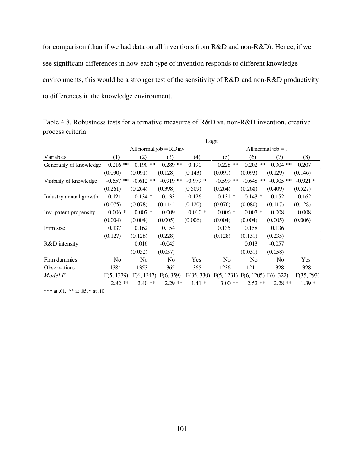for comparison (than if we had data on all inventions from R&D and non-R&D). Hence, if we see significant differences in how each type of invention responds to different knowledge environments, this would be a stronger test of the sensitivity of R&D and non-R&D productivity to differences in the knowledge environment.

Table 4.8. Robustness tests for alternative measures of R&D vs. non-R&D invention, creative process criteria

|                         | Logit       |                         |            |            |                                 |                |                      |            |  |
|-------------------------|-------------|-------------------------|------------|------------|---------------------------------|----------------|----------------------|------------|--|
|                         |             | All normal $job = RDim$ |            |            |                                 |                | All normal $job =$ . |            |  |
| Variables               | (1)         | (2)                     | (3)        | (4)        | (5)                             | (6)            | (7)                  | (8)        |  |
| Generality of knowledge | $0.216$ **  | $0.190**$               | $0.289**$  | 0.190      | $0.228$ **                      | $0.202$ **     | $0.304$ **           | 0.207      |  |
|                         | (0.090)     | (0.091)                 | (0.128)    | (0.143)    | (0.091)                         | (0.093)        | (0.129)              | (0.146)    |  |
| Visibility of knowledge | $-0.557$ ** | $-0.612**$              | $-0.919**$ | $-0.979*$  | $-0.599$ **                     | $-0.648$ **    | $-0.905$ **          | $-0.921$ * |  |
|                         | (0.261)     | (0.264)                 | (0.398)    | (0.509)    | (0.264)                         | (0.268)        | (0.409)              | (0.527)    |  |
| Industry annual growth  | 0.121       | $0.134*$                | 0.133      | 0.126      | $0.131 *$                       | $0.143*$       | 0.152                | 0.162      |  |
|                         | (0.075)     | (0.078)                 | (0.114)    | (0.120)    | (0.076)                         | (0.080)        | (0.117)              | (0.128)    |  |
| Inv. patent propensity  | $0.006 *$   | $0.007 *$               | 0.009      | $0.010*$   | $0.006*$                        | $0.007*$       | 0.008                | 0.008      |  |
|                         | (0.004)     | (0.004)                 | (0.005)    | (0.006)    | (0.004)                         | (0.004)        | (0.005)              | (0.006)    |  |
| Firm size               | 0.137       | 0.162                   | 0.154      |            | 0.135                           | 0.158          | 0.136                |            |  |
|                         | (0.127)     | (0.128)                 | (0.228)    |            | (0.128)                         | (0.131)        | (0.235)              |            |  |
| R&D intensity           |             | 0.016                   | $-0.045$   |            |                                 | 0.013          | $-0.057$             |            |  |
|                         |             | (0.032)                 | (0.057)    |            |                                 | (0.031)        | (0.058)              |            |  |
| Firm dummies            | No          | N <sub>0</sub>          | No         | Yes        | No                              | N <sub>0</sub> | N <sub>0</sub>       | Yes        |  |
| <b>Observations</b>     | 1384        | 1353                    | 365        | 365        | 1236                            | 1211           | 328                  | 328        |  |
| Model F                 | F(5, 1379)  | F(6, 1347)              | F(6, 359)  | F(35, 330) | F(5, 1231) F(6, 1205) F(6, 322) |                |                      | F(35, 293) |  |
|                         | $2.82**$    | $2.40**$                | $2.29$ **  | $1.41*$    | $3.00**$                        | $2.52**$       | $2.28$ **            | $1.39*$    |  |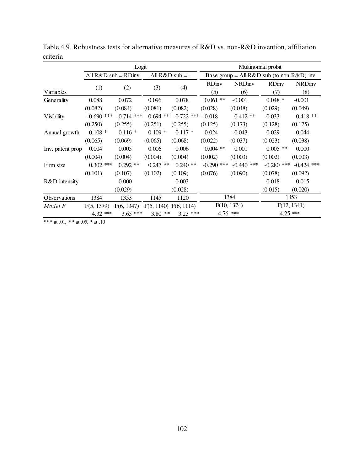|                  |              | Logit                    |                       |                   | Multinomial probit |                                                 |              |               |  |
|------------------|--------------|--------------------------|-----------------------|-------------------|--------------------|-------------------------------------------------|--------------|---------------|--|
|                  |              | All $R&D$ sub = $RD$ inv |                       | All $R&D$ sub = . |                    | Base group = All $R&D$ sub (to non- $R&D$ ) inv |              |               |  |
|                  | (1)          | (2)                      | (3)                   | (4)               | <b>RD</b> iny      | <b>NRDiny</b>                                   |              | <b>NRDiny</b> |  |
| Variables        |              |                          |                       |                   | (5)                | (6)                                             | (7)          | (8)           |  |
| Generality       | 0.088        | 0.072                    | 0.096                 | 0.078             | $0.061$ **         | $-0.001$                                        | $0.048 *$    | $-0.001$      |  |
|                  | (0.082)      | (0.084)                  | (0.081)               | (0.082)           | (0.028)            | (0.048)                                         | (0.029)      | (0.049)       |  |
| Visibility       | $-0.690$ *** | $-0.714$ ***             | $-0.694$ ***          | $-0.722$ ***      | $-0.018$           | $0.412**$                                       | $-0.033$     | $0.418**$     |  |
|                  | (0.250)      | (0.255)                  | (0.251)               | (0.255)           | (0.125)            | (0.173)                                         | (0.128)      | (0.175)       |  |
| Annual growth    | $0.108*$     | $0.116*$                 | $0.109*$              | $0.117*$          | 0.024              | $-0.043$                                        | 0.029        | $-0.044$      |  |
|                  | (0.065)      | (0.069)                  | (0.065)               | (0.068)           | (0.022)            | (0.037)                                         | (0.023)      | (0.038)       |  |
| Inv. patent prop | 0.004        | 0.005                    | 0.006                 | 0.006             | $0.004$ **         | 0.001                                           | $0.005$ **   | 0.000         |  |
|                  | (0.004)      | (0.004)                  | (0.004)               | (0.004)           | (0.002)            | (0.003)                                         | (0.002)      | (0.003)       |  |
| Firm size        | $0.302$ ***  | $0.292**$                | 0.247<br>$***$        | $0.240**$         | $-0.290$ ***       | $-0.440$ ***                                    | $-0.280$ *** | $-0.424$ ***  |  |
|                  | (0.101)      | (0.107)                  | (0.102)               | (0.109)           | (0.076)            | (0.090)                                         | (0.078)      | (0.092)       |  |
| R&D intensity    |              | 0.000                    |                       | 0.003             |                    |                                                 | 0.018        | 0.015         |  |
|                  |              | (0.029)                  |                       | (0.028)           |                    |                                                 | (0.015)      | (0.020)       |  |
| Observations     | 1384         | 1353                     | 1145                  | 1120              |                    | 1384                                            |              | 1353          |  |
| Model F          | F(5, 1379)   | F(6, 1347)               | F(5, 1140) F(6, 1114) |                   |                    | F(10, 1374)                                     |              | F(12, 1341)   |  |
|                  | $4.32$ ***   | $3.65$ ***               | $3.80$ **             | $3.23$ ***        |                    | $4.76$ ***                                      | $4.25$ ***   |               |  |

Table 4.9. Robustness tests for alternative measures of R&D vs. non-R&D invention, affiliation criteria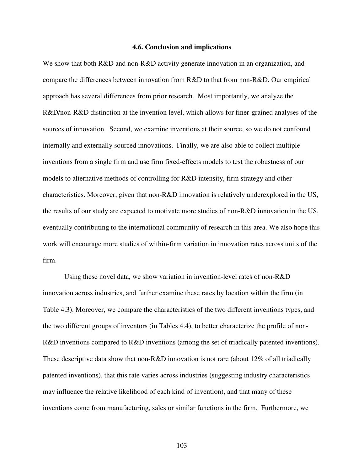#### **4.6. Conclusion and implications**

We show that both R&D and non-R&D activity generate innovation in an organization, and compare the differences between innovation from R&D to that from non-R&D. Our empirical approach has several differences from prior research. Most importantly, we analyze the R&D/non-R&D distinction at the invention level, which allows for finer-grained analyses of the sources of innovation. Second, we examine inventions at their source, so we do not confound internally and externally sourced innovations. Finally, we are also able to collect multiple inventions from a single firm and use firm fixed-effects models to test the robustness of our models to alternative methods of controlling for R&D intensity, firm strategy and other characteristics. Moreover, given that non-R&D innovation is relatively underexplored in the US, the results of our study are expected to motivate more studies of non-R&D innovation in the US, eventually contributing to the international community of research in this area. We also hope this work will encourage more studies of within-firm variation in innovation rates across units of the firm.

Using these novel data, we show variation in invention-level rates of non-R&D innovation across industries, and further examine these rates by location within the firm (in Table 4.3). Moreover, we compare the characteristics of the two different inventions types, and the two different groups of inventors (in Tables 4.4), to better characterize the profile of non-R&D inventions compared to R&D inventions (among the set of triadically patented inventions). These descriptive data show that non-R&D innovation is not rare (about 12% of all triadically patented inventions), that this rate varies across industries (suggesting industry characteristics may influence the relative likelihood of each kind of invention), and that many of these inventions come from manufacturing, sales or similar functions in the firm. Furthermore, we

103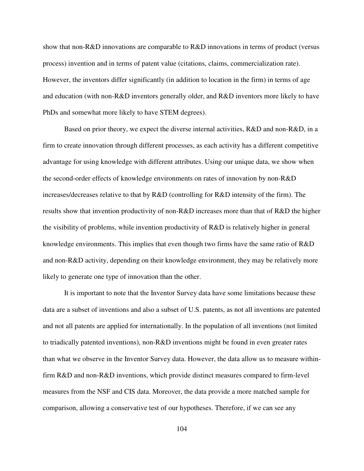show that non-R&D innovations are comparable to R&D innovations in terms of product (versus process) invention and in terms of patent value (citations, claims, commercialization rate). However, the inventors differ significantly (in addition to location in the firm) in terms of age and education (with non-R&D inventors generally older, and R&D inventors more likely to have PhDs and somewhat more likely to have STEM degrees).

Based on prior theory, we expect the diverse internal activities, R&D and non-R&D, in a firm to create innovation through different processes, as each activity has a different competitive advantage for using knowledge with different attributes. Using our unique data, we show when the second-order effects of knowledge environments on rates of innovation by non-R&D increases/decreases relative to that by R&D (controlling for R&D intensity of the firm). The results show that invention productivity of non-R&D increases more than that of R&D the higher the visibility of problems, while invention productivity of R&D is relatively higher in general knowledge environments. This implies that even though two firms have the same ratio of R&D and non-R&D activity, depending on their knowledge environment, they may be relatively more likely to generate one type of innovation than the other.

It is important to note that the Inventor Survey data have some limitations because these data are a subset of inventions and also a subset of U.S. patents, as not all inventions are patented and not all patents are applied for internationally. In the population of all inventions (not limited to triadically patented inventions), non-R&D inventions might be found in even greater rates than what we observe in the Inventor Survey data. However, the data allow us to measure withinfirm R&D and non-R&D inventions, which provide distinct measures compared to firm-level measures from the NSF and CIS data. Moreover, the data provide a more matched sample for comparison, allowing a conservative test of our hypotheses. Therefore, if we can see any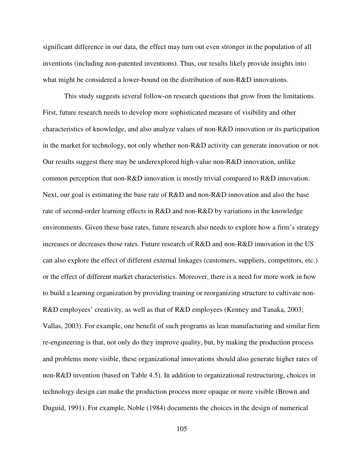significant difference in our data, the effect may turn out even stronger in the population of all inventions (including non-patented inventions). Thus, our results likely provide insights into what might be considered a lower-bound on the distribution of non-R&D innovations.

This study suggests several follow-on research questions that grow from the limitations. First, future research needs to develop more sophisticated measure of visibility and other characteristics of knowledge, and also analyze values of non-R&D innovation or its participation in the market for technology, not only whether non-R&D activity can generate innovation or not. Our results suggest there may be underexplored high-value non-R&D innovation, unlike common perception that non-R&D innovation is mostly trivial compared to R&D innovation. Next, our goal is estimating the base rate of R&D and non-R&D innovation and also the base rate of second-order learning effects in R&D and non-R&D by variations in the knowledge environments. Given these base rates, future research also needs to explore how a firm's strategy increases or decreases those rates. Future research of R&D and non-R&D innovation in the US can also explore the effect of different external linkages (customers, suppliers, competitors, etc.) or the effect of different market characteristics. Moreover, there is a need for more work in how to build a learning organization by providing training or reorganizing structure to cultivate non-R&D employees' creativity, as well as that of R&D employees (Kenney and Tanaka, 2003; Vallas, 2003). For example, one benefit of such programs as lean manufacturing and similar firm re-engineering is that, not only do they improve quality, but, by making the production process and problems more visible, these organizational innovations should also generate higher rates of non-R&D invention (based on Table 4.5). In addition to organizational restructuring, choices in technology design can make the production process more opaque or more visible (Brown and Duguid, 1991). For example, Noble (1984) documents the choices in the design of numerical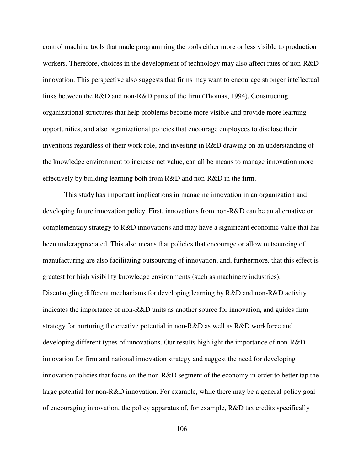control machine tools that made programming the tools either more or less visible to production workers. Therefore, choices in the development of technology may also affect rates of non-R&D innovation. This perspective also suggests that firms may want to encourage stronger intellectual links between the R&D and non-R&D parts of the firm (Thomas, 1994). Constructing organizational structures that help problems become more visible and provide more learning opportunities, and also organizational policies that encourage employees to disclose their inventions regardless of their work role, and investing in R&D drawing on an understanding of the knowledge environment to increase net value, can all be means to manage innovation more effectively by building learning both from R&D and non-R&D in the firm.

This study has important implications in managing innovation in an organization and developing future innovation policy. First, innovations from non-R&D can be an alternative or complementary strategy to R&D innovations and may have a significant economic value that has been underappreciated. This also means that policies that encourage or allow outsourcing of manufacturing are also facilitating outsourcing of innovation, and, furthermore, that this effect is greatest for high visibility knowledge environments (such as machinery industries). Disentangling different mechanisms for developing learning by R&D and non-R&D activity indicates the importance of non-R&D units as another source for innovation, and guides firm strategy for nurturing the creative potential in non-R&D as well as R&D workforce and developing different types of innovations. Our results highlight the importance of non-R&D innovation for firm and national innovation strategy and suggest the need for developing innovation policies that focus on the non-R&D segment of the economy in order to better tap the large potential for non-R&D innovation. For example, while there may be a general policy goal of encouraging innovation, the policy apparatus of, for example, R&D tax credits specifically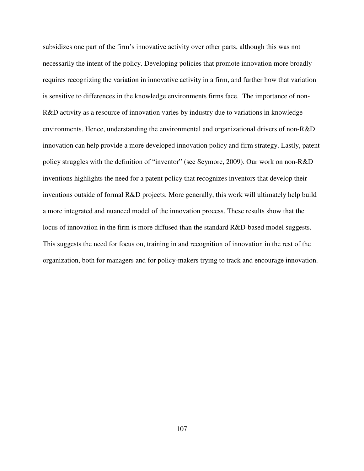subsidizes one part of the firm's innovative activity over other parts, although this was not necessarily the intent of the policy. Developing policies that promote innovation more broadly requires recognizing the variation in innovative activity in a firm, and further how that variation is sensitive to differences in the knowledge environments firms face. The importance of non-R&D activity as a resource of innovation varies by industry due to variations in knowledge environments. Hence, understanding the environmental and organizational drivers of non-R&D innovation can help provide a more developed innovation policy and firm strategy. Lastly, patent policy struggles with the definition of "inventor" (see Seymore, 2009). Our work on non-R&D inventions highlights the need for a patent policy that recognizes inventors that develop their inventions outside of formal R&D projects. More generally, this work will ultimately help build a more integrated and nuanced model of the innovation process. These results show that the locus of innovation in the firm is more diffused than the standard R&D-based model suggests. This suggests the need for focus on, training in and recognition of innovation in the rest of the organization, both for managers and for policy-makers trying to track and encourage innovation.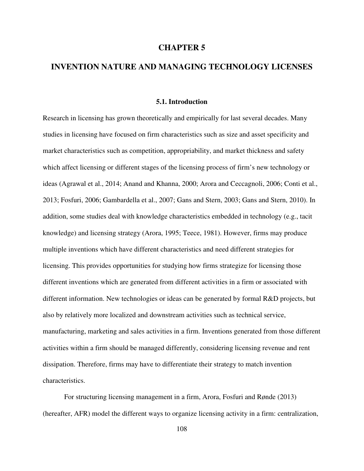#### **CHAPTER 5**

## **INVENTION NATURE AND MANAGING TECHNOLOGY LICENSES**

## **5.1. Introduction**

Research in licensing has grown theoretically and empirically for last several decades. Many studies in licensing have focused on firm characteristics such as size and asset specificity and market characteristics such as competition, appropriability, and market thickness and safety which affect licensing or different stages of the licensing process of firm's new technology or ideas (Agrawal et al., 2014; Anand and Khanna, 2000; Arora and Ceccagnoli, 2006; Conti et al., 2013; Fosfuri, 2006; Gambardella et al., 2007; Gans and Stern, 2003; Gans and Stern, 2010). In addition, some studies deal with knowledge characteristics embedded in technology (e.g., tacit knowledge) and licensing strategy (Arora, 1995; Teece, 1981). However, firms may produce multiple inventions which have different characteristics and need different strategies for licensing. This provides opportunities for studying how firms strategize for licensing those different inventions which are generated from different activities in a firm or associated with different information. New technologies or ideas can be generated by formal R&D projects, but also by relatively more localized and downstream activities such as technical service, manufacturing, marketing and sales activities in a firm. Inventions generated from those different activities within a firm should be managed differently, considering licensing revenue and rent dissipation. Therefore, firms may have to differentiate their strategy to match invention characteristics.

For structuring licensing management in a firm, Arora, Fosfuri and Rønde (2013) (hereafter, AFR) model the different ways to organize licensing activity in a firm: centralization,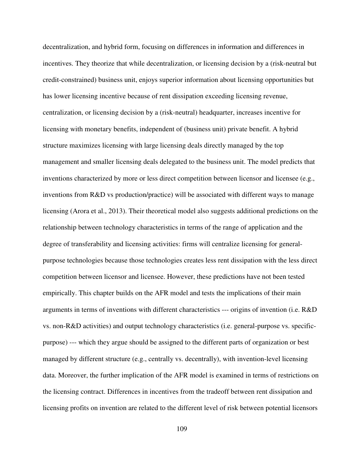decentralization, and hybrid form, focusing on differences in information and differences in incentives. They theorize that while decentralization, or licensing decision by a (risk-neutral but credit-constrained) business unit, enjoys superior information about licensing opportunities but has lower licensing incentive because of rent dissipation exceeding licensing revenue, centralization, or licensing decision by a (risk-neutral) headquarter, increases incentive for licensing with monetary benefits, independent of (business unit) private benefit. A hybrid structure maximizes licensing with large licensing deals directly managed by the top management and smaller licensing deals delegated to the business unit. The model predicts that inventions characterized by more or less direct competition between licensor and licensee (e.g., inventions from R&D vs production/practice) will be associated with different ways to manage licensing (Arora et al., 2013). Their theoretical model also suggests additional predictions on the relationship between technology characteristics in terms of the range of application and the degree of transferability and licensing activities: firms will centralize licensing for generalpurpose technologies because those technologies creates less rent dissipation with the less direct competition between licensor and licensee. However, these predictions have not been tested empirically. This chapter builds on the AFR model and tests the implications of their main arguments in terms of inventions with different characteristics --- origins of invention (i.e. R&D vs. non-R&D activities) and output technology characteristics (i.e. general-purpose vs. specificpurpose) --- which they argue should be assigned to the different parts of organization or best managed by different structure (e.g., centrally vs. decentrally), with invention-level licensing data. Moreover, the further implication of the AFR model is examined in terms of restrictions on the licensing contract. Differences in incentives from the tradeoff between rent dissipation and licensing profits on invention are related to the different level of risk between potential licensors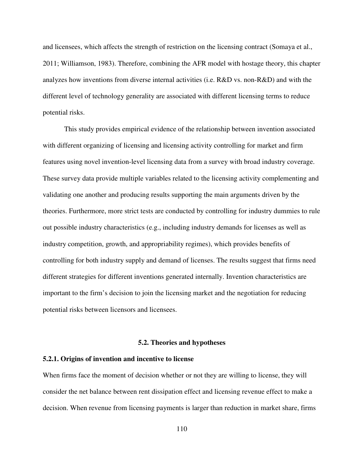and licensees, which affects the strength of restriction on the licensing contract (Somaya et al., 2011; Williamson, 1983). Therefore, combining the AFR model with hostage theory, this chapter analyzes how inventions from diverse internal activities (i.e. R&D vs. non-R&D) and with the different level of technology generality are associated with different licensing terms to reduce potential risks.

This study provides empirical evidence of the relationship between invention associated with different organizing of licensing and licensing activity controlling for market and firm features using novel invention-level licensing data from a survey with broad industry coverage. These survey data provide multiple variables related to the licensing activity complementing and validating one another and producing results supporting the main arguments driven by the theories. Furthermore, more strict tests are conducted by controlling for industry dummies to rule out possible industry characteristics (e.g., including industry demands for licenses as well as industry competition, growth, and appropriability regimes), which provides benefits of controlling for both industry supply and demand of licenses. The results suggest that firms need different strategies for different inventions generated internally. Invention characteristics are important to the firm's decision to join the licensing market and the negotiation for reducing potential risks between licensors and licensees.

#### **5.2. Theories and hypotheses**

#### **5.2.1. Origins of invention and incentive to license**

When firms face the moment of decision whether or not they are willing to license, they will consider the net balance between rent dissipation effect and licensing revenue effect to make a decision. When revenue from licensing payments is larger than reduction in market share, firms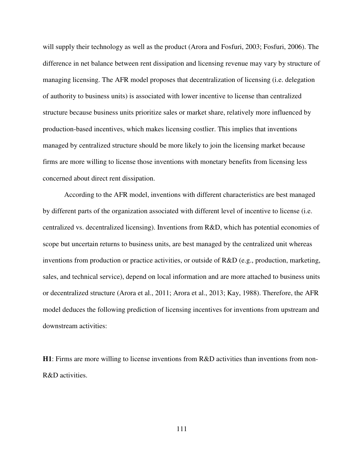will supply their technology as well as the product (Arora and Fosfuri, 2003; Fosfuri, 2006). The difference in net balance between rent dissipation and licensing revenue may vary by structure of managing licensing. The AFR model proposes that decentralization of licensing (i.e. delegation of authority to business units) is associated with lower incentive to license than centralized structure because business units prioritize sales or market share, relatively more influenced by production-based incentives, which makes licensing costlier. This implies that inventions managed by centralized structure should be more likely to join the licensing market because firms are more willing to license those inventions with monetary benefits from licensing less concerned about direct rent dissipation.

According to the AFR model, inventions with different characteristics are best managed by different parts of the organization associated with different level of incentive to license (i.e. centralized vs. decentralized licensing). Inventions from R&D, which has potential economies of scope but uncertain returns to business units, are best managed by the centralized unit whereas inventions from production or practice activities, or outside of R&D (e.g., production, marketing, sales, and technical service), depend on local information and are more attached to business units or decentralized structure (Arora et al., 2011; Arora et al., 2013; Kay, 1988). Therefore, the AFR model deduces the following prediction of licensing incentives for inventions from upstream and downstream activities:

**H1**: Firms are more willing to license inventions from R&D activities than inventions from non-R&D activities.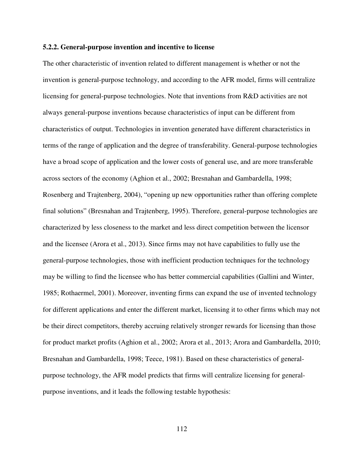#### **5.2.2. General-purpose invention and incentive to license**

The other characteristic of invention related to different management is whether or not the invention is general-purpose technology, and according to the AFR model, firms will centralize licensing for general-purpose technologies. Note that inventions from R&D activities are not always general-purpose inventions because characteristics of input can be different from characteristics of output. Technologies in invention generated have different characteristics in terms of the range of application and the degree of transferability. General-purpose technologies have a broad scope of application and the lower costs of general use, and are more transferable across sectors of the economy (Aghion et al., 2002; Bresnahan and Gambardella, 1998; Rosenberg and Trajtenberg, 2004), "opening up new opportunities rather than offering complete final solutions" (Bresnahan and Trajtenberg, 1995). Therefore, general-purpose technologies are characterized by less closeness to the market and less direct competition between the licensor and the licensee (Arora et al., 2013). Since firms may not have capabilities to fully use the general-purpose technologies, those with inefficient production techniques for the technology may be willing to find the licensee who has better commercial capabilities (Gallini and Winter, 1985; Rothaermel, 2001). Moreover, inventing firms can expand the use of invented technology for different applications and enter the different market, licensing it to other firms which may not be their direct competitors, thereby accruing relatively stronger rewards for licensing than those for product market profits (Aghion et al., 2002; Arora et al., 2013; Arora and Gambardella, 2010; Bresnahan and Gambardella, 1998; Teece, 1981). Based on these characteristics of generalpurpose technology, the AFR model predicts that firms will centralize licensing for generalpurpose inventions, and it leads the following testable hypothesis: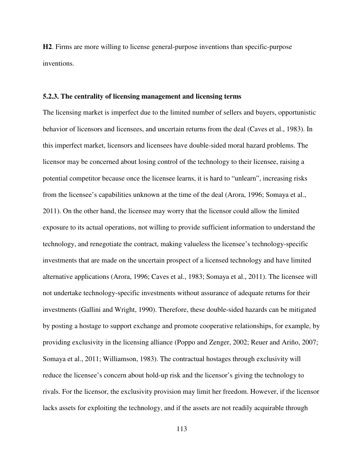**H2**. Firms are more willing to license general-purpose inventions than specific-purpose inventions.

#### **5.2.3. The centrality of licensing management and licensing terms**

The licensing market is imperfect due to the limited number of sellers and buyers, opportunistic behavior of licensors and licensees, and uncertain returns from the deal (Caves et al., 1983). In this imperfect market, licensors and licensees have double-sided moral hazard problems. The licensor may be concerned about losing control of the technology to their licensee, raising a potential competitor because once the licensee learns, it is hard to "unlearn", increasing risks from the licensee's capabilities unknown at the time of the deal (Arora, 1996; Somaya et al., 2011). On the other hand, the licensee may worry that the licensor could allow the limited exposure to its actual operations, not willing to provide sufficient information to understand the technology, and renegotiate the contract, making valueless the licensee's technology-specific investments that are made on the uncertain prospect of a licensed technology and have limited alternative applications (Arora, 1996; Caves et al., 1983; Somaya et al., 2011). The licensee will not undertake technology-specific investments without assurance of adequate returns for their investments (Gallini and Wright, 1990). Therefore, these double-sided hazards can be mitigated by posting a hostage to support exchange and promote cooperative relationships, for example, by providing exclusivity in the licensing alliance (Poppo and Zenger, 2002; Reuer and Ariño, 2007; Somaya et al., 2011; Williamson, 1983). The contractual hostages through exclusivity will reduce the licensee's concern about hold-up risk and the licensor's giving the technology to rivals. For the licensor, the exclusivity provision may limit her freedom. However, if the licensor lacks assets for exploiting the technology, and if the assets are not readily acquirable through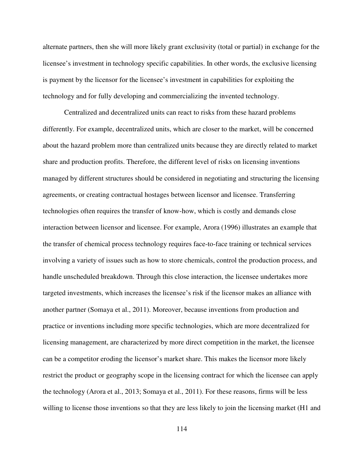alternate partners, then she will more likely grant exclusivity (total or partial) in exchange for the licensee's investment in technology specific capabilities. In other words, the exclusive licensing is payment by the licensor for the licensee's investment in capabilities for exploiting the technology and for fully developing and commercializing the invented technology.

Centralized and decentralized units can react to risks from these hazard problems differently. For example, decentralized units, which are closer to the market, will be concerned about the hazard problem more than centralized units because they are directly related to market share and production profits. Therefore, the different level of risks on licensing inventions managed by different structures should be considered in negotiating and structuring the licensing agreements, or creating contractual hostages between licensor and licensee. Transferring technologies often requires the transfer of know-how, which is costly and demands close interaction between licensor and licensee. For example, Arora (1996) illustrates an example that the transfer of chemical process technology requires face-to-face training or technical services involving a variety of issues such as how to store chemicals, control the production process, and handle unscheduled breakdown. Through this close interaction, the licensee undertakes more targeted investments, which increases the licensee's risk if the licensor makes an alliance with another partner (Somaya et al., 2011). Moreover, because inventions from production and practice or inventions including more specific technologies, which are more decentralized for licensing management, are characterized by more direct competition in the market, the licensee can be a competitor eroding the licensor's market share. This makes the licensor more likely restrict the product or geography scope in the licensing contract for which the licensee can apply the technology (Arora et al., 2013; Somaya et al., 2011). For these reasons, firms will be less willing to license those inventions so that they are less likely to join the licensing market (H1 and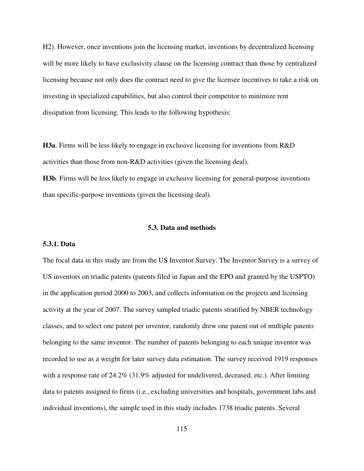H2). However, once inventions join the licensing market, inventions by decentralized licensing will be more likely to have exclusivity clause on the licensing contract than those by centralized licensing because not only does the contract need to give the licensee incentives to take a risk on investing in specialized capabilities, but also control their competitor to minimize rent dissipation from licensing. This leads to the following hypothesis:

**H3a**. Firms will be less likely to engage in exclusive licensing for inventions from R&D activities than those from non-R&D activities (given the licensing deal).

**H3b**. Firms will be less likely to engage in exclusive licensing for general-purpose inventions than specific-purpose inventions (given the licensing deal).

#### **5.3. Data and methods**

#### **5.3.1. Data**

The focal data in this study are from the US Inventor Survey. The Inventor Survey is a survey of US inventors on triadic patents (patents filed in Japan and the EPO and granted by the USPTO) in the application period 2000 to 2003, and collects information on the projects and licensing activity at the year of 2007. The survey sampled triadic patents stratified by NBER technology classes, and to select one patent per inventor, randomly drew one patent out of multiple patents belonging to the same inventor. The number of patents belonging to each unique inventor was recorded to use as a weight for later survey data estimation. The survey received 1919 responses with a response rate of 24.2% (31.9% adjusted for undelivered, deceased, etc.). After limiting data to patents assigned to firms (i.e., excluding universities and hospitals, government labs and individual inventions), the sample used in this study includes 1738 triadic patents. Several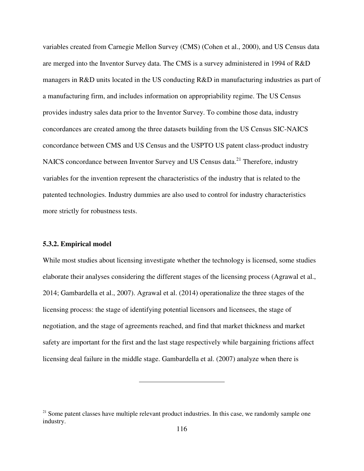variables created from Carnegie Mellon Survey (CMS) (Cohen et al., 2000), and US Census data are merged into the Inventor Survey data. The CMS is a survey administered in 1994 of R&D managers in R&D units located in the US conducting R&D in manufacturing industries as part of a manufacturing firm, and includes information on appropriability regime. The US Census provides industry sales data prior to the Inventor Survey. To combine those data, industry concordances are created among the three datasets building from the US Census SIC-NAICS concordance between CMS and US Census and the USPTO US patent class-product industry NAICS concordance between Inventor Survey and US Census data.<sup>21</sup> Therefore, industry variables for the invention represent the characteristics of the industry that is related to the patented technologies. Industry dummies are also used to control for industry characteristics more strictly for robustness tests.

#### **5.3.2. Empirical model**

While most studies about licensing investigate whether the technology is licensed, some studies elaborate their analyses considering the different stages of the licensing process (Agrawal et al., 2014; Gambardella et al., 2007). Agrawal et al. (2014) operationalize the three stages of the licensing process: the stage of identifying potential licensors and licensees, the stage of negotiation, and the stage of agreements reached, and find that market thickness and market safety are important for the first and the last stage respectively while bargaining frictions affect licensing deal failure in the middle stage. Gambardella et al. (2007) analyze when there is

 $21$  Some patent classes have multiple relevant product industries. In this case, we randomly sample one industry.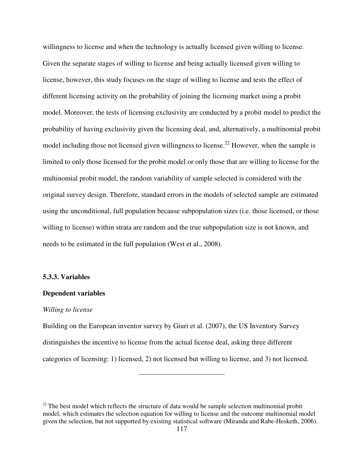willingness to license and when the technology is actually licensed given willing to license. Given the separate stages of willing to license and being actually licensed given willing to license, however, this study focuses on the stage of willing to license and tests the effect of different licensing activity on the probability of joining the licensing market using a probit model. Moreover, the tests of licensing exclusivity are conducted by a probit model to predict the probability of having exclusivity given the licensing deal, and, alternatively, a multinomial probit model including those not licensed given willingness to license.<sup>22</sup> However, when the sample is limited to only those licensed for the probit model or only those that are willing to license for the multinomial probit model, the random variability of sample selected is considered with the original survey design. Therefore, standard errors in the models of selected sample are estimated using the unconditional, full population because subpopulation sizes (i.e. those licensed, or those willing to license) within strata are random and the true subpopulation size is not known, and needs to be estimated in the full population (West et al., 2008).

#### **5.3.3. Variables**

#### **Dependent variables**

#### *Willing to license*

Building on the European inventor survey by Giuri et al. (2007), the US Inventory Survey distinguishes the incentive to license from the actual license deal, asking three different categories of licensing: 1) licensed, 2) not licensed but willing to license, and 3) not licensed.

 $22$  The best model which reflects the structure of data would be sample selection multinomial probit model, which estimates the selection equation for willing to license and the outcome multinomial model given the selection, but not supported by existing statistical software (Miranda and Rabe-Hesketh, 2006).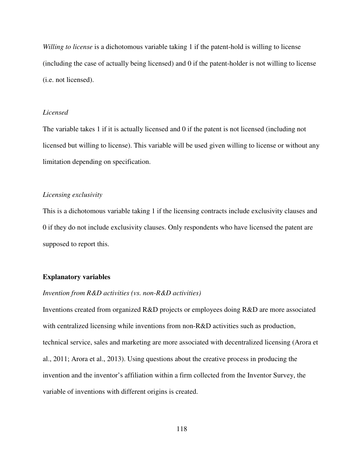*Willing to license* is a dichotomous variable taking 1 if the patent-hold is willing to license (including the case of actually being licensed) and 0 if the patent-holder is not willing to license (i.e. not licensed).

#### *Licensed*

The variable takes 1 if it is actually licensed and 0 if the patent is not licensed (including not licensed but willing to license). This variable will be used given willing to license or without any limitation depending on specification.

## *Licensing exclusivity*

This is a dichotomous variable taking 1 if the licensing contracts include exclusivity clauses and 0 if they do not include exclusivity clauses. Only respondents who have licensed the patent are supposed to report this.

#### **Explanatory variables**

## *Invention from R&D activities (vs. non-R&D activities)*

Inventions created from organized R&D projects or employees doing R&D are more associated with centralized licensing while inventions from non-R&D activities such as production, technical service, sales and marketing are more associated with decentralized licensing (Arora et al., 2011; Arora et al., 2013). Using questions about the creative process in producing the invention and the inventor's affiliation within a firm collected from the Inventor Survey, the variable of inventions with different origins is created.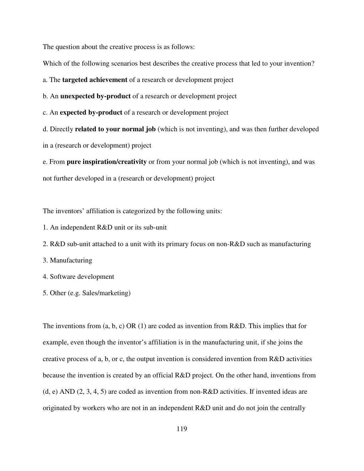The question about the creative process is as follows:

Which of the following scenarios best describes the creative process that led to your invention?

a. The **targeted achievement** of a research or development project

b. An **unexpected by-product** of a research or development project

c. An **expected by-product** of a research or development project

d. Directly **related to your normal job** (which is not inventing), and was then further developed in a (research or development) project

e. From **pure inspiration/creativity** or from your normal job (which is not inventing), and was not further developed in a (research or development) project

The inventors' affiliation is categorized by the following units:

- 1. An independent R&D unit or its sub-unit
- 2. R&D sub-unit attached to a unit with its primary focus on non-R&D such as manufacturing
- 3. Manufacturing
- 4. Software development
- 5. Other (e.g. Sales/marketing)

The inventions from  $(a, b, c)$  OR  $(1)$  are coded as invention from R&D. This implies that for example, even though the inventor's affiliation is in the manufacturing unit, if she joins the creative process of a, b, or c, the output invention is considered invention from  $R&D$  activities because the invention is created by an official R&D project. On the other hand, inventions from (d, e) AND  $(2, 3, 4, 5)$  are coded as invention from non-R&D activities. If invented ideas are originated by workers who are not in an independent R&D unit and do not join the centrally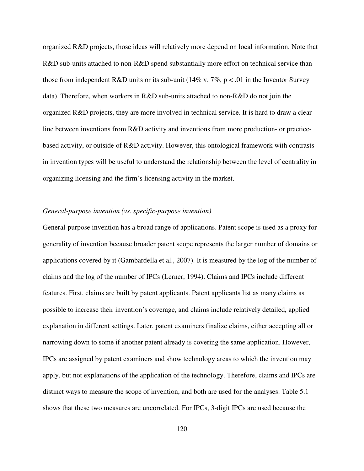organized R&D projects, those ideas will relatively more depend on local information. Note that R&D sub-units attached to non-R&D spend substantially more effort on technical service than those from independent R&D units or its sub-unit (14% v. 7%,  $p < .01$  in the Inventor Survey data). Therefore, when workers in R&D sub-units attached to non-R&D do not join the organized R&D projects, they are more involved in technical service. It is hard to draw a clear line between inventions from R&D activity and inventions from more production- or practicebased activity, or outside of R&D activity. However, this ontological framework with contrasts in invention types will be useful to understand the relationship between the level of centrality in organizing licensing and the firm's licensing activity in the market.

#### *General-purpose invention (vs. specific-purpose invention)*

General-purpose invention has a broad range of applications. Patent scope is used as a proxy for generality of invention because broader patent scope represents the larger number of domains or applications covered by it (Gambardella et al., 2007). It is measured by the log of the number of claims and the log of the number of IPCs (Lerner, 1994). Claims and IPCs include different features. First, claims are built by patent applicants. Patent applicants list as many claims as possible to increase their invention's coverage, and claims include relatively detailed, applied explanation in different settings. Later, patent examiners finalize claims, either accepting all or narrowing down to some if another patent already is covering the same application. However, IPCs are assigned by patent examiners and show technology areas to which the invention may apply, but not explanations of the application of the technology. Therefore, claims and IPCs are distinct ways to measure the scope of invention, and both are used for the analyses. Table 5.1 shows that these two measures are uncorrelated. For IPCs, 3-digit IPCs are used because the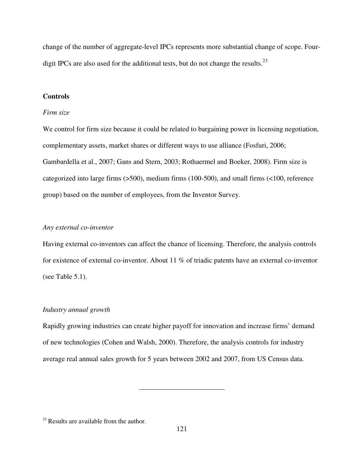change of the number of aggregate-level IPCs represents more substantial change of scope. Fourdigit IPCs are also used for the additional tests, but do not change the results. $^{23}$ 

## **Controls**

#### *Firm size*

We control for firm size because it could be related to bargaining power in licensing negotiation, complementary assets, market shares or different ways to use alliance (Fosfuri, 2006; Gambardella et al., 2007; Gans and Stern, 2003; Rothaermel and Boeker, 2008). Firm size is categorized into large firms (>500), medium firms (100-500), and small firms (<100, reference group) based on the number of employees, from the Inventor Survey.

## *Any external co-inventor*

Having external co-inventors can affect the chance of licensing. Therefore, the analysis controls for existence of external co-inventor. About 11 % of triadic patents have an external co-inventor (see Table 5.1).

#### *Industry annual growth*

Rapidly growing industries can create higher payoff for innovation and increase firms' demand of new technologies (Cohen and Walsh, 2000). Therefore, the analysis controls for industry average real annual sales growth for 5 years between 2002 and 2007, from US Census data.

 $23$  Results are available from the author.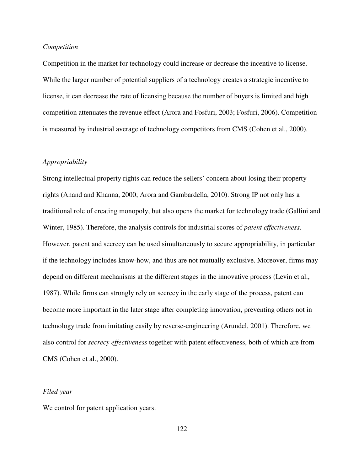#### *Competition*

Competition in the market for technology could increase or decrease the incentive to license. While the larger number of potential suppliers of a technology creates a strategic incentive to license, it can decrease the rate of licensing because the number of buyers is limited and high competition attenuates the revenue effect (Arora and Fosfuri, 2003; Fosfuri, 2006). Competition is measured by industrial average of technology competitors from CMS (Cohen et al., 2000).

## *Appropriability*

Strong intellectual property rights can reduce the sellers' concern about losing their property rights (Anand and Khanna, 2000; Arora and Gambardella, 2010). Strong IP not only has a traditional role of creating monopoly, but also opens the market for technology trade (Gallini and Winter, 1985). Therefore, the analysis controls for industrial scores of *patent effectiveness*. However, patent and secrecy can be used simultaneously to secure appropriability, in particular if the technology includes know-how, and thus are not mutually exclusive. Moreover, firms may depend on different mechanisms at the different stages in the innovative process (Levin et al., 1987). While firms can strongly rely on secrecy in the early stage of the process, patent can become more important in the later stage after completing innovation, preventing others not in technology trade from imitating easily by reverse-engineering (Arundel, 2001). Therefore, we also control for *secrecy effectiveness* together with patent effectiveness, both of which are from CMS (Cohen et al., 2000).

#### *Filed year*

We control for patent application years.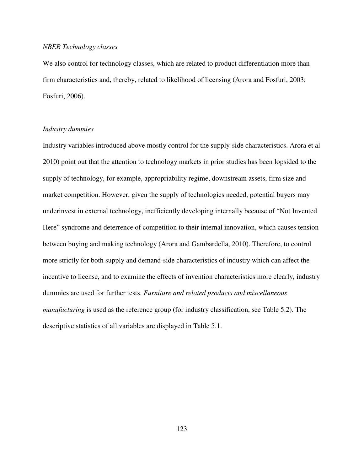#### *NBER Technology classes*

We also control for technology classes, which are related to product differentiation more than firm characteristics and, thereby, related to likelihood of licensing (Arora and Fosfuri, 2003; Fosfuri, 2006).

## *Industry dummies*

Industry variables introduced above mostly control for the supply-side characteristics. Arora et al 2010) point out that the attention to technology markets in prior studies has been lopsided to the supply of technology, for example, appropriability regime, downstream assets, firm size and market competition. However, given the supply of technologies needed, potential buyers may underinvest in external technology, inefficiently developing internally because of "Not Invented Here" syndrome and deterrence of competition to their internal innovation, which causes tension between buying and making technology (Arora and Gambardella, 2010). Therefore, to control more strictly for both supply and demand-side characteristics of industry which can affect the incentive to license, and to examine the effects of invention characteristics more clearly, industry dummies are used for further tests. *Furniture and related products and miscellaneous manufacturing* is used as the reference group (for industry classification, see Table 5.2). The descriptive statistics of all variables are displayed in Table 5.1.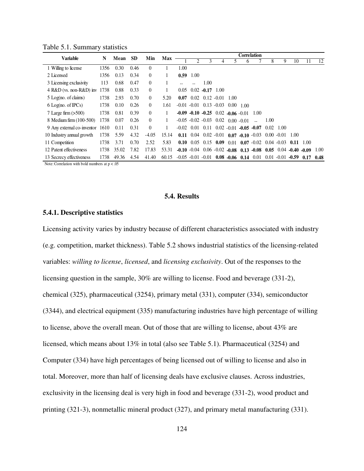| <b>Variable</b>                 | N    | Mean  | <b>SD</b> | Min            | <b>Max</b> | <b>Correlation</b>                             |                       |         |                                                |      |                    |                                   |                   |      |         |                |      |
|---------------------------------|------|-------|-----------|----------------|------------|------------------------------------------------|-----------------------|---------|------------------------------------------------|------|--------------------|-----------------------------------|-------------------|------|---------|----------------|------|
|                                 |      |       |           |                |            |                                                | 2                     |         |                                                |      | <sub>b</sub>       |                                   | 8                 | 9    | 10      | 11             | 12   |
| 1 Willing to license            | 1356 | 0.30  | 0.46      | $\theta$       |            | 1.00                                           |                       |         |                                                |      |                    |                                   |                   |      |         |                |      |
| 2 Licensed                      | 1356 | 0.13  | 0.34      | $\mathbf{0}$   |            | 0.59                                           | 1.00                  |         |                                                |      |                    |                                   |                   |      |         |                |      |
| 3 Licensing exclusivity         | 113  | 0.68  | 0.47      | $\theta$       |            |                                                |                       | 1.00    |                                                |      |                    |                                   |                   |      |         |                |      |
| 4 R&D (vs. non-R&D) inv         | 1738 | 0.88  | 0.33      | $\mathbf{0}$   |            | 0.05                                           | 0.02                  | $-0.17$ | 1.00                                           |      |                    |                                   |                   |      |         |                |      |
| $5$ Log(no. of claims)          | 1738 | 2.93  | 0.70      | $\Omega$       | 5.20       | 0.07                                           | 0.02                  |         | $0.12 - 0.01$                                  | 1.00 |                    |                                   |                   |      |         |                |      |
| $6$ Log(no. of IPCs)            | 1738 | 0.10  | 0.26      | $\mathbf{0}$   | 1.61       |                                                |                       |         | $-0.01$ $-0.01$ $0.13$ $-0.03$                 |      | $0.00 \quad 1.00$  |                                   |                   |      |         |                |      |
| 7 Large firm $(>500)$           | 1738 | 0.81  | 0.39      | $\mathbf{0}$   |            |                                                |                       |         | $-0.09$ $-0.10$ $-0.25$ $0.02$ $-0.06$ $-0.01$ |      |                    | 1.00                              |                   |      |         |                |      |
| 8 Medium firm (100-500)         | 1738 | 0.07  | 0.26      | $\theta$       |            |                                                | $-0.05 - 0.02 - 0.03$ |         | 0.02                                           |      | $0.00 - 0.01$      |                                   | 1.00              |      |         |                |      |
| 9 Any external co-inventor 1610 |      | 0.11  | 0.31      | $\overline{0}$ |            | $-0.02$ 0.01 0.11 0.02 $-0.01$ $-0.05$ $-0.07$ |                       |         |                                                |      |                    |                                   | $0.02 \quad 1.00$ |      |         |                |      |
| 10 Industry annual growth       | 1738 | 5.59  | 4.32      | $-4.05$        | 15.14      | 0.11                                           | 0.04                  |         | $0.02 - 0.01$                                  |      |                    | $0.07 - 0.10 - 0.03$              | $0.00 - 0.01$     |      | -1.00   |                |      |
| 11 Competition                  | 1738 | 3.71  | 0.70      | 2.52           | 5.83       |                                                |                       |         | $0.10$ 0.05 0.15 0.09                          | 0.01 |                    | $0.07 - 0.02$ 0.04 $-0.03$        |                   |      | 0.11    | 1.00           |      |
| 12 Patent effectiveness         | 1738 | 35.02 | 7.82      | 17.83          | 53.31      |                                                | $-0.10 - 0.04$        |         |                                                |      |                    | $0.06 - 0.02 - 0.08$ 0.13 $-0.08$ | 0.05              | 0.04 |         | $-0.40 - 0.09$ | 1.00 |
| 13 Secrecy effectiveness        | 1738 | 49.36 | 4.54      | 41.40          | 60.15      | $-0.05 - 0.01 - 0.01$                          |                       |         |                                                |      | $0.08 - 0.06$ 0.14 | 0.01                              | $0.01 - 0.01$     |      | $-0.59$ | 0.17           | 0.48 |

Table 5.1. Summary statistics

Note: Correlation with bold numbers at p < .05

## **5.4. Results**

## **5.4.1. Descriptive statistics**

Licensing activity varies by industry because of different characteristics associated with industry (e.g. competition, market thickness). Table 5.2 shows industrial statistics of the licensing-related variables: *willing to license*, *licensed*, and *licensing exclusivity*. Out of the responses to the licensing question in the sample, 30% are willing to license. Food and beverage (331-2), chemical (325), pharmaceutical (3254), primary metal (331), computer (334), semiconductor (3344), and electrical equipment (335) manufacturing industries have high percentage of willing to license, above the overall mean. Out of those that are willing to license, about 43% are licensed, which means about 13% in total (also see Table 5.1). Pharmaceutical (3254) and Computer (334) have high percentages of being licensed out of willing to license and also in total. Moreover, more than half of licensing deals have exclusive clauses. Across industries, exclusivity in the licensing deal is very high in food and beverage (331-2), wood product and printing (321-3), nonmetallic mineral product (327), and primary metal manufacturing (331).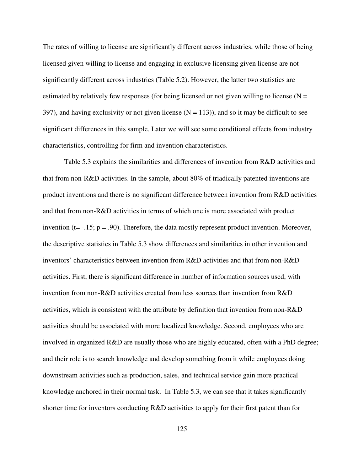The rates of willing to license are significantly different across industries, while those of being licensed given willing to license and engaging in exclusive licensing given license are not significantly different across industries (Table 5.2). However, the latter two statistics are estimated by relatively few responses (for being licensed or not given willing to license  $(N =$ 397), and having exclusivity or not given license  $(N = 113)$ ), and so it may be difficult to see significant differences in this sample. Later we will see some conditional effects from industry characteristics, controlling for firm and invention characteristics.

Table 5.3 explains the similarities and differences of invention from R&D activities and that from non-R&D activities. In the sample, about 80% of triadically patented inventions are product inventions and there is no significant difference between invention from R&D activities and that from non-R&D activities in terms of which one is more associated with product invention ( $t = -0.15$ ;  $p = 0.90$ ). Therefore, the data mostly represent product invention. Moreover, the descriptive statistics in Table 5.3 show differences and similarities in other invention and inventors' characteristics between invention from R&D activities and that from non-R&D activities. First, there is significant difference in number of information sources used, with invention from non-R&D activities created from less sources than invention from R&D activities, which is consistent with the attribute by definition that invention from non-R&D activities should be associated with more localized knowledge. Second, employees who are involved in organized R&D are usually those who are highly educated, often with a PhD degree; and their role is to search knowledge and develop something from it while employees doing downstream activities such as production, sales, and technical service gain more practical knowledge anchored in their normal task. In Table 5.3, we can see that it takes significantly shorter time for inventors conducting R&D activities to apply for their first patent than for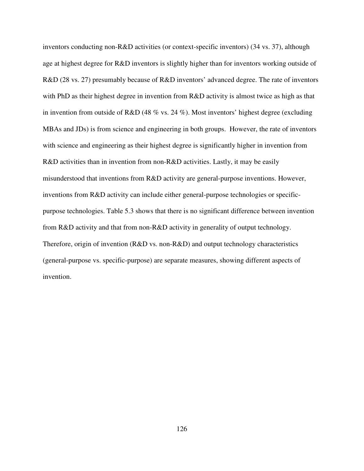inventors conducting non-R&D activities (or context-specific inventors) (34 vs. 37), although age at highest degree for R&D inventors is slightly higher than for inventors working outside of R&D (28 vs. 27) presumably because of R&D inventors' advanced degree. The rate of inventors with PhD as their highest degree in invention from R&D activity is almost twice as high as that in invention from outside of R&D (48 % vs. 24 %). Most inventors' highest degree (excluding MBAs and JDs) is from science and engineering in both groups. However, the rate of inventors with science and engineering as their highest degree is significantly higher in invention from R&D activities than in invention from non-R&D activities. Lastly, it may be easily misunderstood that inventions from R&D activity are general-purpose inventions. However, inventions from R&D activity can include either general-purpose technologies or specificpurpose technologies. Table 5.3 shows that there is no significant difference between invention from R&D activity and that from non-R&D activity in generality of output technology. Therefore, origin of invention (R&D vs. non-R&D) and output technology characteristics (general-purpose vs. specific-purpose) are separate measures, showing different aspects of invention.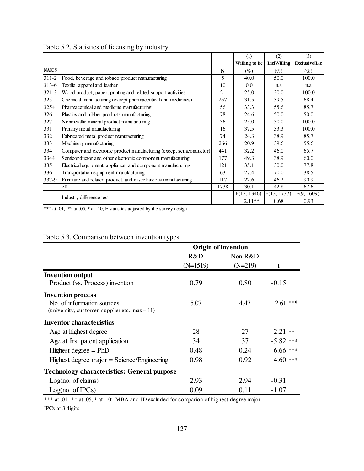|              |                                                                      |      | (1)            | (2)         | (3)           |
|--------------|----------------------------------------------------------------------|------|----------------|-------------|---------------|
|              |                                                                      |      | Willing to lic | LicWilling  | ExclusivelLic |
| <b>NAICS</b> |                                                                      | N    | (%)            | (%)         | $(\%)$        |
| $311 - 2$    | Food, beverage and tobaco product manufacturing                      | 5    | 40.0           | 50.0        | 100.0         |
| $313 - 6$    | Textile, apparel and leather                                         | 10   | 0.0            | n.a         | n.a           |
| $321 - 3$    | Wood product, paper, printing and related support activities         | 21   | 25.0           | 20.0        | 100.0         |
| 325          | Chemical manufacturing (except pharmaceutical and medicines)         | 257  | 31.5           | 39.5        | 68.4          |
| 3254         | Pharmaceutical and medicine manufacturing                            | 56   | 33.3           | 55.6        | 85.7          |
| 326          | Plastics and rubber products manufacturing                           | 78   | 24.6           | 50.0        | 50.0          |
| 327          | Nonmetallic mineral product manufacturing                            | 36   | 25.0           | 50.0        | 100.0         |
| 331          | Primary metal manufacturing                                          | 16   | 37.5           | 33.3        | 100.0         |
| 332          | Fabricated metal product manufacturing                               | 74   | 24.3           | 38.9        | 85.7          |
| 333          | Machinery manufacturing                                              | 266  | 20.9           | 39.6        | 55.6          |
| 334          | Computer and electronic product manufacturing (except semiconductor) | 441  | 32.2           | 46.0        | 65.7          |
| 3344         | Semiconductor and other electronic component manufacturing           | 177  | 49.3           | 38.9        | 60.0          |
| 335          | Electrical equipment, appliance, and component manufacturing         | 121  | 35.1           | 30.0        | 77.8          |
| 336          | Transportation equipment manufacturing                               | 63   | 27.4           | 70.0        | 38.5          |
| $337-9$      | Furniture and related product, and miscellaneous manufacturing       | 117  | 22.6           | 46.2        | 90.9          |
|              | A11                                                                  | 1738 | 30.1           | 42.8        | 67.6          |
|              | Industry difference test                                             |      | F(13, 1346)    | F(13, 1737) | F(9, 1609)    |
|              |                                                                      |      | $2.11**$       | 0.68        | 0.93          |

# Table 5.2. Statistics of licensing by industry

\*\*\* at .01, \*\* at .05, \* at .10; F statistics adjusted by the survey design

# Table 5.3. Comparison between invention types

|                                                                                  |            | <b>Origin of invention</b> |             |
|----------------------------------------------------------------------------------|------------|----------------------------|-------------|
|                                                                                  | R&D        | $Non-R&D$                  |             |
|                                                                                  | $(N=1519)$ | $(N=219)$                  |             |
| <b>Invention output</b>                                                          |            |                            |             |
| Product (vs. Process) invention                                                  | 0.79       | 0.80                       | $-0.15$     |
| <b>Invention process</b>                                                         |            |                            |             |
| No. of information sources<br>(university, customer, supplier etc., $max = 11$ ) | 5.07       | 4.47                       | $2.61$ ***  |
| <b>Inventor characteristics</b>                                                  |            |                            |             |
| Age at highest degree                                                            | 28         | 27                         | $2.21$ **   |
| Age at first patent application                                                  | 34         | 37                         | $-5.82$ *** |
| Highest degree $=$ PhD                                                           | 0.48       | 0.24                       | $6.66$ ***  |
| Highest degree major = Science/Engineering                                       | 0.98       | 0.92                       | $4.60$ ***  |
| <b>Technology characteristics: General purpose</b>                               |            |                            |             |
| Log(no. of claims)                                                               | 2.93       | 2.94                       | $-0.31$     |
| Log(no. of IPCs)                                                                 | 0.09       | 0.11                       | $-1.07$     |

\*\*\* at .01, \*\* at .05, \* at .10; MBA and JD excluded for comparion of highest degree major.

IPCs at 3 digits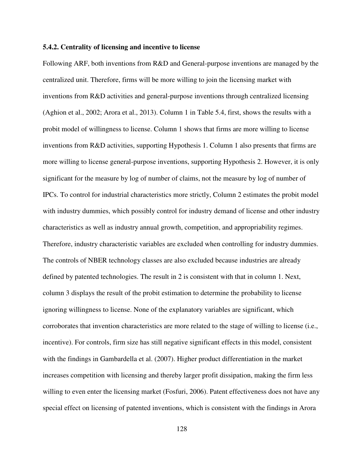#### **5.4.2. Centrality of licensing and incentive to license**

Following ARF, both inventions from R&D and General-purpose inventions are managed by the centralized unit. Therefore, firms will be more willing to join the licensing market with inventions from R&D activities and general-purpose inventions through centralized licensing (Aghion et al., 2002; Arora et al., 2013). Column 1 in Table 5.4, first, shows the results with a probit model of willingness to license. Column 1 shows that firms are more willing to license inventions from R&D activities, supporting Hypothesis 1. Column 1 also presents that firms are more willing to license general-purpose inventions, supporting Hypothesis 2. However, it is only significant for the measure by log of number of claims, not the measure by log of number of IPCs. To control for industrial characteristics more strictly, Column 2 estimates the probit model with industry dummies, which possibly control for industry demand of license and other industry characteristics as well as industry annual growth, competition, and appropriability regimes. Therefore, industry characteristic variables are excluded when controlling for industry dummies. The controls of NBER technology classes are also excluded because industries are already defined by patented technologies. The result in 2 is consistent with that in column 1. Next, column 3 displays the result of the probit estimation to determine the probability to license ignoring willingness to license. None of the explanatory variables are significant, which corroborates that invention characteristics are more related to the stage of willing to license (i.e., incentive). For controls, firm size has still negative significant effects in this model, consistent with the findings in Gambardella et al. (2007). Higher product differentiation in the market increases competition with licensing and thereby larger profit dissipation, making the firm less willing to even enter the licensing market (Fosfuri, 2006). Patent effectiveness does not have any special effect on licensing of patented inventions, which is consistent with the findings in Arora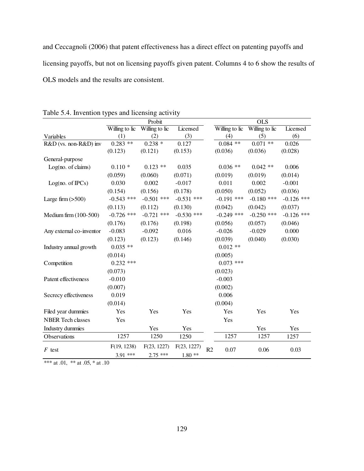and Ceccagnoli (2006) that patent effectiveness has a direct effect on patenting payoffs and licensing payoffs, but not on licensing payoffs given patent. Columns 4 to 6 show the results of OLS models and the results are consistent.

|                          |                | Probit         |              |                |                | $\overline{OLS}$ |              |
|--------------------------|----------------|----------------|--------------|----------------|----------------|------------------|--------------|
|                          | Willing to lic | Willing to lic | Licensed     |                | Willing to lic | Willing to lic   | Licensed     |
| Variables                | (1)            | (2)            | (3)          |                | (4)            | (5)              | (6)          |
| R&D (vs. non-R&D) inv    | $0.283$ **     | $0.238 *$      | 0.127        |                | $0.084$ **     | $0.071$ **       | 0.026        |
|                          | (0.123)        | (0.121)        | (0.153)      |                | (0.036)        | (0.036)          | (0.028)      |
| General-purpose          |                |                |              |                |                |                  |              |
| Log(no. of claims)       | $0.110*$       | $0.123$ **     | 0.035        |                | $0.036**$      | $0.042**$        | 0.006        |
|                          | (0.059)        | (0.060)        | (0.071)      |                | (0.019)        | (0.019)          | (0.014)      |
| Log(no. of IPCs)         | 0.030          | 0.002          | $-0.017$     |                | 0.011          | 0.002            | $-0.001$     |
|                          | (0.154)        | (0.156)        | (0.178)      |                | (0.050)        | (0.052)          | (0.036)      |
| Large firm $(>500)$      | $-0.543$ ***   | $-0.501$ ***   | $-0.531$ *** |                | $-0.191$ ***   | $-0.180$ ***     | $-0.126$ *** |
|                          | (0.113)        | (0.112)        | (0.130)      |                | (0.042)        | (0.042)          | (0.037)      |
| Medium firm (100-500)    | $-0.726$ ***   | $-0.721$ ***   | $-0.530$ *** |                | $-0.249$ ***   | $-0.250$ ***     | $-0.126$ *** |
|                          | (0.176)        | (0.176)        | (0.198)      |                | (0.056)        | (0.057)          | (0.046)      |
| Any external co-inventor | $-0.083$       | $-0.092$       | 0.016        |                | $-0.026$       | $-0.029$         | 0.000        |
|                          | (0.123)        | (0.123)        | (0.146)      |                | (0.039)        | (0.040)          | (0.030)      |
| Industry annual growth   | $0.035$ **     |                |              |                | $0.012**$      |                  |              |
|                          | (0.014)        |                |              |                | (0.005)        |                  |              |
| Competition              | $0.232$ ***    |                |              |                | $0.073$ ***    |                  |              |
|                          | (0.073)        |                |              |                | (0.023)        |                  |              |
| Patent effectiveness     | $-0.010$       |                |              |                | $-0.003$       |                  |              |
|                          | (0.007)        |                |              |                | (0.002)        |                  |              |
| Secrecy effectiveness    | 0.019          |                |              |                | 0.006          |                  |              |
|                          | (0.014)        |                |              |                | (0.004)        |                  |              |
| Filed year dummies       | Yes            | Yes            | Yes          |                | Yes            | Yes              | Yes          |
| <b>NBER</b> Tech classes | Yes            |                |              |                | Yes            |                  |              |
| Industry dummies         |                | Yes            | Yes          |                |                | Yes              | Yes          |
| Observations             | 1257           | 1250           | 1250         |                | 1257           | 1257             | 1257         |
| $F$ test                 | F(19, 1238)    | F(23, 1227)    | F(23, 1227)  | R <sub>2</sub> | 0.07           | 0.06             | 0.03         |
|                          | 3.91 ***       | $2.75$ ***     | $1.80**$     |                |                |                  |              |

Table 5.4. Invention types and licensing activity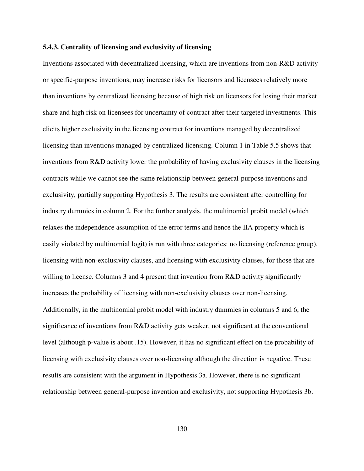#### **5.4.3. Centrality of licensing and exclusivity of licensing**

Inventions associated with decentralized licensing, which are inventions from non-R&D activity or specific-purpose inventions, may increase risks for licensors and licensees relatively more than inventions by centralized licensing because of high risk on licensors for losing their market share and high risk on licensees for uncertainty of contract after their targeted investments. This elicits higher exclusivity in the licensing contract for inventions managed by decentralized licensing than inventions managed by centralized licensing. Column 1 in Table 5.5 shows that inventions from R&D activity lower the probability of having exclusivity clauses in the licensing contracts while we cannot see the same relationship between general-purpose inventions and exclusivity, partially supporting Hypothesis 3. The results are consistent after controlling for industry dummies in column 2. For the further analysis, the multinomial probit model (which relaxes the independence assumption of the error terms and hence the IIA property which is easily violated by multinomial logit) is run with three categories: no licensing (reference group), licensing with non-exclusivity clauses, and licensing with exclusivity clauses, for those that are willing to license. Columns 3 and 4 present that invention from R&D activity significantly increases the probability of licensing with non-exclusivity clauses over non-licensing. Additionally, in the multinomial probit model with industry dummies in columns 5 and 6, the significance of inventions from R&D activity gets weaker, not significant at the conventional level (although p-value is about .15). However, it has no significant effect on the probability of licensing with exclusivity clauses over non-licensing although the direction is negative. These results are consistent with the argument in Hypothesis 3a. However, there is no significant relationship between general-purpose invention and exclusivity, not supporting Hypothesis 3b.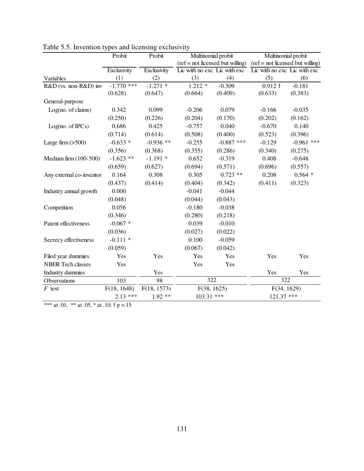|                          | Probit       | Probit      | Multinomial probit                               |              | Multinomial probit                |              |  |  |
|--------------------------|--------------|-------------|--------------------------------------------------|--------------|-----------------------------------|--------------|--|--|
|                          |              |             | $(\text{ref} = \text{not}$ licensed but willing) |              | $ref = not licensed but willing)$ |              |  |  |
|                          | Exclusivity  | Exclusivity | Lic with no exc Lic with exc                     |              | Lic with no exc Lic with exc      |              |  |  |
| Variables                | (1)          | (2)         | (3)                                              | (4)          | (5)                               | (6)          |  |  |
| R&D (vs. non-R&D) inv    | $-1.770$ *** | $-1.271$ *  | $1.212 *$                                        | $-0.309$     | 0.912 f                           | $-0.181$     |  |  |
|                          | (0.628)      | (0.647)     | (0.664)                                          | (0.409)      | (0.633)                           | (0.383)      |  |  |
| General-purpose          |              |             |                                                  |              |                                   |              |  |  |
| Log(no. of claims)       | 0.342        | 0.099       | $-0.206$                                         | 0.079        | $-0.166$                          | $-0.035$     |  |  |
|                          | (0.250)      | (0.226)     | (0.204)                                          | (0.170)      | (0.202)                           | (0.162)      |  |  |
| Log(no. of IPCs)         | 0.686        | 0.425       | $-0.757$                                         | 0.040        | $-0.670$                          | 0.140        |  |  |
|                          | (0.714)      | (0.614)     | (0.508)                                          | (0.400)      | (0.523)                           | (0.396)      |  |  |
| Large firm $(>500)$      | $-0.633*$    | $-0.936$ ** | $-0.255$                                         | $-0.887$ *** | $-0.129$                          | $-0.961$ *** |  |  |
|                          | (0.356)      | (0.368)     | (0.355)                                          | (0.286)      | (0.340)                           | (0.275)      |  |  |
| Medium firm (100-500)    | $-1.623$ **  | $-1.191*$   | 0.652                                            | $-0.319$     | 0.408                             | $-0.648$     |  |  |
|                          | (0.659)      | (0.627)     | (0.694)                                          | (0.571)      | (0.696)                           | (0.557)      |  |  |
| Any external co-inventor | 0.164        | 0.308       | 0.305                                            | $0.723$ **   | 0.208                             | $0.564*$     |  |  |
|                          | (0.437)      | (0.414)     | (0.404)                                          | (0.342)      | (0.411)                           | (0.323)      |  |  |
| Industry annual growth   | 0.000        |             | $-0.041$                                         | $-0.044$     |                                   |              |  |  |
|                          | (0.048)      |             | (0.044)                                          | (0.043)      |                                   |              |  |  |
| Competition              | 0.056        |             | $-0.180$                                         | $-0.038$     |                                   |              |  |  |
|                          | (0.346)      |             | (0.280)                                          | (0.218)      |                                   |              |  |  |
| Patent effectiveness     | $-0.067$ *   |             | 0.039                                            | $-0.010$     |                                   |              |  |  |
|                          | (0.036)      |             | (0.027)                                          | (0.022)      |                                   |              |  |  |
| Secrecy effectiveness    | $-0.111*$    |             | 0.100                                            | $-0.059$     |                                   |              |  |  |
|                          | (0.059)      |             | (0.067)                                          | (0.042)      |                                   |              |  |  |
| Filed year dummies       | Yes          | Yes         | Yes                                              | Yes          | Yes                               | Yes          |  |  |
| <b>NBER</b> Tech classes | Yes          |             | Yes                                              | Yes          |                                   |              |  |  |
| Industry dummies         |              | Yes         |                                                  |              | Yes                               | Yes          |  |  |
| Observations             | 103          | 98          | 322                                              |              | 322                               |              |  |  |
| $F$ test                 | F(18, 1648)  | F(18, 1573) | F(38, 1625)                                      |              |                                   | F(34, 1629)  |  |  |
|                          | $2.13***$    | $1.92**$    | 103.31 ***                                       |              | 121.37 ***                        |              |  |  |

Table 5.5. Invention types and licensing exclusivity

\*\*\* at .01, \*\* at .05, \* at .10;  $\dagger$  p = .15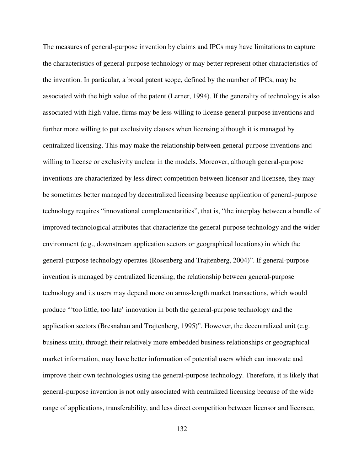The measures of general-purpose invention by claims and IPCs may have limitations to capture the characteristics of general-purpose technology or may better represent other characteristics of the invention. In particular, a broad patent scope, defined by the number of IPCs, may be associated with the high value of the patent (Lerner, 1994). If the generality of technology is also associated with high value, firms may be less willing to license general-purpose inventions and further more willing to put exclusivity clauses when licensing although it is managed by centralized licensing. This may make the relationship between general-purpose inventions and willing to license or exclusivity unclear in the models. Moreover, although general-purpose inventions are characterized by less direct competition between licensor and licensee, they may be sometimes better managed by decentralized licensing because application of general-purpose technology requires "innovational complementarities", that is, "the interplay between a bundle of improved technological attributes that characterize the general-purpose technology and the wider environment (e.g., downstream application sectors or geographical locations) in which the general-purpose technology operates (Rosenberg and Trajtenberg, 2004)". If general-purpose invention is managed by centralized licensing, the relationship between general-purpose technology and its users may depend more on arms-length market transactions, which would produce "'too little, too late' innovation in both the general-purpose technology and the application sectors (Bresnahan and Trajtenberg, 1995)". However, the decentralized unit (e.g. business unit), through their relatively more embedded business relationships or geographical market information, may have better information of potential users which can innovate and improve their own technologies using the general-purpose technology. Therefore, it is likely that general-purpose invention is not only associated with centralized licensing because of the wide range of applications, transferability, and less direct competition between licensor and licensee,

132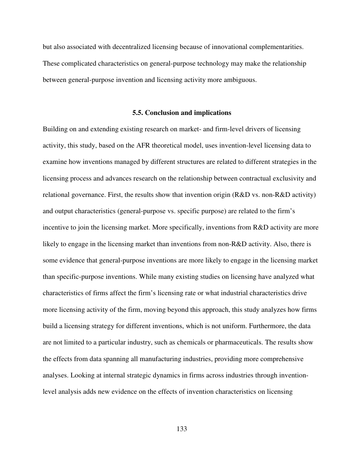but also associated with decentralized licensing because of innovational complementarities. These complicated characteristics on general-purpose technology may make the relationship between general-purpose invention and licensing activity more ambiguous.

## **5.5. Conclusion and implications**

Building on and extending existing research on market- and firm-level drivers of licensing activity, this study, based on the AFR theoretical model, uses invention-level licensing data to examine how inventions managed by different structures are related to different strategies in the licensing process and advances research on the relationship between contractual exclusivity and relational governance. First, the results show that invention origin (R&D vs. non-R&D activity) and output characteristics (general-purpose vs. specific purpose) are related to the firm's incentive to join the licensing market. More specifically, inventions from R&D activity are more likely to engage in the licensing market than inventions from non-R&D activity. Also, there is some evidence that general-purpose inventions are more likely to engage in the licensing market than specific-purpose inventions. While many existing studies on licensing have analyzed what characteristics of firms affect the firm's licensing rate or what industrial characteristics drive more licensing activity of the firm, moving beyond this approach, this study analyzes how firms build a licensing strategy for different inventions, which is not uniform. Furthermore, the data are not limited to a particular industry, such as chemicals or pharmaceuticals. The results show the effects from data spanning all manufacturing industries, providing more comprehensive analyses. Looking at internal strategic dynamics in firms across industries through inventionlevel analysis adds new evidence on the effects of invention characteristics on licensing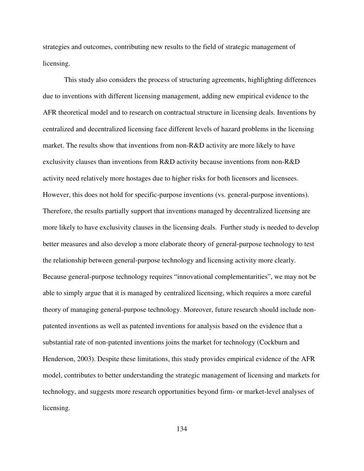strategies and outcomes, contributing new results to the field of strategic management of licensing.

This study also considers the process of structuring agreements, highlighting differences due to inventions with different licensing management, adding new empirical evidence to the AFR theoretical model and to research on contractual structure in licensing deals. Inventions by centralized and decentralized licensing face different levels of hazard problems in the licensing market. The results show that inventions from non-R&D activity are more likely to have exclusivity clauses than inventions from R&D activity because inventions from non-R&D activity need relatively more hostages due to higher risks for both licensors and licensees. However, this does not hold for specific-purpose inventions (vs. general-purpose inventions). Therefore, the results partially support that inventions managed by decentralized licensing are more likely to have exclusivity clauses in the licensing deals. Further study is needed to develop better measures and also develop a more elaborate theory of general-purpose technology to test the relationship between general-purpose technology and licensing activity more clearly. Because general-purpose technology requires "innovational complementarities", we may not be able to simply argue that it is managed by centralized licensing, which requires a more careful theory of managing general-purpose technology. Moreover, future research should include nonpatented inventions as well as patented inventions for analysis based on the evidence that a substantial rate of non-patented inventions joins the market for technology (Cockburn and Henderson, 2003). Despite these limitations, this study provides empirical evidence of the AFR model, contributes to better understanding the strategic management of licensing and markets for technology, and suggests more research opportunities beyond firm- or market-level analyses of licensing.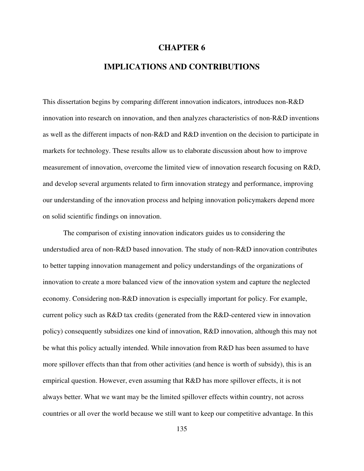## **CHAPTER 6**

## **IMPLICATIONS AND CONTRIBUTIONS**

This dissertation begins by comparing different innovation indicators, introduces non-R&D innovation into research on innovation, and then analyzes characteristics of non-R&D inventions as well as the different impacts of non-R&D and R&D invention on the decision to participate in markets for technology. These results allow us to elaborate discussion about how to improve measurement of innovation, overcome the limited view of innovation research focusing on R&D, and develop several arguments related to firm innovation strategy and performance, improving our understanding of the innovation process and helping innovation policymakers depend more on solid scientific findings on innovation.

The comparison of existing innovation indicators guides us to considering the understudied area of non-R&D based innovation. The study of non-R&D innovation contributes to better tapping innovation management and policy understandings of the organizations of innovation to create a more balanced view of the innovation system and capture the neglected economy. Considering non-R&D innovation is especially important for policy. For example, current policy such as R&D tax credits (generated from the R&D-centered view in innovation policy) consequently subsidizes one kind of innovation, R&D innovation, although this may not be what this policy actually intended. While innovation from R&D has been assumed to have more spillover effects than that from other activities (and hence is worth of subsidy), this is an empirical question. However, even assuming that R&D has more spillover effects, it is not always better. What we want may be the limited spillover effects within country, not across countries or all over the world because we still want to keep our competitive advantage. In this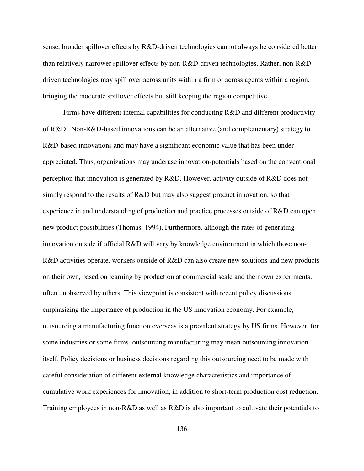sense, broader spillover effects by R&D-driven technologies cannot always be considered better than relatively narrower spillover effects by non-R&D-driven technologies. Rather, non-R&Ddriven technologies may spill over across units within a firm or across agents within a region, bringing the moderate spillover effects but still keeping the region competitive.

Firms have different internal capabilities for conducting R&D and different productivity of R&D. Non-R&D-based innovations can be an alternative (and complementary) strategy to R&D-based innovations and may have a significant economic value that has been underappreciated. Thus, organizations may underuse innovation-potentials based on the conventional perception that innovation is generated by R&D. However, activity outside of R&D does not simply respond to the results of R&D but may also suggest product innovation, so that experience in and understanding of production and practice processes outside of R&D can open new product possibilities (Thomas, 1994). Furthermore, although the rates of generating innovation outside if official R&D will vary by knowledge environment in which those non-R&D activities operate, workers outside of R&D can also create new solutions and new products on their own, based on learning by production at commercial scale and their own experiments, often unobserved by others. This viewpoint is consistent with recent policy discussions emphasizing the importance of production in the US innovation economy. For example, outsourcing a manufacturing function overseas is a prevalent strategy by US firms. However, for some industries or some firms, outsourcing manufacturing may mean outsourcing innovation itself. Policy decisions or business decisions regarding this outsourcing need to be made with careful consideration of different external knowledge characteristics and importance of cumulative work experiences for innovation, in addition to short-term production cost reduction. Training employees in non-R&D as well as R&D is also important to cultivate their potentials to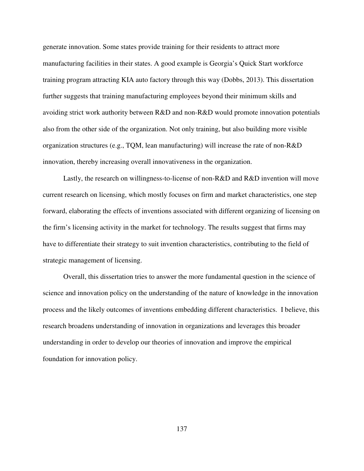generate innovation. Some states provide training for their residents to attract more manufacturing facilities in their states. A good example is Georgia's Quick Start workforce training program attracting KIA auto factory through this way (Dobbs, 2013). This dissertation further suggests that training manufacturing employees beyond their minimum skills and avoiding strict work authority between R&D and non-R&D would promote innovation potentials also from the other side of the organization. Not only training, but also building more visible organization structures (e.g., TQM, lean manufacturing) will increase the rate of non-R&D innovation, thereby increasing overall innovativeness in the organization.

Lastly, the research on willingness-to-license of non-R&D and R&D invention will move current research on licensing, which mostly focuses on firm and market characteristics, one step forward, elaborating the effects of inventions associated with different organizing of licensing on the firm's licensing activity in the market for technology. The results suggest that firms may have to differentiate their strategy to suit invention characteristics, contributing to the field of strategic management of licensing.

Overall, this dissertation tries to answer the more fundamental question in the science of science and innovation policy on the understanding of the nature of knowledge in the innovation process and the likely outcomes of inventions embedding different characteristics. I believe, this research broadens understanding of innovation in organizations and leverages this broader understanding in order to develop our theories of innovation and improve the empirical foundation for innovation policy.

137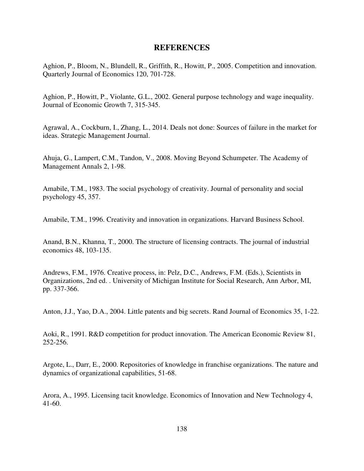## **REFERENCES**

Aghion, P., Bloom, N., Blundell, R., Griffith, R., Howitt, P., 2005. Competition and innovation. Quarterly Journal of Economics 120, 701-728.

Aghion, P., Howitt, P., Violante, G.L., 2002. General purpose technology and wage inequality. Journal of Economic Growth 7, 315-345.

Agrawal, A., Cockburn, I., Zhang, L., 2014. Deals not done: Sources of failure in the market for ideas. Strategic Management Journal.

Ahuja, G., Lampert, C.M., Tandon, V., 2008. Moving Beyond Schumpeter. The Academy of Management Annals 2, 1-98.

Amabile, T.M., 1983. The social psychology of creativity. Journal of personality and social psychology 45, 357.

Amabile, T.M., 1996. Creativity and innovation in organizations. Harvard Business School.

Anand, B.N., Khanna, T., 2000. The structure of licensing contracts. The journal of industrial economics 48, 103-135.

Andrews, F.M., 1976. Creative process, in: Pelz, D.C., Andrews, F.M. (Eds.), Scientists in Organizations, 2nd ed. . University of Michigan Institute for Social Research, Ann Arbor, MI, pp. 337-366.

Anton, J.J., Yao, D.A., 2004. Little patents and big secrets. Rand Journal of Economics 35, 1-22.

Aoki, R., 1991. R&D competition for product innovation. The American Economic Review 81, 252-256.

Argote, L., Darr, E., 2000. Repositories of knowledge in franchise organizations. The nature and dynamics of organizational capabilities, 51-68.

Arora, A., 1995. Licensing tacit knowledge. Economics of Innovation and New Technology 4, 41-60.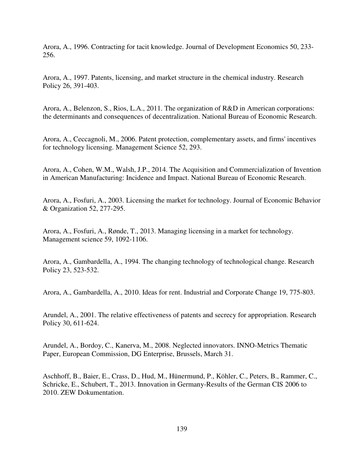Arora, A., 1996. Contracting for tacit knowledge. Journal of Development Economics 50, 233- 256.

Arora, A., 1997. Patents, licensing, and market structure in the chemical industry. Research Policy 26, 391-403.

Arora, A., Belenzon, S., Rios, L.A., 2011. The organization of R&D in American corporations: the determinants and consequences of decentralization. National Bureau of Economic Research.

Arora, A., Ceccagnoli, M., 2006. Patent protection, complementary assets, and firms' incentives for technology licensing. Management Science 52, 293.

Arora, A., Cohen, W.M., Walsh, J.P., 2014. The Acquisition and Commercialization of Invention in American Manufacturing: Incidence and Impact. National Bureau of Economic Research.

Arora, A., Fosfuri, A., 2003. Licensing the market for technology. Journal of Economic Behavior & Organization 52, 277-295.

Arora, A., Fosfuri, A., Rønde, T., 2013. Managing licensing in a market for technology. Management science 59, 1092-1106.

Arora, A., Gambardella, A., 1994. The changing technology of technological change. Research Policy 23, 523-532.

Arora, A., Gambardella, A., 2010. Ideas for rent. Industrial and Corporate Change 19, 775-803.

Arundel, A., 2001. The relative effectiveness of patents and secrecy for appropriation. Research Policy 30, 611-624.

Arundel, A., Bordoy, C., Kanerva, M., 2008. Neglected innovators. INNO-Metrics Thematic Paper, European Commission, DG Enterprise, Brussels, March 31.

Aschhoff, B., Baier, E., Crass, D., Hud, M., Hünermund, P., Köhler, C., Peters, B., Rammer, C., Schricke, E., Schubert, T., 2013. Innovation in Germany-Results of the German CIS 2006 to 2010. ZEW Dokumentation.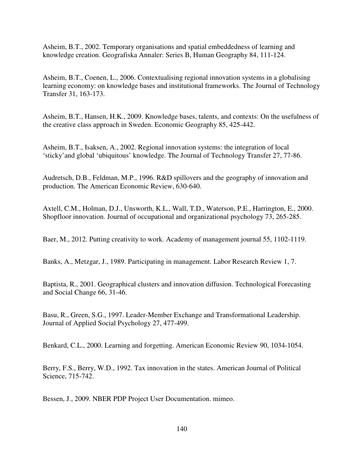Asheim, B.T., 2002. Temporary organisations and spatial embeddedness of learning and knowledge creation. Geografiska Annaler: Series B, Human Geography 84, 111-124.

Asheim, B.T., Coenen, L., 2006. Contextualising regional innovation systems in a globalising learning economy: on knowledge bases and institutional frameworks. The Journal of Technology Transfer 31, 163-173.

Asheim, B.T., Hansen, H.K., 2009. Knowledge bases, talents, and contexts: On the usefulness of the creative class approach in Sweden. Economic Geography 85, 425-442.

Asheim, B.T., Isaksen, A., 2002. Regional innovation systems: the integration of local 'sticky'and global 'ubiquitous' knowledge. The Journal of Technology Transfer 27, 77-86.

Audretsch, D.B., Feldman, M.P., 1996. R&D spillovers and the geography of innovation and production. The American Economic Review, 630-640.

Axtell, C.M., Holman, D.J., Unsworth, K.L., Wall, T.D., Waterson, P.E., Harrington, E., 2000. Shopfloor innovation. Journal of occupational and organizational psychology 73, 265-285.

Baer, M., 2012. Putting creativity to work. Academy of management journal 55, 1102-1119.

Banks, A., Metzgar, J., 1989. Participating in management. Labor Research Review 1, 7.

Baptista, R., 2001. Geographical clusters and innovation diffusion. Technological Forecasting and Social Change 66, 31-46.

Basu, R., Green, S.G., 1997. Leader-Member Exchange and Transformational Leadership. Journal of Applied Social Psychology 27, 477-499.

Benkard, C.L., 2000. Learning and forgetting. American Economic Review 90, 1034-1054.

Berry, F.S., Berry, W.D., 1992. Tax innovation in the states. American Journal of Political Science, 715-742.

Bessen, J., 2009. NBER PDP Project User Documentation. mimeo.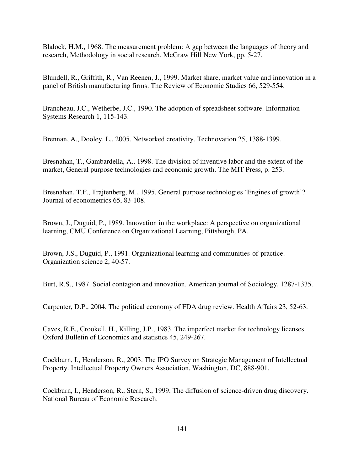Blalock, H.M., 1968. The measurement problem: A gap between the languages of theory and research, Methodology in social research. McGraw Hill New York, pp. 5-27.

Blundell, R., Griffith, R., Van Reenen, J., 1999. Market share, market value and innovation in a panel of British manufacturing firms. The Review of Economic Studies 66, 529-554.

Brancheau, J.C., Wetherbe, J.C., 1990. The adoption of spreadsheet software. Information Systems Research 1, 115-143.

Brennan, A., Dooley, L., 2005. Networked creativity. Technovation 25, 1388-1399.

Bresnahan, T., Gambardella, A., 1998. The division of inventive labor and the extent of the market, General purpose technologies and economic growth. The MIT Press, p. 253.

Bresnahan, T.F., Trajtenberg, M., 1995. General purpose technologies 'Engines of growth'? Journal of econometrics 65, 83-108.

Brown, J., Duguid, P., 1989. Innovation in the workplace: A perspective on organizational learning, CMU Conference on Organizational Learning, Pittsburgh, PA.

Brown, J.S., Duguid, P., 1991. Organizational learning and communities-of-practice. Organization science 2, 40-57.

Burt, R.S., 1987. Social contagion and innovation. American journal of Sociology, 1287-1335.

Carpenter, D.P., 2004. The political economy of FDA drug review. Health Affairs 23, 52-63.

Caves, R.E., Crookell, H., Killing, J.P., 1983. The imperfect market for technology licenses. Oxford Bulletin of Economics and statistics 45, 249-267.

Cockburn, I., Henderson, R., 2003. The IPO Survey on Strategic Management of Intellectual Property. Intellectual Property Owners Association, Washington, DC, 888-901.

Cockburn, I., Henderson, R., Stern, S., 1999. The diffusion of science-driven drug discovery. National Bureau of Economic Research.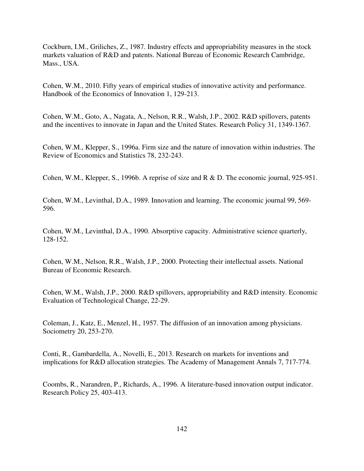Cockburn, I.M., Griliches, Z., 1987. Industry effects and appropriability measures in the stock markets valuation of R&D and patents. National Bureau of Economic Research Cambridge, Mass., USA.

Cohen, W.M., 2010. Fifty years of empirical studies of innovative activity and performance. Handbook of the Economics of Innovation 1, 129-213.

Cohen, W.M., Goto, A., Nagata, A., Nelson, R.R., Walsh, J.P., 2002. R&D spillovers, patents and the incentives to innovate in Japan and the United States. Research Policy 31, 1349-1367.

Cohen, W.M., Klepper, S., 1996a. Firm size and the nature of innovation within industries. The Review of Economics and Statistics 78, 232-243.

Cohen, W.M., Klepper, S., 1996b. A reprise of size and R & D. The economic journal, 925-951.

Cohen, W.M., Levinthal, D.A., 1989. Innovation and learning. The economic journal 99, 569- 596.

Cohen, W.M., Levinthal, D.A., 1990. Absorptive capacity. Administrative science quarterly, 128-152.

Cohen, W.M., Nelson, R.R., Walsh, J.P., 2000. Protecting their intellectual assets. National Bureau of Economic Research.

Cohen, W.M., Walsh, J.P., 2000. R&D spillovers, appropriability and R&D intensity. Economic Evaluation of Technological Change, 22-29.

Coleman, J., Katz, E., Menzel, H., 1957. The diffusion of an innovation among physicians. Sociometry 20, 253-270.

Conti, R., Gambardella, A., Novelli, E., 2013. Research on markets for inventions and implications for R&D allocation strategies. The Academy of Management Annals 7, 717-774.

Coombs, R., Narandren, P., Richards, A., 1996. A literature-based innovation output indicator. Research Policy 25, 403-413.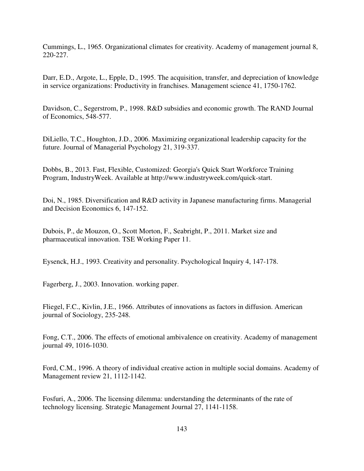Cummings, L., 1965. Organizational climates for creativity. Academy of management journal 8, 220-227.

Darr, E.D., Argote, L., Epple, D., 1995. The acquisition, transfer, and depreciation of knowledge in service organizations: Productivity in franchises. Management science 41, 1750-1762.

Davidson, C., Segerstrom, P., 1998. R&D subsidies and economic growth. The RAND Journal of Economics, 548-577.

DiLiello, T.C., Houghton, J.D., 2006. Maximizing organizational leadership capacity for the future. Journal of Managerial Psychology 21, 319-337.

Dobbs, B., 2013. Fast, Flexible, Customized: Georgia's Quick Start Workforce Training Program, IndustryWeek. Available at http://www.industryweek.com/quick-start.

Doi, N., 1985. Diversification and R&D activity in Japanese manufacturing firms. Managerial and Decision Economics 6, 147-152.

Dubois, P., de Mouzon, O., Scott Morton, F., Seabright, P., 2011. Market size and pharmaceutical innovation. TSE Working Paper 11.

Eysenck, H.J., 1993. Creativity and personality. Psychological Inquiry 4, 147-178.

Fagerberg, J., 2003. Innovation. working paper.

Fliegel, F.C., Kivlin, J.E., 1966. Attributes of innovations as factors in diffusion. American journal of Sociology, 235-248.

Fong, C.T., 2006. The effects of emotional ambivalence on creativity. Academy of management journal 49, 1016-1030.

Ford, C.M., 1996. A theory of individual creative action in multiple social domains. Academy of Management review 21, 1112-1142.

Fosfuri, A., 2006. The licensing dilemma: understanding the determinants of the rate of technology licensing. Strategic Management Journal 27, 1141-1158.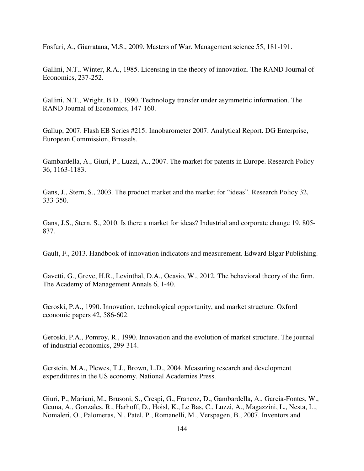Fosfuri, A., Giarratana, M.S., 2009. Masters of War. Management science 55, 181-191.

Gallini, N.T., Winter, R.A., 1985. Licensing in the theory of innovation. The RAND Journal of Economics, 237-252.

Gallini, N.T., Wright, B.D., 1990. Technology transfer under asymmetric information. The RAND Journal of Economics, 147-160.

Gallup, 2007. Flash EB Series #215: Innobarometer 2007: Analytical Report. DG Enterprise, European Commission, Brussels.

Gambardella, A., Giuri, P., Luzzi, A., 2007. The market for patents in Europe. Research Policy 36, 1163-1183.

Gans, J., Stern, S., 2003. The product market and the market for "ideas". Research Policy 32, 333-350.

Gans, J.S., Stern, S., 2010. Is there a market for ideas? Industrial and corporate change 19, 805- 837.

Gault, F., 2013. Handbook of innovation indicators and measurement. Edward Elgar Publishing.

Gavetti, G., Greve, H.R., Levinthal, D.A., Ocasio, W., 2012. The behavioral theory of the firm. The Academy of Management Annals 6, 1-40.

Geroski, P.A., 1990. Innovation, technological opportunity, and market structure. Oxford economic papers 42, 586-602.

Geroski, P.A., Pomroy, R., 1990. Innovation and the evolution of market structure. The journal of industrial economics, 299-314.

Gerstein, M.A., Plewes, T.J., Brown, L.D., 2004. Measuring research and development expenditures in the US economy. National Academies Press.

Giuri, P., Mariani, M., Brusoni, S., Crespi, G., Francoz, D., Gambardella, A., Garcia-Fontes, W., Geuna, A., Gonzales, R., Harhoff, D., Hoisl, K., Le Bas, C., Luzzi, A., Magazzini, L., Nesta, L., Nomaleri, O., Palomeras, N., Patel, P., Romanelli, M., Verspagen, B., 2007. Inventors and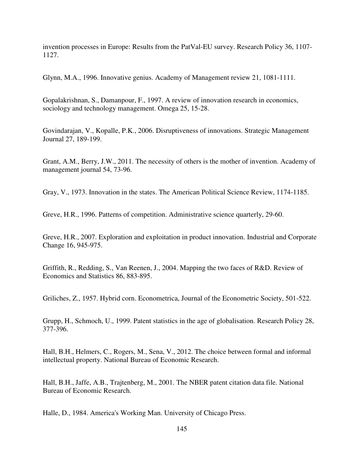invention processes in Europe: Results from the PatVal-EU survey. Research Policy 36, 1107- 1127.

Glynn, M.A., 1996. Innovative genius. Academy of Management review 21, 1081-1111.

Gopalakrishnan, S., Damanpour, F., 1997. A review of innovation research in economics, sociology and technology management. Omega 25, 15-28.

Govindarajan, V., Kopalle, P.K., 2006. Disruptiveness of innovations. Strategic Management Journal 27, 189-199.

Grant, A.M., Berry, J.W., 2011. The necessity of others is the mother of invention. Academy of management journal 54, 73-96.

Gray, V., 1973. Innovation in the states. The American Political Science Review, 1174-1185.

Greve, H.R., 1996. Patterns of competition. Administrative science quarterly, 29-60.

Greve, H.R., 2007. Exploration and exploitation in product innovation. Industrial and Corporate Change 16, 945-975.

Griffith, R., Redding, S., Van Reenen, J., 2004. Mapping the two faces of R&D. Review of Economics and Statistics 86, 883-895.

Griliches, Z., 1957. Hybrid corn. Econometrica, Journal of the Econometric Society, 501-522.

Grupp, H., Schmoch, U., 1999. Patent statistics in the age of globalisation. Research Policy 28, 377-396.

Hall, B.H., Helmers, C., Rogers, M., Sena, V., 2012. The choice between formal and informal intellectual property. National Bureau of Economic Research.

Hall, B.H., Jaffe, A.B., Trajtenberg, M., 2001. The NBER patent citation data file. National Bureau of Economic Research.

Halle, D., 1984. America's Working Man. University of Chicago Press.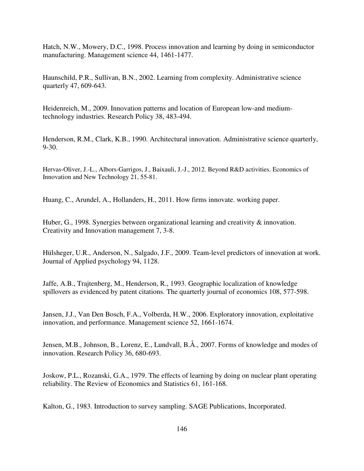Hatch, N.W., Mowery, D.C., 1998. Process innovation and learning by doing in semiconductor manufacturing. Management science 44, 1461-1477.

Haunschild, P.R., Sullivan, B.N., 2002. Learning from complexity. Administrative science quarterly 47, 609-643.

Heidenreich, M., 2009. Innovation patterns and location of European low-and mediumtechnology industries. Research Policy 38, 483-494.

Henderson, R.M., Clark, K.B., 1990. Architectural innovation. Administrative science quarterly, 9-30.

Hervas-Oliver, J.-L., Albors-Garrigos, J., Baixauli, J.-J., 2012. Beyond R&D activities. Economics of Innovation and New Technology 21, 55-81.

Huang, C., Arundel, A., Hollanders, H., 2011. How firms innovate. working paper.

Huber, G., 1998. Synergies between organizational learning and creativity & innovation. Creativity and Innovation management 7, 3-8.

Hülsheger, U.R., Anderson, N., Salgado, J.F., 2009. Team-level predictors of innovation at work. Journal of Applied psychology 94, 1128.

Jaffe, A.B., Trajtenberg, M., Henderson, R., 1993. Geographic localization of knowledge spillovers as evidenced by patent citations. The quarterly journal of economics 108, 577-598.

Jansen, J.J., Van Den Bosch, F.A., Volberda, H.W., 2006. Exploratory innovation, exploitative innovation, and performance. Management science 52, 1661-1674.

Jensen, M.B., Johnson, B., Lorenz, E., Lundvall, B.Å., 2007. Forms of knowledge and modes of innovation. Research Policy 36, 680-693.

Joskow, P.L., Rozanski, G.A., 1979. The effects of learning by doing on nuclear plant operating reliability. The Review of Economics and Statistics 61, 161-168.

Kalton, G., 1983. Introduction to survey sampling. SAGE Publications, Incorporated.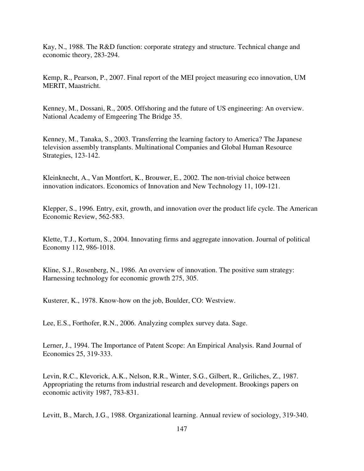Kay, N., 1988. The R&D function: corporate strategy and structure. Technical change and economic theory, 283-294.

Kemp, R., Pearson, P., 2007. Final report of the MEI project measuring eco innovation, UM MERIT, Maastricht.

Kenney, M., Dossani, R., 2005. Offshoring and the future of US engineering: An overview. National Academy of Emgeering The Bridge 35.

Kenney, M., Tanaka, S., 2003. Transferring the learning factory to America? The Japanese television assembly transplants. Multinational Companies and Global Human Resource Strategies, 123-142.

Kleinknecht, A., Van Montfort, K., Brouwer, E., 2002. The non-trivial choice between innovation indicators. Economics of Innovation and New Technology 11, 109-121.

Klepper, S., 1996. Entry, exit, growth, and innovation over the product life cycle. The American Economic Review, 562-583.

Klette, T.J., Kortum, S., 2004. Innovating firms and aggregate innovation. Journal of political Economy 112, 986-1018.

Kline, S.J., Rosenberg, N., 1986. An overview of innovation. The positive sum strategy: Harnessing technology for economic growth 275, 305.

Kusterer, K., 1978. Know-how on the job, Boulder, CO: Westview.

Lee, E.S., Forthofer, R.N., 2006. Analyzing complex survey data. Sage.

Lerner, J., 1994. The Importance of Patent Scope: An Empirical Analysis. Rand Journal of Economics 25, 319-333.

Levin, R.C., Klevorick, A.K., Nelson, R.R., Winter, S.G., Gilbert, R., Griliches, Z., 1987. Appropriating the returns from industrial research and development. Brookings papers on economic activity 1987, 783-831.

Levitt, B., March, J.G., 1988. Organizational learning. Annual review of sociology, 319-340.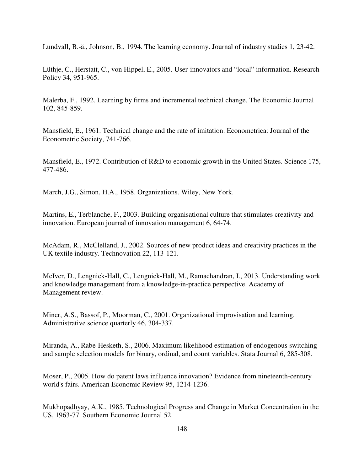Lundvall, B.-ä., Johnson, B., 1994. The learning economy. Journal of industry studies 1, 23-42.

Lüthje, C., Herstatt, C., von Hippel, E., 2005. User-innovators and "local" information. Research Policy 34, 951-965.

Malerba, F., 1992. Learning by firms and incremental technical change. The Economic Journal 102, 845-859.

Mansfield, E., 1961. Technical change and the rate of imitation. Econometrica: Journal of the Econometric Society, 741-766.

Mansfield, E., 1972. Contribution of R&D to economic growth in the United States. Science 175, 477-486.

March, J.G., Simon, H.A., 1958. Organizations. Wiley, New York.

Martins, E., Terblanche, F., 2003. Building organisational culture that stimulates creativity and innovation. European journal of innovation management 6, 64-74.

McAdam, R., McClelland, J., 2002. Sources of new product ideas and creativity practices in the UK textile industry. Technovation 22, 113-121.

McIver, D., Lengnick-Hall, C., Lengnick-Hall, M., Ramachandran, I., 2013. Understanding work and knowledge management from a knowledge-in-practice perspective. Academy of Management review.

Miner, A.S., Bassof, P., Moorman, C., 2001. Organizational improvisation and learning. Administrative science quarterly 46, 304-337.

Miranda, A., Rabe-Hesketh, S., 2006. Maximum likelihood estimation of endogenous switching and sample selection models for binary, ordinal, and count variables. Stata Journal 6, 285-308.

Moser, P., 2005. How do patent laws influence innovation? Evidence from nineteenth-century world's fairs. American Economic Review 95, 1214-1236.

Mukhopadhyay, A.K., 1985. Technological Progress and Change in Market Concentration in the US, 1963-77. Southern Economic Journal 52.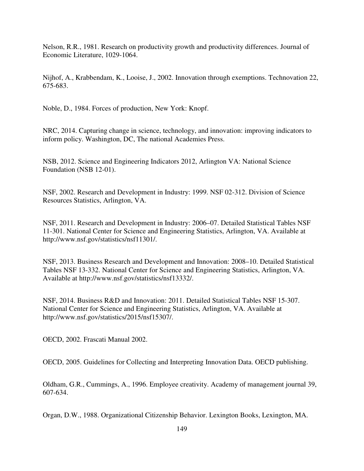Nelson, R.R., 1981. Research on productivity growth and productivity differences. Journal of Economic Literature, 1029-1064.

Nijhof, A., Krabbendam, K., Looise, J., 2002. Innovation through exemptions. Technovation 22, 675-683.

Noble, D., 1984. Forces of production, New York: Knopf.

NRC, 2014. Capturing change in science, technology, and innovation: improving indicators to inform policy. Washington, DC, The national Academies Press.

NSB, 2012. Science and Engineering Indicators 2012, Arlington VA: National Science Foundation (NSB 12-01).

NSF, 2002. Research and Development in Industry: 1999. NSF 02-312. Division of Science Resources Statistics, Arlington, VA.

NSF, 2011. Research and Development in Industry: 2006–07. Detailed Statistical Tables NSF 11-301. National Center for Science and Engineering Statistics, Arlington, VA. Available at http://www.nsf.gov/statistics/nsf11301/.

NSF, 2013. Business Research and Development and Innovation: 2008–10. Detailed Statistical Tables NSF 13-332. National Center for Science and Engineering Statistics, Arlington, VA. Available at http://www.nsf.gov/statistics/nsf13332/.

NSF, 2014. Business R&D and Innovation: 2011. Detailed Statistical Tables NSF 15-307. National Center for Science and Engineering Statistics, Arlington, VA. Available at http://www.nsf.gov/statistics/2015/nsf15307/.

OECD, 2002. Frascati Manual 2002.

OECD, 2005. Guidelines for Collecting and Interpreting Innovation Data. OECD publishing.

Oldham, G.R., Cummings, A., 1996. Employee creativity. Academy of management journal 39, 607-634.

Organ, D.W., 1988. Organizational Citizenship Behavior. Lexington Books, Lexington, MA.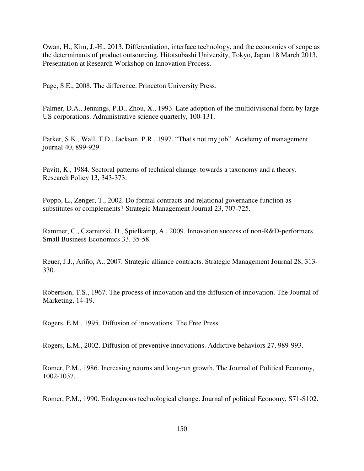Owan, H., Kim, J.-H., 2013. Differentiation, interface technology, and the economies of scope as the determinants of product outsourcing. Hitotsubashi University, Tokyo, Japan 18 March 2013, Presentation at Research Workshop on Innovation Process.

Page, S.E., 2008. The difference. Princeton University Press.

Palmer, D.A., Jennings, P.D., Zhou, X., 1993. Late adoption of the multidivisional form by large US corporations. Administrative science quarterly, 100-131.

Parker, S.K., Wall, T.D., Jackson, P.R., 1997. "That's not my job". Academy of management journal 40, 899-929.

Pavitt, K., 1984. Sectoral patterns of technical change: towards a taxonomy and a theory. Research Policy 13, 343-373.

Poppo, L., Zenger, T., 2002. Do formal contracts and relational governance function as substitutes or complements? Strategic Management Journal 23, 707-725.

Rammer, C., Czarnitzki, D., Spielkamp, A., 2009. Innovation success of non-R&D-performers. Small Business Economics 33, 35-58.

Reuer, J.J., Ariño, A., 2007. Strategic alliance contracts. Strategic Management Journal 28, 313- 330.

Robertson, T.S., 1967. The process of innovation and the diffusion of innovation. The Journal of Marketing, 14-19.

Rogers, E.M., 1995. Diffusion of innovations. The Free Press.

Rogers, E.M., 2002. Diffusion of preventive innovations. Addictive behaviors 27, 989-993.

Romer, P.M., 1986. Increasing returns and long-run growth. The Journal of Political Economy, 1002-1037.

Romer, P.M., 1990. Endogenous technological change. Journal of political Economy, S71-S102.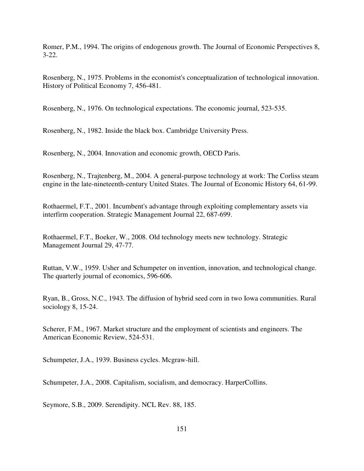Romer, P.M., 1994. The origins of endogenous growth. The Journal of Economic Perspectives 8, 3-22.

Rosenberg, N., 1975. Problems in the economist's conceptualization of technological innovation. History of Political Economy 7, 456-481.

Rosenberg, N., 1976. On technological expectations. The economic journal, 523-535.

Rosenberg, N., 1982. Inside the black box. Cambridge University Press.

Rosenberg, N., 2004. Innovation and economic growth, OECD Paris.

Rosenberg, N., Trajtenberg, M., 2004. A general-purpose technology at work: The Corliss steam engine in the late-nineteenth-century United States. The Journal of Economic History 64, 61-99.

Rothaermel, F.T., 2001. Incumbent's advantage through exploiting complementary assets via interfirm cooperation. Strategic Management Journal 22, 687-699.

Rothaermel, F.T., Boeker, W., 2008. Old technology meets new technology. Strategic Management Journal 29, 47-77.

Ruttan, V.W., 1959. Usher and Schumpeter on invention, innovation, and technological change. The quarterly journal of economics, 596-606.

Ryan, B., Gross, N.C., 1943. The diffusion of hybrid seed corn in two Iowa communities. Rural sociology 8, 15-24.

Scherer, F.M., 1967. Market structure and the employment of scientists and engineers. The American Economic Review, 524-531.

Schumpeter, J.A., 1939. Business cycles. Mcgraw-hill.

Schumpeter, J.A., 2008. Capitalism, socialism, and democracy. HarperCollins.

Seymore, S.B., 2009. Serendipity. NCL Rev. 88, 185.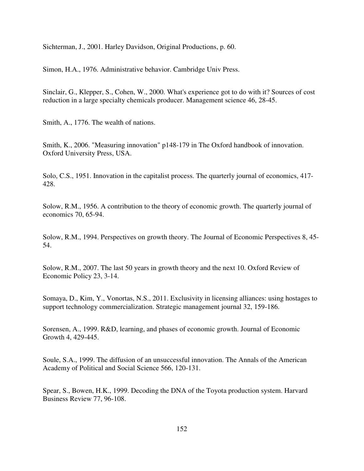Sichterman, J., 2001. Harley Davidson, Original Productions, p. 60.

Simon, H.A., 1976. Administrative behavior. Cambridge Univ Press.

Sinclair, G., Klepper, S., Cohen, W., 2000. What's experience got to do with it? Sources of cost reduction in a large specialty chemicals producer. Management science 46, 28-45.

Smith, A., 1776. The wealth of nations.

Smith, K., 2006. "Measuring innovation" p148-179 in The Oxford handbook of innovation. Oxford University Press, USA.

Solo, C.S., 1951. Innovation in the capitalist process. The quarterly journal of economics, 417- 428.

Solow, R.M., 1956. A contribution to the theory of economic growth. The quarterly journal of economics 70, 65-94.

Solow, R.M., 1994. Perspectives on growth theory. The Journal of Economic Perspectives 8, 45- 54.

Solow, R.M., 2007. The last 50 years in growth theory and the next 10. Oxford Review of Economic Policy 23, 3-14.

Somaya, D., Kim, Y., Vonortas, N.S., 2011. Exclusivity in licensing alliances: using hostages to support technology commercialization. Strategic management journal 32, 159-186.

Sorensen, A., 1999. R&D, learning, and phases of economic growth. Journal of Economic Growth 4, 429-445.

Soule, S.A., 1999. The diffusion of an unsuccessful innovation. The Annals of the American Academy of Political and Social Science 566, 120-131.

Spear, S., Bowen, H.K., 1999. Decoding the DNA of the Toyota production system. Harvard Business Review 77, 96-108.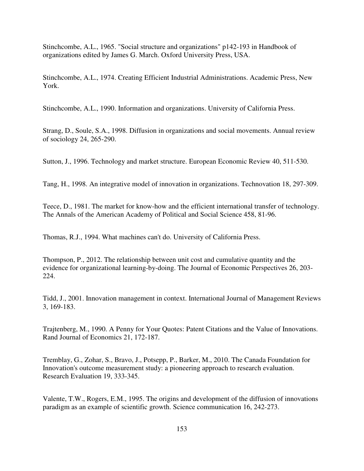Stinchcombe, A.L., 1965. "Social structure and organizations" p142-193 in Handbook of organizations edited by James G. March. Oxford University Press, USA.

Stinchcombe, A.L., 1974. Creating Efficient Industrial Administrations. Academic Press, New York.

Stinchcombe, A.L., 1990. Information and organizations. University of California Press.

Strang, D., Soule, S.A., 1998. Diffusion in organizations and social movements. Annual review of sociology 24, 265-290.

Sutton, J., 1996. Technology and market structure. European Economic Review 40, 511-530.

Tang, H., 1998. An integrative model of innovation in organizations. Technovation 18, 297-309.

Teece, D., 1981. The market for know-how and the efficient international transfer of technology. The Annals of the American Academy of Political and Social Science 458, 81-96.

Thomas, R.J., 1994. What machines can't do. University of California Press.

Thompson, P., 2012. The relationship between unit cost and cumulative quantity and the evidence for organizational learning-by-doing. The Journal of Economic Perspectives 26, 203- 224.

Tidd, J., 2001. Innovation management in context. International Journal of Management Reviews 3, 169-183.

Trajtenberg, M., 1990. A Penny for Your Quotes: Patent Citations and the Value of Innovations. Rand Journal of Economics 21, 172-187.

Tremblay, G., Zohar, S., Bravo, J., Potsepp, P., Barker, M., 2010. The Canada Foundation for Innovation's outcome measurement study: a pioneering approach to research evaluation. Research Evaluation 19, 333-345.

Valente, T.W., Rogers, E.M., 1995. The origins and development of the diffusion of innovations paradigm as an example of scientific growth. Science communication 16, 242-273.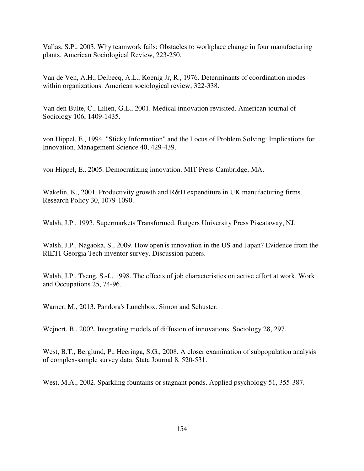Vallas, S.P., 2003. Why teamwork fails: Obstacles to workplace change in four manufacturing plants. American Sociological Review, 223-250.

Van de Ven, A.H., Delbecq, A.L., Koenig Jr, R., 1976. Determinants of coordination modes within organizations. American sociological review, 322-338.

Van den Bulte, C., Lilien, G.L., 2001. Medical innovation revisited. American journal of Sociology 106, 1409-1435.

von Hippel, E., 1994. "Sticky Information" and the Locus of Problem Solving: Implications for Innovation. Management Science 40, 429-439.

von Hippel, E., 2005. Democratizing innovation. MIT Press Cambridge, MA.

Wakelin, K., 2001. Productivity growth and R&D expenditure in UK manufacturing firms. Research Policy 30, 1079-1090.

Walsh, J.P., 1993. Supermarkets Transformed. Rutgers University Press Piscataway, NJ.

Walsh, J.P., Nagaoka, S., 2009. How'open'is innovation in the US and Japan? Evidence from the RIETI-Georgia Tech inventor survey. Discussion papers.

Walsh, J.P., Tseng, S.-f., 1998. The effects of job characteristics on active effort at work. Work and Occupations 25, 74-96.

Warner, M., 2013. Pandora's Lunchbox. Simon and Schuster.

Wejnert, B., 2002. Integrating models of diffusion of innovations. Sociology 28, 297.

West, B.T., Berglund, P., Heeringa, S.G., 2008. A closer examination of subpopulation analysis of complex-sample survey data. Stata Journal 8, 520-531.

West, M.A., 2002. Sparkling fountains or stagnant ponds. Applied psychology 51, 355-387.